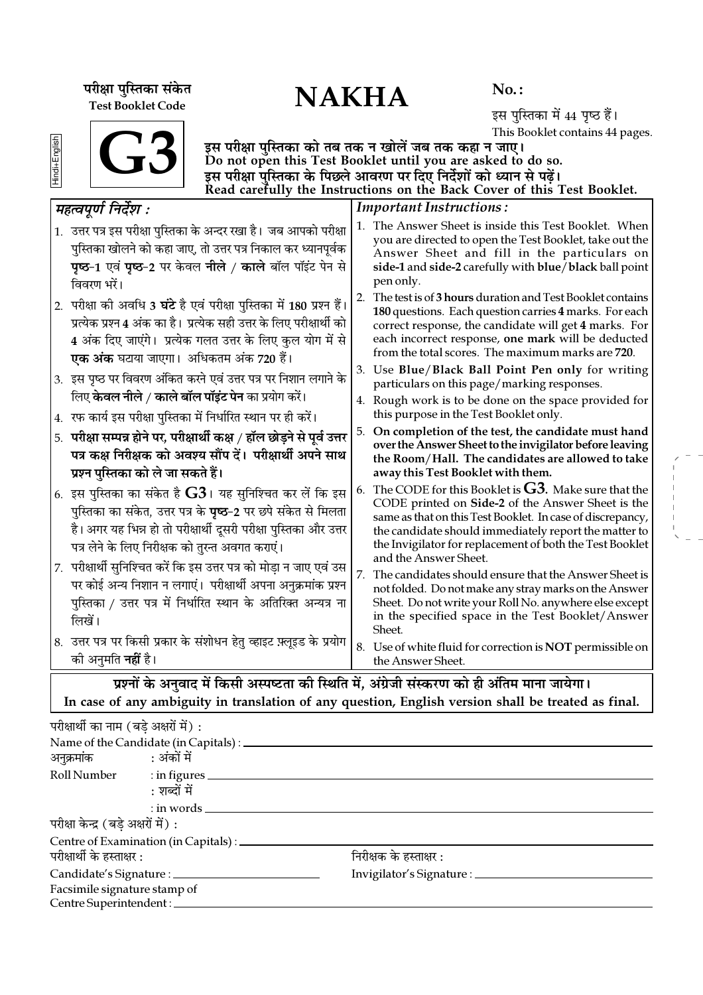परीक्षा पुस्तिका संकेत<br>———————————————————— Test Booklet Code

 $No.$ :

इस पुस्तिका में 44 पृष्ठ हैं। This Booklet contains 44 pages.

| nai+English |  |
|-------------|--|
|             |  |

G<sub>3</sub>

इस परीक्षा पुस्तिका को तब तक न खोलें जब तक कहा न जाए। Do not open this Test Booklet until you are asked to do so. इस परीक्षा पस्तिका के पिछले आवरण पर दिए निर्देशों को ध्यान से पढें। Read carefully the Instructions on the Back Cover of this Test Booklet.

#### Important Instructions : 1. The Answer Sheet is inside this Test Booklet. When you are directed to open the Test Booklet, take out the Answer Sheet and fill in the particulars on side-1 and side-2 carefully with blue/black ball point pen only. 2. The test is of 3 hours duration and Test Booklet contains 180 questions. Each question carries 4 marks. For each correct response, the candidate will get 4 marks. For each incorrect response, one mark will be deducted from the total scores. The maximum marks are 720. 3. Use Blue/Black Ball Point Pen only for writing particulars on this page/marking responses. 4. Rough work is to be done on the space provided for this purpose in the Test Booklet only. 5. On completion of the test, the candidate must hand over the Answer Sheet to the invigilator before leaving the Room/Hall. The candidates are allowed to take away this Test Booklet with them. 6. The CODE for this Booklet is  $G3$ . Make sure that the CODE printed on Side-2 of the Answer Sheet is the same as that on this Test Booklet. In case of discrepancy, the candidate should immediately report the matter to the Invigilator for replacement of both the Test Booklet and the Answer Sheet. 7. The candidates should ensure that the Answer Sheet is not folded. Do not make any stray marks on the Answer Sheet. Do not write your Roll No. anywhere else except in the specified space in the Test Booklet/Answer Sheet. 8. Use of white fluid for correction is NOT permissible on the Answer Sheet. *◊"àfl¬Íáʸ ÁŸŒ¸‡Ê —* 1. उत्तर पत्र इस परीक्षा पुस्तिका के अन्दर रखा है। जब आपको परीक्षा पुस्तिका खोलने को कहा जाए, तो उत्तर पत्र निकाल कर ध्यानपूर्वक **पृष्ठ-1 एवं पृष्ठ-2 पर केवल नीले / काले बॉल पॉइंट पेन से** विवरण भरें। 2. परीक्षा की अवधि 3 **घंटे** है एवं परीक्षा पुस्तिका में 180 प्रश्न हैं। प्रत्येक प्रश्न 4 अंक का है। प्रत्येक सही उत्तर के लिए परीक्षार्थी को 4 अंक दिए जाएंगे। प्रत्येक गलत उत्तर के लिए कुल योग में से <mark>एक अंक</mark> घटाया जाएगा। अधिकतम अंक 720 हैं। 3. इस पृष्ठ पर विवरण अंकित करने एवं उत्तर पत्र पर निशान लगाने के िलए **केवल नीले / काले बॉल पॉइंट पेन** का प्रयोग करें। 4. रफ कार्य इस परीक्षा पुस्तिका में निर्धारित स्थान पर ही करें। 5. परीक्षा सम्पन्न होने पर, परीक्षार्थी कक्ष / हॉल छोड़ने से पूर्व <del>उ</del>त्तर पत्र कक्ष निरीक्षक को अवश्य सौंप दें। परीक्षार्थी अपने साथ **प्रश्न पुस्तिका को ले जा सकते हैं।** 6. इस पुस्तिका का संकेत है  ${\bf G3}$ । यह सुनिश्चित कर लें कि इस <u>पु</u>स्तिका का संकेत, उत्तर पत्र के **पृष्ठ−2** पर छपे संकेत से मिलता है। अगर यह भिन्न हो तो परीक्षार्थी दूसरी परीक्षा पुस्तिका और उत्तर पत्र लेने के लिए निरीक्षक को तुरन्त अवगत कराएं। 7. परीक्षार्थी सुनिश्चित करें कि इस उत्तर पत्र को मोड़ा न जाए एवं उस पर कोई अन्य निशान न लगाएं। परीक्षार्थी अपना अनुक्रमांक प्रश्न पस्तिका / उत्तर पत्र में निर्धारित स्थान के अतिरिक्त अन्यत्र ना  $\overrightarrow{m}$ यें । 8. उत्तर पत्र पर किसी प्रकार के संशोधन हेतु व्हाइट फ़्लूइड के प्रयोग ेकी अनुमति **नहीं** है।

प्रश्नों के अनुवाद में किसी अस्पष्टता की स्थिति में, अंग्रेजी संस्करण को ही अंतिम माना जायेगा। In case of any ambiguity in translation of any question, English version shall be treated as final.

| परीक्षार्थी का नाम (बडे अक्षरों में) : |                                                 |                                   |
|----------------------------------------|-------------------------------------------------|-----------------------------------|
|                                        | Name of the Candidate (in Capitals) : _________ |                                   |
| अनुक्रमांक : अंकों में                 |                                                 |                                   |
|                                        | Roll Number : in figures _________              |                                   |
|                                        | : शब्दों में                                    |                                   |
|                                        | $:$ in words $\_\_$                             |                                   |
| परीक्षा केन्द्र (बड़े अक्षरों में) :   |                                                 |                                   |
|                                        | Centre of Examination (in Capitals) : _________ |                                   |
| परीक्षार्थी के हस्ताक्षर :             |                                                 | निरीक्षक के हस्ताक्षर :           |
|                                        | Candidate's Signature : ______________          | Invigilator's Signature : _______ |
| Facsimile signature stamp of           |                                                 |                                   |
| Centre Superintendent :_               |                                                 |                                   |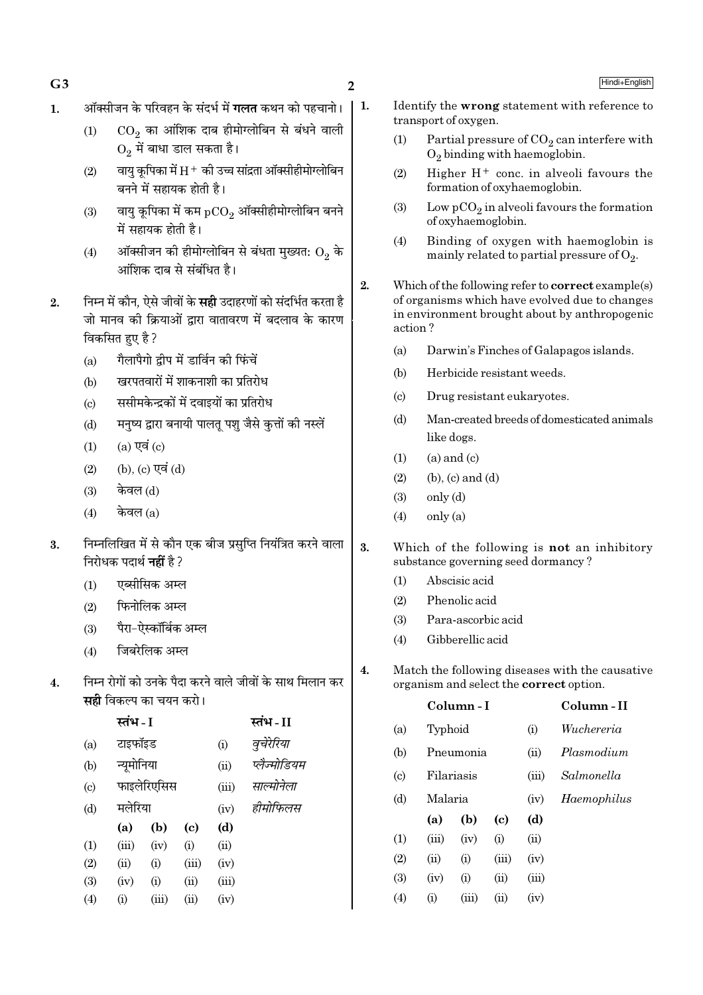- ऑक्सीजन के परिवहन के संदर्भ में **गलत** कथन को पहचानो।  $\mathbf{1}$ .
	- CO, का आंशिक दाब हीमोग्लोबिन से बंधने वाली  $(1)$  $O<sub>2</sub>$  में बाधा डाल सकता है।

 $\overline{2}$ 

- वायु कृपिका में  $\rm H^+$  की उच्च सांद्रता ऑक्सीहीमोग्लोबिन  $(2)$ बनने में सहायक होती है।
- वायु कूपिका में कम  $pCO<sub>2</sub>$  ऑक्सीहीमोग्लोबिन बनने  $(3)$ में सहायक होती है।
- ऑक्सीजन की हीमोग्लोबिन से बंधता मुख्यत:  $O_2$  के  $(4)$ आंशिक दाब से संबंधित है।
- निम्न में कौन, ऐसे जीवों के **सही** उदाहरणों को संदर्भित करता है  $2.$ जो मानव की क्रियाओं द्वारा वातावरण में बदलाव के कारण विकसित हुए है ?
	- गैलापैगो द्वीप में डार्विन की फिंचें  $(a)$
	- खरपतवारों में शाकनाशी का प्रतिरोध  $(b)$
	- ससीमकेन्द्रकों में दवाइयों का प्रतिरोध  $(c)$
	- मनष्य द्वारा बनायी पालत पश जैसे कत्तों की नस्लें  $(b)$
	- $(a)$  एवं  $(c)$  $(1)$
	- (b), (c) एवं (d)  $(2)$
	- केवल (d)  $(3)$
	- केवल  $(a)$  $(4)$
- निम्नलिखित में से कौन एक बीज प्रसुप्ति नियंत्रित करने वाला  $\overline{3}$ . निरोधक पदार्थ **नहीं** है ?
	- एब्सीसिक अम्ल  $(1)$
	- फिनोलिक अम्ल  $(2)$
	- पैरा-ऐस्कॉर्बिक अम्ल  $(3)$
	- जिबरेलिक अम्ल  $(4)$
- निम्न रोगों को उनके पैदा करने वाले जीवों के साथ मिलान कर  $\overline{4}$ . **सही** विकल्प का चयन करो।

|                            | स्तंभ - I |             |                            |       | स्तंभ - II   |  |  |
|----------------------------|-----------|-------------|----------------------------|-------|--------------|--|--|
| (a)                        |           | टाइफॉइड     |                            |       | वुचेरेरिया   |  |  |
| (b)                        |           | न्यूमोनिया  |                            |       | प्लैज्मोडियम |  |  |
| $\left( \mathrm{c}\right)$ |           | फाइलेरिएसिस |                            | (iii) | साल्मोनेला   |  |  |
| (d)                        | मलेरिया   |             |                            | (iv)  | हीमोफिलस     |  |  |
|                            | (a)       | (b)         | $\left( \mathrm{e}\right)$ | (d)   |              |  |  |
| (1)                        | (iii)     | (iv)        | (i)                        | (ii)  |              |  |  |
| (2)                        | (ii)      | (i)         | (iii)                      | (iv)  |              |  |  |
| (3)                        | (iv)      | (i)         | (ii)                       | (iii) |              |  |  |
| (4)                        | (i)       | (iii)       | (ii)                       | (iv)  |              |  |  |

- $\vert$  1. Identify the wrong statement with reference to transport of oxygen.
	- $(1)$ Partial pressure of  $CO<sub>2</sub>$  can interfere with  $O_2$  binding with haemoglobin.
	- $(2)$ Higher  $H^+$  conc. in alveoli favours the formation of oxyhaemoglobin.
	- Low  $pCO<sub>2</sub>$  in alveoli favours the formation  $(3)$ of oxyhaemoglobin.
	- Binding of oxygen with haemoglobin is  $(4)$ mainly related to partial pressure of  $O_2$ .
	- Which of the following refer to correct example(s)  $2.$ of organisms which have evolved due to changes in environment brought about by anthropogenic action?
		- Darwin's Finches of Galapagos islands.  $(a)$
		- Herbicide resistant weeds.  $(b)$
		- $(c)$ Drug resistant eukaryotes.
		- Man-created breeds of domesticated animals  $(d)$ like dogs.
		- $(1)$  $(a)$  and  $(c)$
		- $(2)$  $(b)$ ,  $(c)$  and  $(d)$
		- only (d)  $(3)$
		- $only (a)$  $(4)$
	- 3. Which of the following is not an inhibitory substance governing seed dormancy?
		- Abscisic acid  $(1)$
		- Phenolic acid  $(2)$
		- $(3)$ Para-ascorbic acid
		- Gibberellic acid  $(4)$
	- $\overline{4}$ . Match the following diseases with the causative organism and select the correct option.

|                             |         | Column - I | Column-II                   |       |             |
|-----------------------------|---------|------------|-----------------------------|-------|-------------|
| (a)                         | Typhoid |            |                             | (i)   | Wuchereria  |
| (b)                         |         | Pneumonia  |                             | (ii)  | Plasmodium  |
| $\left( \mathrm{c} \right)$ |         | Filariasis |                             | (iii) | Salmonella  |
| (d)                         | Malaria |            |                             | (iv)  | Haemophilus |
|                             | (a)     | (b)        | $\left( \mathrm{c} \right)$ | (d)   |             |
| (1)                         | (iii)   | (iv)       | (i)                         | (ii)  |             |
| (2)                         | (ii)    | (i)        | (iii)                       | (iv)  |             |
| (3)                         | (iv)    | (i)        | (ii)                        | (iii) |             |
| $\left( 4\right)$           | (i)     | (iii)      | (ii)                        | (iv)  |             |

 $G<sub>3</sub>$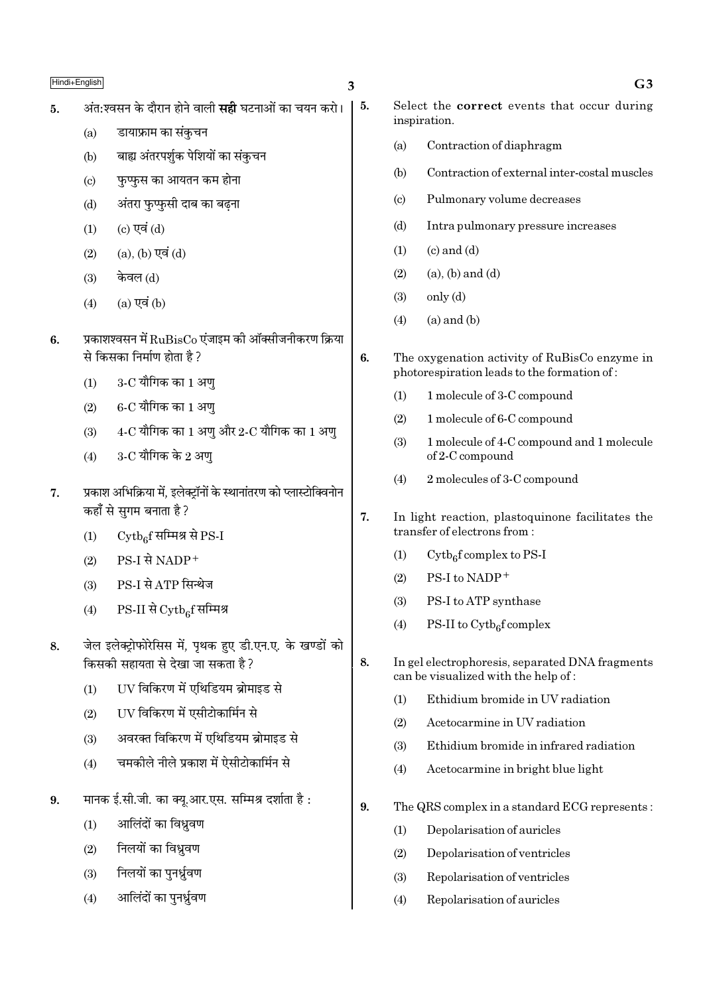- अंत:श्वसन के दौरान होने वाली **सद्दी** घटनाओं का चयन करो। 5.
	- डायाफ्राम का संकुचन  $(a)$
	- बाह्य अंतरपर्शुक पेशियों का संकुचन  $(b)$
	- फुप्फुस का आयतन कम होना  $(c)$
	- अंतरा फुप्फुसी दाब का बढना  $(d)$
	- $(c)$  एवं  $(d)$  $(1)$
	- (a), (b) एवं (d)  $(2)$
	- केवल (d)  $(3)$
	- $(4)$  $(a)$  एवं  $(b)$
- प्रकाशश्वसन में  $\rm RuBisCo$  एंजाइम की ऑक्सीजनीकरण क्रिया  $6.$ से किसका निर्माण होता है?
	- $3$ - $C$  यौगिक का  $1$  अण  $(1)$
	- $6$ - $C$  यौगिक का  $1$  अण्  $(2)$
	- $4\text{-}C$  यौगिक का  $1$  अणु और  $2\text{-}C$  यौगिक का  $1$  अणु  $(3)$
	- $3$ -C यौगिक के 2 अण  $(4)$
- $\overline{7}$ . प्रकाश अभिक्रिया में, इलेक्ट्रॉनों के स्थानांतरण को प्लास्टोक्विनोन कहाँ से सुगम बनाता है ?
	- $\mathrm{Cytb}_{6}$ f सम्मिश्र से PS-I  $(1)$
	- PS-I से NADP<sup>+</sup>  $(2)$
	- PS-I से ATP सिन्थेज  $(3)$
	- PS-II से Cytbef सम्मिश्र  $(4)$
- जेल इलेक्टोफोरेसिस में. पथक हुए डी.एन.ए. के खण्डों को 8. किसकी सहायता से देखा जा सकता है ?
	- UV विकिरण में एथिडियम ब्रोमाइड से  $(1)$
	- UV विकिरण में एसीटोकार्मिन से  $(2)$
	- अवरक्त विकिरण में एथिडियम ब्रोमाइड से  $(3)$
	- चमकीले नीले प्रकाश में ऐसीटोकार्मिन से  $(4)$
- मानक ई.सी.जी. का क्यू.आर.एस. सम्मिश्र दर्शाता है: 9.
	- आलिंदों का विध्रवण  $(1)$
	- निलयों का विध्रवण  $(2)$
	- निलयों का पुनर्ध्रवण  $(3)$
	- आलिंदों का पनर्ध्रवण  $(4)$

5.

6.

 $\overline{7}$ .

8.

- Select the **correct** events that occur during inspiration.  $(a)$ Contraction of diaphragm  $(b)$ Contraction of external inter-costal muscles  $\left( \text{c} \right)$ Pulmonary volume decreases  $(d)$ Intra pulmonary pressure increases  $(1)$  $(c)$  and  $(d)$  $(2)$  $(a)$ ,  $(b)$  and  $(d)$  $(3)$  $only (d)$  $(a)$  and  $(b)$  $(4)$ The oxygenation activity of RuBisCo enzyme in photorespiration leads to the formation of: 1 molecule of 3-C compound  $(1)$  $(2)$ 1 molecule of 6-C compound  $(3)$ 1 molecule of 4-C compound and 1 molecule of 2-C compound 2 molecules of 3-C compound  $(4)$ In light reaction, plastoquinone facilitates the transfer of electrons from:  $(1)$  $C_y$ tb<sub>e</sub>f complex to PS-I PS-I to NADP+  $(2)$ PS-I to ATP synthase  $(3)$  $(4)$ PS-II to  $\mathrm{Cytb}_{6}$ f complex In gel electrophoresis, separated DNA fragments can be visualized with the help of: Ethidium bromide in UV radiation  $(1)$  $(2)$ Acetocarmine in UV radiation Ethidium bromide in infrared radiation  $(3)$ 
	- $(4)$ Acetocarmine in bright blue light
- 9. The QRS complex in a standard ECG represents:
	- $(1)$ Depolarisation of auricles
	- $(2)$ Depolarisation of ventricles
	- Repolarisation of ventricles  $(3)$
	- $(4)$ Repolarisation of auricles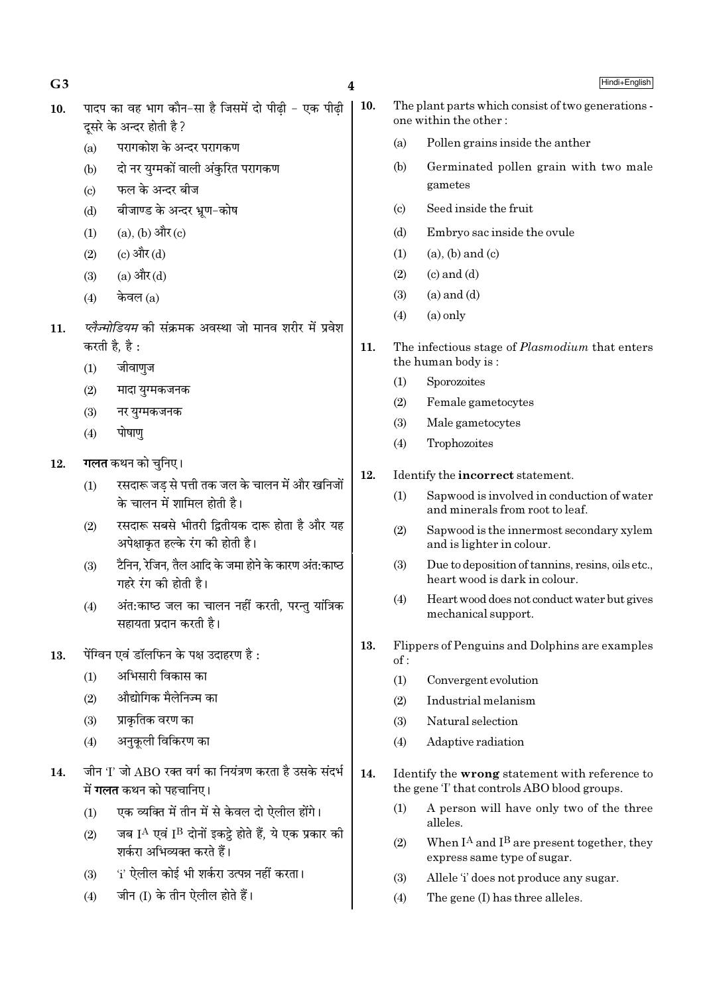$G3$  4

 $10.$  पादप का वह भाग कौन-सा है जिसमें दो पीढी - एक पीढी दूसरे के अन्दर होती है ?

- (a) परागकोश के अन्दर परागकण
- (b) दो नर युग्मकों वाली अंकुरित परागकण
- $(c)$  फल के अन्दर बीज
- (d) बीजाण्ड के अन्दर भ्रूण-कोष
- $(1)$   $(a)$ ,  $(b)$  और  $(c)$
- $(2)$   $(2)$   $(3)$   $\frac{3}{11}$  $(3)$
- (3) (a) और (d)
- $(4)$  केवल  $(a)$
- 11. *ऍलैज्मोडियम* की संक्रमक अवस्था जो मानव शरीर में प्रवेश करती है, है:
	- $(1)$  जीवाणुज
	- $(2)$  मादा युग्मकजनक
	- $(3)$  नर यग्मकजनक
	- $(4)$  पोषाण
- 12. **गलत** कथन को चुनिए।
	- $(1)$   $\,$  रसदारू जड से पत्ती तक जल के चालन में और खनिजों के चालन में शामिल होती है।
	- $(2)$   $\overline{U}$  रसदारू सबसे भीतरी द्वितीयक दारू होता है और यह अपेक्षाकत हल्के रंग की होती है।
	- $(3)$  टैनिन, रेजिन, तैल आदि के जमा होने के कारण अंत:काष्ठ  $\overrightarrow{v}$  गहरे रंग की होती है।
	- (4) अंत:काष्ठ जल का चालन नहीं करती, परन्तु यांत्रिक सहायता प्रदान करती है।
- $13.$  पेंग्विन एवं डॉलफिन के पक्ष उदाहरण है $\cdot$ 
	- $(1)$  अभिसारी विकास का
	- $(2)$  औद्योगिक मैलेनिज्म का
	- $(3)$  प्राकतिक वरण का
	- $(4)$  अनुकूली विकिरण का
- $14.$  जीन 'I' जो ABO रक्त वर्ग का नियंत्रण करता है उसके संदर्भ  $\overrightarrow{H}$  **गलत** कथन को पहचानिए।
	- $(1)$  एक व्यक्ति में तीन में से केवल दो ऐलील होंगे।
	- (2) जब  $\rm I^A$  एवं  $\rm I^B$  दोनों इकट्ठे होते हैं, ये एक प्रकार की ञ्चिक अभिव्यक्त करते हैं।
	- $(3)$   $(i'$  ऐलील कोई भी शर्करा उत्पन्न नहीं करता।
	- (4) जीन (I) के तीन ऐलील होते हैं।
- 10. The plant parts which consist of two generations one within the other :
	- (a) Pollen grains inside the anther
	- (b) Germinated pollen grain with two male gametes
	- (c) Seed inside the fruit
	- (d) Embryo sac inside the ovule
	- $(1)$   $(a)$ ,  $(b)$  and  $(c)$
	- $(2)$   $(c)$  and  $(d)$
	- $(3)$   $(a)$  and  $(d)$
	- $(4)$   $(a)$  only
- 11. The infectious stage of *Plasmodium* that enters the human body is :
	- (1) Sporozoites
	- (2) Female gametocytes
	- (3) Male gametocytes
	- (4) Trophozoites

## 12. Identify the incorrect statement.

- (1) Sapwood is involved in conduction of water and minerals from root to leaf.
- (2) Sapwood is the innermost secondary xylem and is lighter in colour.
- (3) Due to deposition of tannins, resins, oils etc., heart wood is dark in colour.
- (4) Heart wood does not conduct water but gives mechanical support.
- 13. Flippers of Penguins and Dolphins are examples of :
	- (1) Convergent evolution
	- (2) Industrial melanism
	- (3) Natural selection
	- (4) Adaptive radiation
- 14. Identify the wrong statement with reference to the gene 'I' that controls ABO blood groups.
	- (1) A person will have only two of the three alleles.
	- (2) When  $I^A$  and  $I^B$  are present together, they express same type of sugar.
	- (3) Allele 'i' does not produce any sugar.
	- (4) The gene (I) has three alleles.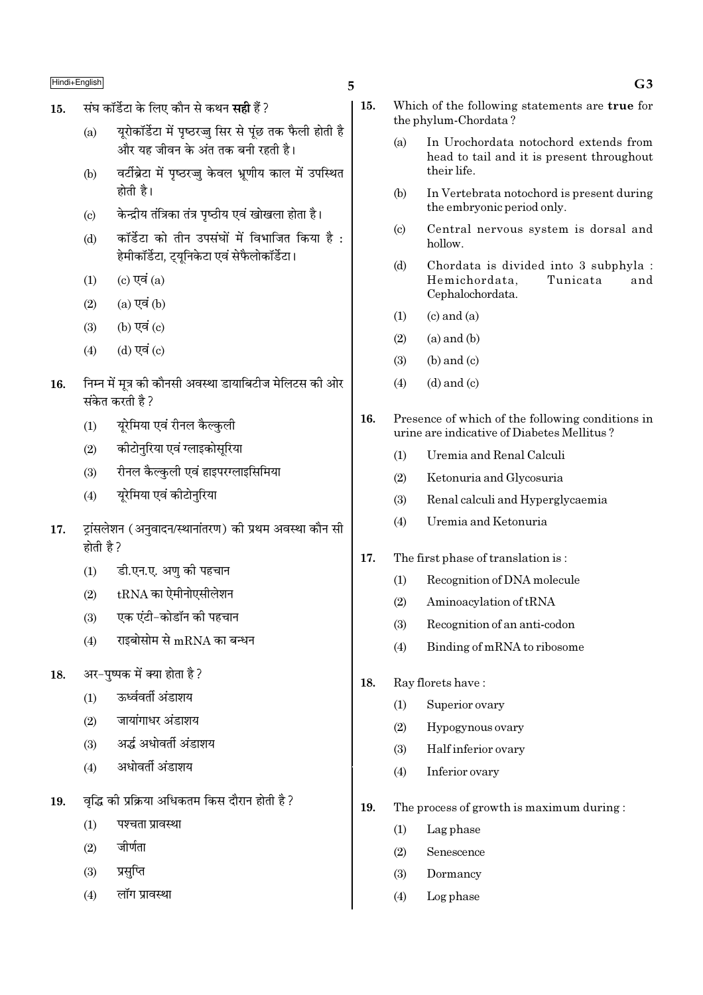- संघ कॉर्डेटा के लिए कौन से कथन **सही** हैं ? 15.
	- यूरोकॉर्डेटा में पृष्ठरज्जु सिर से पूंछ तक फैली होती है  $(a)$ और यह जीवन के अंत तक बनी रहती है।
	- वर्टीब्रेटा में पृष्ठरज्जु केवल भ्रणीय काल में उपस्थित  $(b)$ होती है।
	- केन्द्रीय तंत्रिका तंत्र पृष्ठीय एवं खोखला होता है।  $\left( \mathrm{c} \right)$
	- कॉर्डेटा को तीन उपसंघों में विभाजित किया है :  $(d)$ हेमीकॉर्डेटा, ट्युनिकेटा एवं सेफैलोकॉर्डेटा।
	- (c) एवं  $(a)$  $(1)$
	- $(a)$  एवं  $(b)$  $(2)$
	- (b) एवं (c)  $(3)$
	- (d) एवं (c)  $(4)$
- निम्न में मत्र की कौनसी अवस्था डायाबिटीज मेलिटस की ओर 16. संकेत करती है ?
	- यूरेमिया एवं रीनल कैल्कुली  $(1)$
	- कीटोनुरिया एवं ग्लाइकोसुरिया  $(2)$
	- रीनल कैल्कुली एवं हाइपरग्लाइसिमिया  $(3)$
	- यरेमिया एवं कीटोनुरिया  $(4)$
- ट्रांसलेशन (अनुवादन/स्थानांतरण) की प्रथम अवस्था कौन सी 17. होती है ?
	- डी.एन.ए. अण की पहचान  $(1)$
	- $t\mathrm{RNA}$  का ऐमीनोएसीलेशन  $(2)$
	- एक एंटी-कोडॉन की पहचान  $(3)$
	- राइबोसोम से mRNA का बन्धन  $(4)$
- अर-पुष्पक में क्या होता है? 18.
	- रुर्ध्ववर्ती अंडाशय  $(1)$
	- जायांगाधर अंडाशय  $(2)$
	- अर्द्ध अधोवर्ती अंडाशय  $(3)$
	- अधोवर्ती अंडाशय  $(4)$
- वद्धि की प्रक्रिया अधिकतम किस दौरान होती है ? 19.
	- पश्चता प्रावस्था  $(1)$
	- जीर्णता  $(2)$
	- प्रसप्ति  $(3)$
	- लॉग प्रावस्था  $(4)$

5

- $15.$ Which of the following statements are true for the phylum-Chordata?
	- In Urochordata notochord extends from  $(a)$ head to tail and it is present throughout their life.
	- $(h)$ In Vertebrata notochord is present during the embryonic period only.
	- Central nervous system is dorsal and  $\left( \mathrm{e}\right)$  $h$ ollow
	- $(d)$ Chordata is divided into 3 subphyla : Hemichordata. Tunicata and Cephalochordata.
	- $(c)$  and  $(a)$  $(1)$
	- $(a)$  and  $(b)$  $(2)$
	- $(b)$  and  $(c)$  $(3)$
	- $(d)$  and  $(c)$  $(4)$
- 16. Presence of which of the following conditions in urine are indicative of Diabetes Mellitus?
	- Uremia and Renal Calculi  $(1)$
	- $(2)$ Ketonuria and Glycosuria
	- $(3)$ Renal calculi and Hyperglycaemia
	- $(4)$ Uremia and Ketonuria
- 17. The first phase of translation is:
	- $(1)$ Recognition of DNA molecule
	- $(2)$ Aminoacylation of tRNA
	- $(3)$ Recognition of an anti-codon
	- Binding of mRNA to ribosome  $(4)$
- 18. Ray florets have:
	- $(1)$ Superior ovary
	- Hypogynous ovary  $(2)$
	- $(3)$ Half inferior ovary
	- $(4)$ Inferior ovary
- 19. The process of growth is maximum during:
	- Lag phase  $(1)$
	- $(2)$ Senescence
	- Dormancy  $(3)$
	- $(4)$ Log phase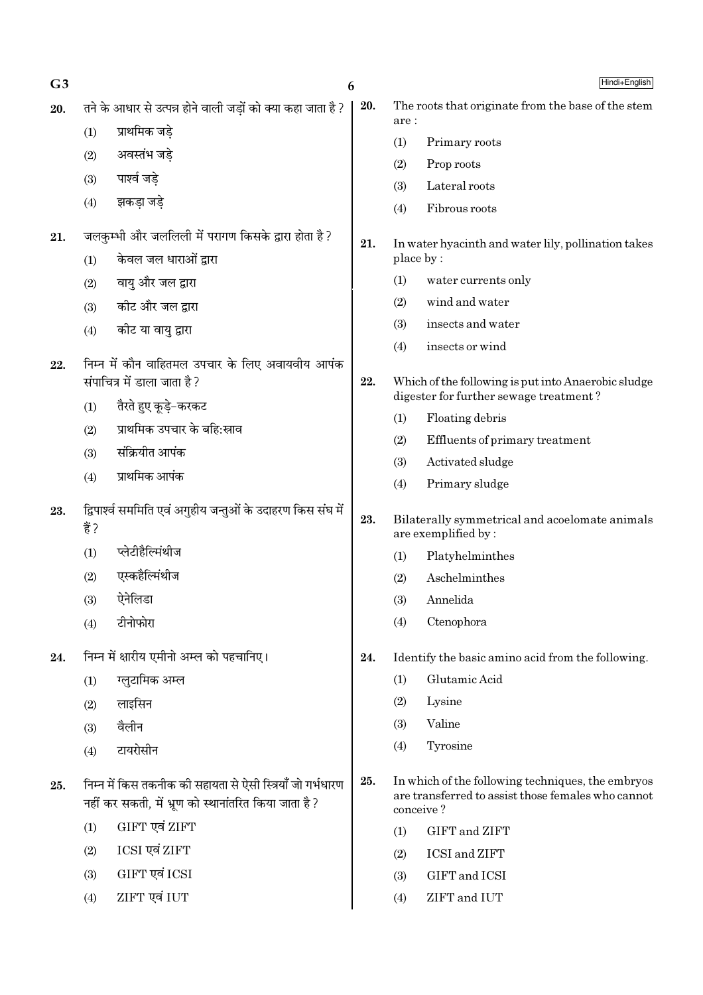| G <sub>3</sub> |                                                                                                                    | 6   |            | Hindi+English                                                                                                        |
|----------------|--------------------------------------------------------------------------------------------------------------------|-----|------------|----------------------------------------------------------------------------------------------------------------------|
| 20.            | तने के आधार से उत्पन्न होने वाली जड़ों को क्या कहा जाता है ?                                                       | 20. |            | The roots that originate from the base of the stem                                                                   |
|                | प्राथमिक जड़े<br>(1)                                                                                               |     | are:       |                                                                                                                      |
|                | अवस्तंभ जड़े<br>(2)                                                                                                |     | (1)        | Primary roots<br>Prop roots                                                                                          |
|                | पार्श्व जडे<br>(3)                                                                                                 |     | (2)<br>(3) | Lateral roots                                                                                                        |
|                | झकडा जडे<br>(4)                                                                                                    |     | (4)        | Fibrous roots                                                                                                        |
| 21.            | जलकुम्भी और जललिली में परागण किसके द्वारा होता है ?                                                                |     |            |                                                                                                                      |
|                | केवल जल धाराओं द्वारा<br>(1)                                                                                       | 21. | place by:  | In water hyacinth and water lily, pollination takes                                                                  |
|                | वायु और जल द्वारा<br>(2)                                                                                           |     | (1)        | water currents only                                                                                                  |
|                | कीट और जल द्वारा<br>(3)                                                                                            |     | (2)        | wind and water                                                                                                       |
|                | कीट या वायु द्वारा<br>(4)                                                                                          |     | (3)        | insects and water                                                                                                    |
|                |                                                                                                                    |     | (4)        | insects or wind                                                                                                      |
| 22.            | निम्न में कौन वाहितमल उपचार के लिए अवायवीय आपंक                                                                    |     |            |                                                                                                                      |
|                | संपाचित्र में डाला जाता है?                                                                                        | 22. |            | Which of the following is put into Anaerobic sludge<br>digester for further sewage treatment?                        |
|                | तैरते हुए कूड़े-करकट<br>(1)                                                                                        |     | (1)        | Floating debris                                                                                                      |
|                | प्राथमिक उपचार के बहि:स्राव<br>(2)                                                                                 |     | (2)        | Effluents of primary treatment                                                                                       |
|                | संक्रियीत आपंक<br>(3)                                                                                              |     | (3)        | Activated sludge                                                                                                     |
|                | प्राथमिक आपंक<br>(4)                                                                                               |     | (4)        | Primary sludge                                                                                                       |
| 23.            | द्विपार्श्व सममिति एवं अगुहीय जन्तुओं के उदाहरण किस संघ में                                                        | 23. |            | Bilaterally symmetrical and acoelomate animals                                                                       |
|                | हैं ?                                                                                                              |     |            | are exemplified by:                                                                                                  |
|                | प्लेटीहैल्मिंथीज<br>(1)                                                                                            |     | (1)        | Platyhelminthes                                                                                                      |
|                | एस्कहैल्मिंथीज<br>(2)                                                                                              |     | (2)        | Aschelminthes                                                                                                        |
|                | ऐनेलिडा<br>(3)                                                                                                     |     | (3)        | Annelida                                                                                                             |
|                | टीनोफोरा<br>(4)                                                                                                    |     | (4)        | Ctenophora                                                                                                           |
| 24.            | निम्न में क्षारीय एमीनो अम्ल को पहचानिए।                                                                           | 24. |            | Identify the basic amino acid from the following.                                                                    |
|                | ग्लुटामिक अम्ल<br>(1)                                                                                              |     | (1)        | Glutamic Acid                                                                                                        |
|                | लाइसिन<br>(2)                                                                                                      |     | (2)        | Lysine                                                                                                               |
|                | वैलीन<br>(3)                                                                                                       |     | (3)        | Valine                                                                                                               |
|                | टायरोसीन<br>(4)                                                                                                    |     | (4)        | Tyrosine                                                                                                             |
| 25.            | निम्न में किस तकनीक की सहायता से ऐसी स्त्रियाँ जो गर्भधारण<br>नहीं कर सकती, में भ्रूण को स्थानांतरित किया जाता है? | 25. |            | In which of the following techniques, the embryos<br>are transferred to assist those females who cannot<br>conceive? |
|                | GIFT एवं ZIFT<br>(1)                                                                                               |     | (1)        | GIFT and ZIFT                                                                                                        |
|                | ICSI एवं ZIFT<br>(2)                                                                                               |     | (2)        | ICSI and ZIFT                                                                                                        |
|                | GIFT एवं ICSI<br>(3)                                                                                               |     | (3)        | GIFT and ICSI                                                                                                        |
|                | ZIFT एवं IUT<br>(4)                                                                                                |     | (4)        | ZIFT and IUT                                                                                                         |
|                |                                                                                                                    |     |            |                                                                                                                      |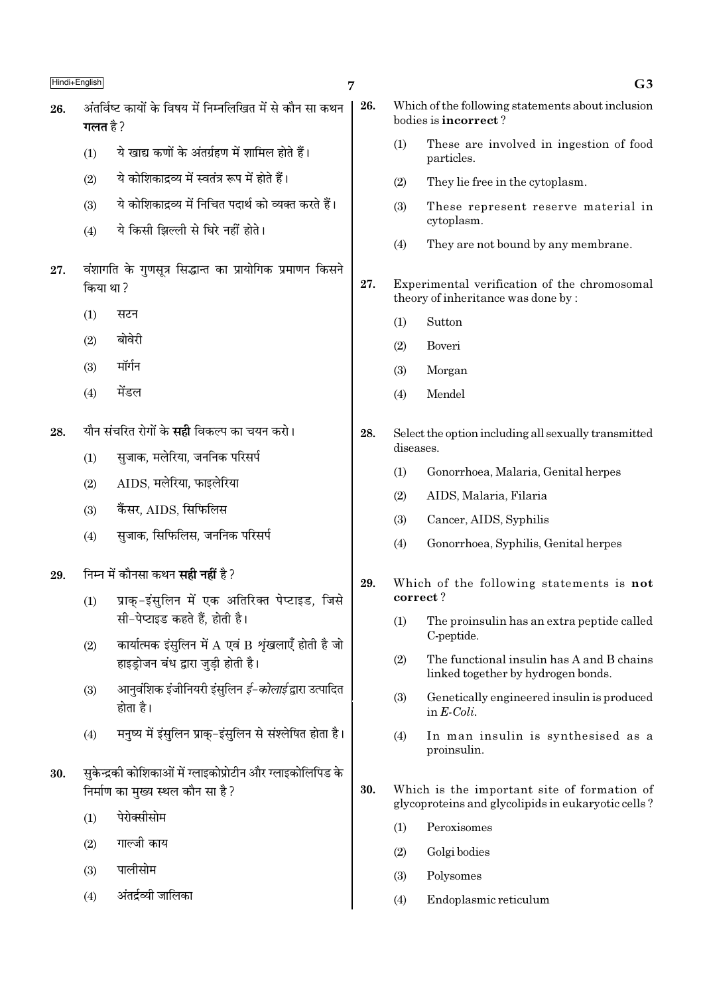- 7
- अंतर्विष्ट कार्यों के विषय में निम्नलिखित में से कौन सा कथन 26. गलत $\n <sup>2</sup>$ 
	- ये खाद्य कणों के अंतर्ग्रहण में शामिल होते हैं।  $(1)$
	- ये कोशिकादव्य में स्वतंत्र रूप में होते हैं।  $(2)$
	- ये कोशिकादव्य में निचित पदार्थ को व्यक्त करते हैं।  $(3)$
	- ये किसी झिल्ली से घिरे नहीं होते।  $(4)$
- वंशागति के गुणसूत्र सिद्धान्त का प्रायोगिक प्रमाणन किसने 27. किया था?
	- $(1)$ सटन
	- बोवेरी  $(2)$
	- मॉर्गन  $(3)$
	- मेंडल  $(4)$
- यौन संचरित रोगों के **सद्दी** विकल्प का चयन करो। 28.
	- सुजाक, मलेरिया, जननिक परिसर्प  $(1)$
	- $(2)$ AIDS, मलेरिया, फाइलेरिया
	- कैंसर, AIDS, सिफिलिस  $(3)$
	- सुजाक, सिफिलिस, जननिक परिसर्प  $(4)$
- निम्न में कौनसा कथन **सही नहीं** है ? 29.
	- प्राक-इंसुलिन में एक अतिरिक्त पेप्टाइड, जिसे  $(1)$ सी-पेप्टाइड कहते हैं. होती है।
	- कार्यात्मक इंसुलिन में  $A$  एवं B शृंखलाएँ होती है जो  $(2)$ हाइड़ोजन बंध द्वारा जुडी होती है।
	- आनवंशिक इंजीनियरी इंसुलिन *ई–कोलाई* द्वारा उत्पादित  $(3)$ होता है।
	- मनुष्य में इंसुलिन प्राक्-इंसुलिन से संश्लेषित होता है।  $(4)$
- सकेन्द्रकी कोशिकाओं में ग्लाइकोप्रोटीन और ग्लाइकोलिपिड के 30. निर्माण का मुख्य स्थल कौन सा है?
	- पेरोक्सीसोम  $(1)$
	- गाल्जी काय  $(2)$
	- पालीसोम  $(3)$
	- अंतर्द्रव्यी जालिका  $(4)$
- 26. Which of the following statements about inclusion bodies is incorrect?
	- $(1)$ These are involved in ingestion of food particles.
	- They lie free in the cytoplasm.  $(2)$
	- $(3)$ These represent reserve material in cvtoplasm.
	- $(4)$ They are not bound by any membrane.
- 27. Experimental verification of the chromosomal theory of inheritance was done by:
	- $(1)$ Sutton
	- $(2)$ Boveri
	- Morgan  $(3)$
	- Mendel  $(4)$
- 28. Select the option including all sexually transmitted diseases.
	- Gonorrhoea, Malaria, Genital herpes  $(1)$
	- $(2)$ AIDS, Malaria, Filaria
	- Cancer, AIDS, Syphilis  $(3)$
	- Gonorrhoea, Syphilis, Genital herpes  $(4)$
- 29. Which of the following statements is not correct?
	- $(1)$ The proinsulin has an extra peptide called C-peptide.
	- $(2)$ The functional insulin has A and B chains linked together by hydrogen bonds.
	- $(3)$ Genetically engineered insulin is produced in  $E\text{-}Coli$ .
	- In man insulin is synthesised as a  $(4)$ proinsulin.
- 30. Which is the important site of formation of glycoproteins and glycolipids in eukaryotic cells?
	- $(1)$ Peroxisomes
	- $(2)$ Golgi bodies
	- $(3)$ Polysomes
	- $(4)$ Endoplasmic reticulum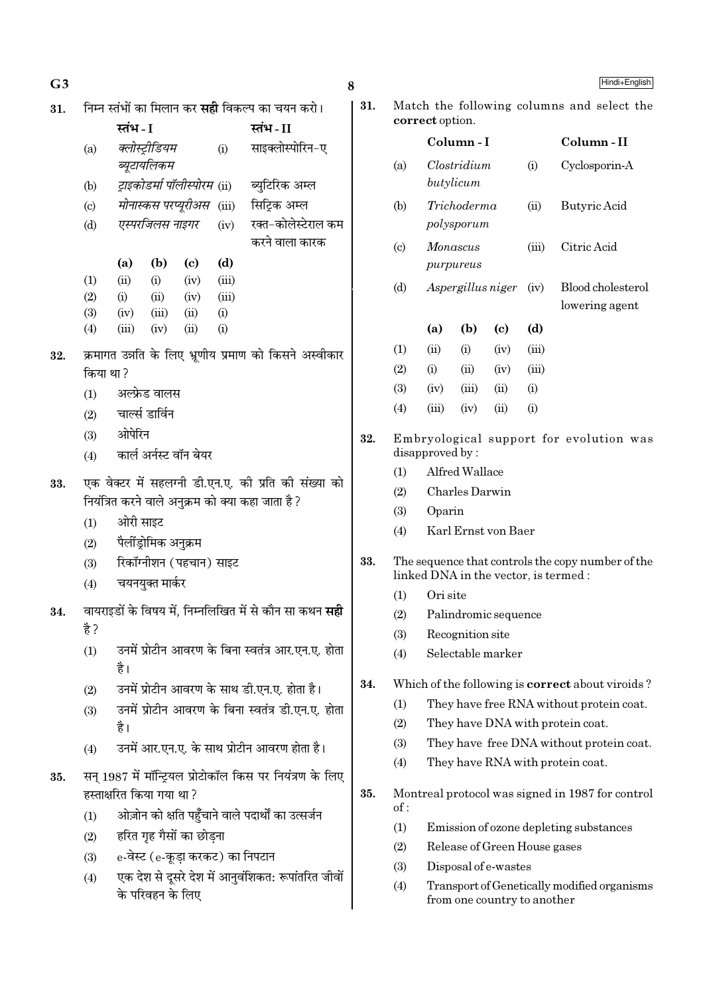| G <sub>3</sub> |           |                           |                               |                          |                                  |                                                                | 8   |
|----------------|-----------|---------------------------|-------------------------------|--------------------------|----------------------------------|----------------------------------------------------------------|-----|
| 31.            |           |                           |                               |                          |                                  | निम्न स्तंभों का मिलान कर <b>सही</b> विकल्प का चयन करो।        | 31. |
|                |           | स्तंभ - I                 |                               |                          |                                  | स्तंभ-II                                                       |     |
|                | (a)       |                           | क्लोस्ट्रीडियम<br>ब्यूटायलिकम |                          | (i)                              | साइक्लोस्पोरिन-ए                                               |     |
|                | (b)       |                           |                               |                          |                                  | <i>ट्राइकोडर्मा पॉलीस्पोरम</i> (ii) ब्युटिरिक अम्ल             |     |
|                | (c)       |                           |                               |                          |                                  | <i>मोनास्कस परप्यूरीअस</i> (iii) सिट्रिक अम्ल                  |     |
|                | (d)       |                           |                               |                          | एस्परजिलस नाइगर (iv)             | रक्त-कोलेस्टेराल कम<br>करने वाला कारक                          |     |
|                |           | (a)                       | (b)                           | (c)                      | (d)                              |                                                                |     |
|                | (1)       | (ii)                      | (i)                           | (iv)                     | (iii)                            |                                                                |     |
|                | (2)       | (i)                       | (ii)                          | (iv)                     | (iii)                            |                                                                |     |
|                | (3)       | (iv)                      | (iii)                         | (ii)                     | (i)                              |                                                                |     |
|                | (4)       | (iii)                     | (iv)                          | (ii)                     | (i)                              |                                                                |     |
| 32.            | किया था ? |                           |                               |                          |                                  | क्रमागत उन्नति के लिए भ्रूणीय प्रमाण को किसने अस्वीकार         |     |
|                | (1)       |                           | अल्फ्रेड वालस                 |                          |                                  |                                                                |     |
|                |           | (2) चार्ल्स डार्विन       |                               |                          |                                  |                                                                |     |
|                |           | (3) ओपेरिन                |                               |                          |                                  |                                                                | 32. |
|                | (4)       |                           |                               | कार्ल अर्नस्ट वॉन बेयर   |                                  |                                                                |     |
|                |           |                           |                               |                          |                                  |                                                                |     |
| 33.            |           |                           |                               |                          |                                  | एक वेक्टर में सहलग्नी डी.एन.ए. की प्रति की संख्या को           |     |
|                |           |                           |                               |                          |                                  | नियंत्रित करने वाले अनुक्रम को क्या कहा जाता है ?              |     |
|                | (1)       | ओरी साइट                  |                               |                          |                                  |                                                                |     |
|                | (2)       |                           | पैलींड्रोमिक अनुक्रम          |                          |                                  |                                                                |     |
|                | (3)       |                           |                               | रिकॉग्नीशन (पहचान) साइट  |                                  |                                                                | 33. |
|                | (4)       |                           | चयनयुक्त मार्कर               |                          |                                  |                                                                |     |
| 34.            |           |                           |                               |                          |                                  | वायराइडों के विषय में, निम्नलिखित में से कौन सा कथन <b>सही</b> |     |
|                | है ?      |                           |                               |                          |                                  |                                                                |     |
|                | (1)       |                           |                               |                          |                                  | उनमें प्रोटीन आवरण के बिना स्वतंत्र आर.एन.ए. होता              |     |
|                |           | है।                       |                               |                          |                                  |                                                                |     |
|                | (2)       |                           |                               |                          |                                  | उनमें प्रोटीन आवरण के साथ डी.एन.ए. होता है।                    | 34. |
|                | (3)       |                           |                               |                          |                                  | उनमें प्रोटीन आवरण के बिना स्वतंत्र डी.एन.ए. होता              |     |
|                |           | है।                       |                               |                          |                                  |                                                                |     |
|                | (4)       |                           |                               |                          |                                  | उनमें आर.एन.ए. के साथ प्रोटीन आवरण होता है।                    |     |
| 35.            |           |                           |                               |                          |                                  | सन् 1987 में मॉन्ट्रियल प्रोटोकॉल किस पर नियंत्रण के लिए       |     |
|                |           | हस्ताक्षरित किया गया था ? |                               |                          |                                  |                                                                | 35. |
|                | (1)       |                           |                               |                          |                                  | ओज़ोन को क्षति पहुँचाने वाले पदार्थों का उत्सर्जन              |     |
|                | (2)       |                           |                               | हरित गृह गैसों का छोड़ना |                                  |                                                                |     |
|                | (3)       |                           |                               |                          | e-वेस्ट (e-कूड़ा करकट) का निपटान |                                                                |     |
|                | (4)       |                           |                               |                          |                                  | एक देश से दूसरे देश में आनुवंशिकत: रूपांतरित जीवों             |     |
|                |           |                           | के परिवहन के लिए              |                          |                                  |                                                                |     |
|                |           |                           |                               |                          |                                  |                                                                |     |

|                            |          | Column-I                         |                              |          | Column-II                                                                                                                                                                                                                                                                                          |
|----------------------------|----------|----------------------------------|------------------------------|----------|----------------------------------------------------------------------------------------------------------------------------------------------------------------------------------------------------------------------------------------------------------------------------------------------------|
| (a)                        |          | Clostridium<br>butylicum         |                              | (i)      | Cyclosporin-A                                                                                                                                                                                                                                                                                      |
| (b)                        |          | Trichoderma<br>polysporum        |                              | (ii)     | Butyric Acid                                                                                                                                                                                                                                                                                       |
| $\left( \mathrm{c}\right)$ |          | Monascus<br>purpureus            |                              | (iii)    | Citric Acid                                                                                                                                                                                                                                                                                        |
| (d)                        |          |                                  | Aspergillus niger            | (iv)     | Blood cholesterol<br>lowering agent                                                                                                                                                                                                                                                                |
|                            | (a)      | (b)                              | $\left( \mathrm{c}\right)$   | (d)      |                                                                                                                                                                                                                                                                                                    |
| (1)                        | (ii)     | (i)                              | (iv)                         | (iii)    |                                                                                                                                                                                                                                                                                                    |
| (2)                        | (i)      | (ii)                             | (iv)                         | (iii)    |                                                                                                                                                                                                                                                                                                    |
| (3)                        | (iv)     | (iii)                            | (ii)                         | $\rm(i)$ |                                                                                                                                                                                                                                                                                                    |
| (4)                        | (iii)    | (iv)                             | (ii)                         | (i)      |                                                                                                                                                                                                                                                                                                    |
| (2)<br>(3)                 | Oparin   | Alfred Wallace<br>Charles Darwin |                              |          |                                                                                                                                                                                                                                                                                                    |
| (4)                        |          |                                  | Karl Ernst von Baer          |          |                                                                                                                                                                                                                                                                                                    |
|                            |          |                                  |                              |          | linked DNA in the vector, is termed:                                                                                                                                                                                                                                                               |
| (1)                        | Ori site |                                  |                              |          |                                                                                                                                                                                                                                                                                                    |
| (2)                        |          |                                  | Palindromic sequence         |          |                                                                                                                                                                                                                                                                                                    |
| (3)<br>(4)                 |          | Recognition site                 | Selectable marker            |          |                                                                                                                                                                                                                                                                                                    |
|                            |          |                                  |                              |          |                                                                                                                                                                                                                                                                                                    |
| (1)                        |          |                                  |                              |          |                                                                                                                                                                                                                                                                                                    |
| (2)                        |          |                                  |                              |          | They have DNA with protein coat.                                                                                                                                                                                                                                                                   |
| (3)                        |          |                                  |                              |          |                                                                                                                                                                                                                                                                                                    |
| (4)                        |          |                                  |                              |          | They have RNA with protein coat.                                                                                                                                                                                                                                                                   |
| of:                        |          |                                  |                              |          |                                                                                                                                                                                                                                                                                                    |
| (1)                        |          |                                  |                              |          | The sequence that controls the copy number of the<br>Which of the following is <b>correct</b> about viroids?<br>They have free RNA without protein coat.<br>They have free DNA without protein coat.<br>Montreal protocol was signed in 1987 for control<br>Emission of ozone depleting substances |
| (2)                        |          |                                  | Release of Green House gases |          |                                                                                                                                                                                                                                                                                                    |

(4) Transport of Genetically modified organisms from one country to another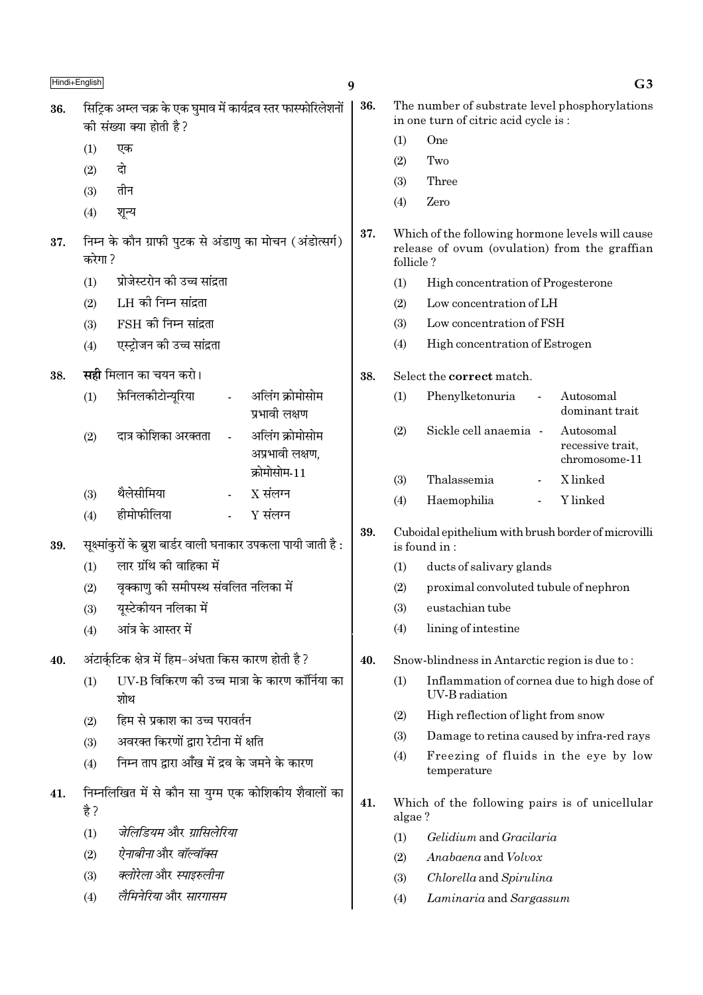|     | Hindi+English |                                                                                            | 9   |           | G <sub>3</sub>                                                                                    |
|-----|---------------|--------------------------------------------------------------------------------------------|-----|-----------|---------------------------------------------------------------------------------------------------|
| 36. |               | सिट्रिक अम्ल चक्र के एक घुमाव में कार्यद्रव स्तर फास्फोरिलेशनों<br>की संख्या क्या होती है? | 36. |           | The number of substrate level phosphorylations<br>in one turn of citric acid cycle is :           |
|     | (1)           | एक                                                                                         |     | (1)       | One                                                                                               |
|     | (2)           | दो                                                                                         |     | (2)       | Two                                                                                               |
|     | (3)           | तीन                                                                                        |     | (3)       | Three                                                                                             |
|     | (4)           | शून्य                                                                                      |     | (4)       | Zero                                                                                              |
| 37. | करेगा ?       | निम्न के कौन ग्राफी पुटक से अंडाणु का मोचन (अंडोत्सर्ग)                                    | 37. | follicle? | Which of the following hormone levels will cause<br>release of ovum (ovulation) from the graffian |
|     | (1)           | प्रोजेस्टरोन की उच्च सांद्रता                                                              |     | (1)       | High concentration of Progesterone                                                                |
|     | (2)           | LH की निम्न सांद्रता                                                                       |     | (2)       | Low concentration of LH                                                                           |
|     | (3)           | $FSH$ की निम्न सांद्रता                                                                    |     | (3)       | Low concentration of FSH                                                                          |
|     | (4)           | एस्ट्रोजन की उच्च सांद्रता                                                                 |     | (4)       | High concentration of Estrogen                                                                    |
| 38. |               | <b>सही</b> मिलान का चयन करो।                                                               | 38. |           | Select the correct match.                                                                         |
|     | (1)           | फ़ेनिलकीटोन्यूरिया<br>अलिंग क्रोमोसोम<br>$\blacksquare$<br>प्रभावी लक्षण                   |     | (1)       | Phenylketonuria<br>Autosomal<br>dominant trait                                                    |
|     | (2)           | अलिंग क्रोमोसोम<br>दात्र कोशिका अरक्तता<br>अप्रभावी लक्षण,                                 |     | (2)       | Sickle cell anaemia -<br>Autosomal<br>recessive trait,<br>chromosome-11                           |
|     |               | क्रोमोसोम-11                                                                               |     | (3)       | Thalassemia<br>X linked                                                                           |
|     | (3)           | $X$ संलग्न<br>थैलेसीमिया                                                                   |     | (4)       | Y linked<br>Haemophilia                                                                           |
|     | (4)           | हीमोफीलिया<br>$Y$ संलग्न                                                                   | 39. |           |                                                                                                   |
| 39. |               | सूक्ष्मांकुरों के ब्रुश बार्डर वाली घनाकार उपकला पायी जाती है :                            |     |           | Cuboidal epithelium with brush border of microvilli<br>is found in:                               |
|     | (1)           | लार ग्रंथि की वाहिका में                                                                   |     | (1)       | ducts of salivary glands                                                                          |
|     | (2)           | वृक्काणु को समीपस्थ संवलित नलिका में                                                       |     | (2)       | proximal convoluted tubule of nephron                                                             |
|     | (3)           | यूस्टेकीयन नलिका में                                                                       |     | (3)       | eustachian tube                                                                                   |
|     | (4)           | आंत्र के आस्तर में                                                                         |     | (4)       | lining of intestine                                                                               |
| 40. |               | अंटार्कुटिक क्षेत्र में हिम-अंधता किस कारण होती है ?                                       | 40. |           | Snow-blindness in Antarctic region is due to:                                                     |
|     | (1)           | UV-B विकिरण की उच्च मात्रा के कारण कॉर्निया का<br>शोथ                                      |     | (1)       | Inflammation of cornea due to high dose of<br>UV-B radiation                                      |
|     | (2)           | हिम से प्रकाश का उच्च परावर्तन                                                             |     | (2)       | High reflection of light from snow                                                                |
|     | (3)           | अवरक्त किरणों द्वारा रेटीना में क्षति                                                      |     | (3)       | Damage to retina caused by infra-red rays                                                         |
|     | (4)           | निम्न ताप द्वारा आँख में द्रव के जमने के कारण                                              |     | (4)       | Freezing of fluids in the eye by low<br>temperature                                               |
| 41. | है ?          | निम्नलिखित में से कौन सा युग्म एक कोशिकीय शैवालों का                                       | 41. | algae?    | Which of the following pairs is of unicellular                                                    |
|     | (1)           | जेलिडियम और ग्रासिलेरिया                                                                   |     | (1)       | Gelidium and Gracilaria                                                                           |
|     | (2)           | <i>ऐनाबीना</i> और <i>वॉल्वॉक्स</i>                                                         |     | (2)       | Anabaena and Volvox                                                                               |
|     | (3)           | क्लोरेला और स्पाइरुलीना                                                                    |     | (3)       | Chlorella and Spirulina                                                                           |
|     | (4)           | लैमिनेरिया और सारगासम                                                                      |     | (4)       | Laminaria and Sargassum                                                                           |
|     |               |                                                                                            |     |           |                                                                                                   |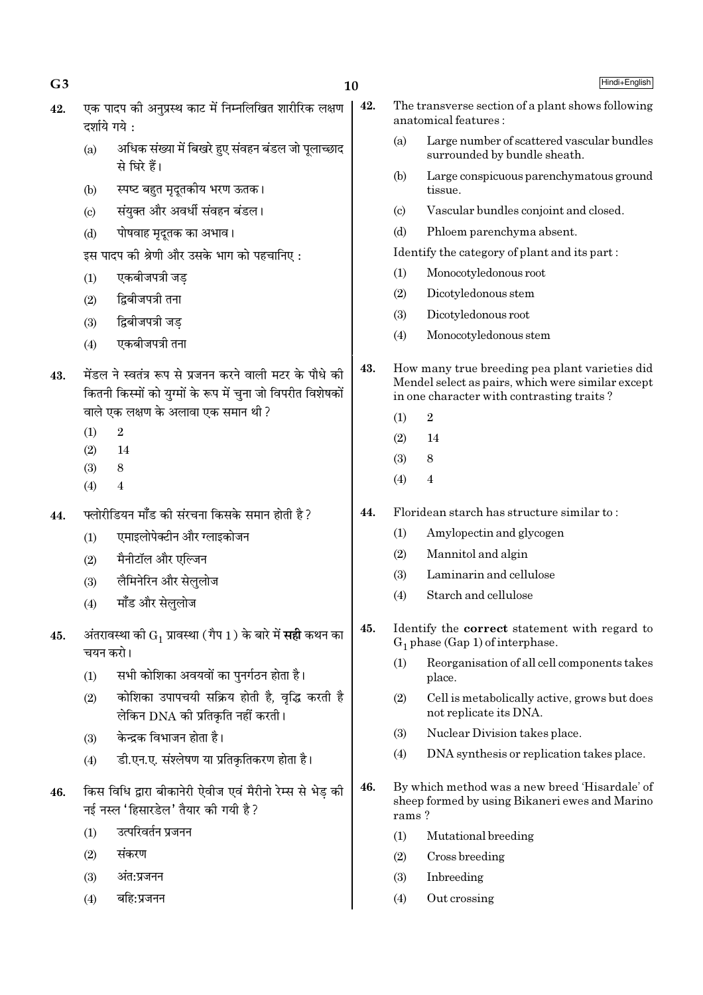| 42. | दर्शाये गये: | एक पादप की अनुप्रस्थ काट में निम्नलिखित शारीरिक लक्षण                                                                                                          | 42. |                           | The transverse section of a plant shows following<br>anatomical features:                                                                        |
|-----|--------------|----------------------------------------------------------------------------------------------------------------------------------------------------------------|-----|---------------------------|--------------------------------------------------------------------------------------------------------------------------------------------------|
|     | (a)          | अधिक संख्या में बिखरे हुए संवहन बंडल जो पूलाच्छाद<br>से घिरे हैं।                                                                                              |     | (a)                       | Large number of scattered vascular bundles<br>surrounded by bundle sheath.                                                                       |
|     | (b)          | स्पष्ट बहुत मृदूतकीय भरण ऊतक।                                                                                                                                  |     | (b)                       | Large conspicuous parenchymatous ground<br>tissue.                                                                                               |
|     | (c)          | संयुक्त और अवर्धी संवहन बंडल।                                                                                                                                  |     | $\left( \text{c} \right)$ | Vascular bundles conjoint and closed.                                                                                                            |
|     | (d)          | पोषवाह मृदूतक का अभाव।                                                                                                                                         |     | (d)                       | Phloem parenchyma absent.                                                                                                                        |
|     |              | इस पादप की श्रेणी और उसके भाग को पहचानिए:                                                                                                                      |     |                           | Identify the category of plant and its part:                                                                                                     |
|     | (1)          | एकबीजपत्री जड़                                                                                                                                                 |     | (1)                       | Monocotyledonous root                                                                                                                            |
|     | (2)          | द्विबीजपत्री तना                                                                                                                                               |     | (2)                       | Dicotyledonous stem                                                                                                                              |
|     | (3)          | द्विबीजपत्री जड़                                                                                                                                               |     | (3)                       | Dicotyledonous root                                                                                                                              |
|     | (4)          | एकबीजपत्री तना                                                                                                                                                 |     | (4)                       | Monocotyledonous stem                                                                                                                            |
| 43. |              | मेंडल ने स्वतंत्र रूप से प्रजनन करने वाली मटर के पौधे की<br>कितनी किस्मों को युग्मों के रूप में चुना जो विपरीत विशेषकों<br>वाले एक लक्षण के अलावा एक समान थी ? | 43. |                           | How many true breeding pea plant varieties did<br>Mendel select as pairs, which were similar except<br>in one character with contrasting traits? |
|     | (1)          | $\sqrt{2}$                                                                                                                                                     |     | (1)                       | $\overline{2}$                                                                                                                                   |
|     | (2)          | 14                                                                                                                                                             |     | (2)                       | 14                                                                                                                                               |
|     | (3)          | $\,8\,$                                                                                                                                                        |     | (3)                       | 8                                                                                                                                                |
|     | (4)          | 4                                                                                                                                                              |     | (4)                       | 4                                                                                                                                                |
| 44. |              | फ्लोरीडियन मॉॅंड की संरचना किसके समान होती है ?                                                                                                                | 44. |                           | Floridean starch has structure similar to:                                                                                                       |
|     | (1)          | एमाइलोपेक्टीन और ग्लाइकोजन                                                                                                                                     |     | (1)                       | Amylopectin and glycogen                                                                                                                         |
|     | (2)          | मैनीटॉल और एल्जिन                                                                                                                                              |     | (2)                       | Mannitol and algin                                                                                                                               |
|     | (3)          | लैमिनेरिन और सेलुलोज                                                                                                                                           |     | (3)                       | Laminarin and cellulose                                                                                                                          |
|     | (4)          | मॉॅंड और सेललोज                                                                                                                                                |     | (4)                       | Starch and cellulose                                                                                                                             |
| 45. | चयन करो।     | अंतरावस्था को $\mathrm{G}_1$ प्रावस्था (गैप 1) के बारे में <b>सही</b> कथन का                                                                                   | 45. |                           | Identify the <b>correct</b> statement with regard to<br>$G_1$ phase (Gap 1) of interphase.                                                       |
|     | (1)          | सभी कोशिका अवयवों का पुनर्गठन होता है।                                                                                                                         |     | (1)                       | Reorganisation of all cell components takes<br>place.                                                                                            |
|     | (2)          | कोशिका उपापचयी सक्रिय होती है, वृद्धि करती है<br>लेकिन DNA की प्रतिकृति नहीं करती।                                                                             |     | (2)                       | Cell is metabolically active, grows but does<br>not replicate its DNA.                                                                           |
|     | (3)          | केन्द्रक विभाजन होता है।                                                                                                                                       |     | (3)                       | Nuclear Division takes place.                                                                                                                    |
|     | (4)          | डी.एन.ए. संश्लेषण या प्रतिकृतिकरण होता है।                                                                                                                     |     | (4)                       | DNA synthesis or replication takes place.                                                                                                        |
| 46. |              | किस विधि द्वारा बीकानेरी ऐवीज एवं मैरीनो रेम्स से भेड़ की<br>नई नस्ल 'हिसारडेल' तैयार की गयी है?                                                               | 46. | rams?                     | By which method was a new breed 'Hisardale' of<br>sheep formed by using Bikaneri ewes and Marino                                                 |
|     | (1)          | उत्परिवर्तन प्रजनन                                                                                                                                             |     | (1)                       | Mutational breeding                                                                                                                              |
|     | (2)          | संकरण                                                                                                                                                          |     | (2)                       | Cross breeding                                                                                                                                   |
|     | (3)          | अंत:प्रजनन                                                                                                                                                     |     | (3)                       | Inbreeding                                                                                                                                       |
|     | (4)          | बहि:प्रजनन                                                                                                                                                     |     | (4)                       | Out crossing                                                                                                                                     |
|     |              |                                                                                                                                                                |     |                           |                                                                                                                                                  |

10

 $G<sub>3</sub>$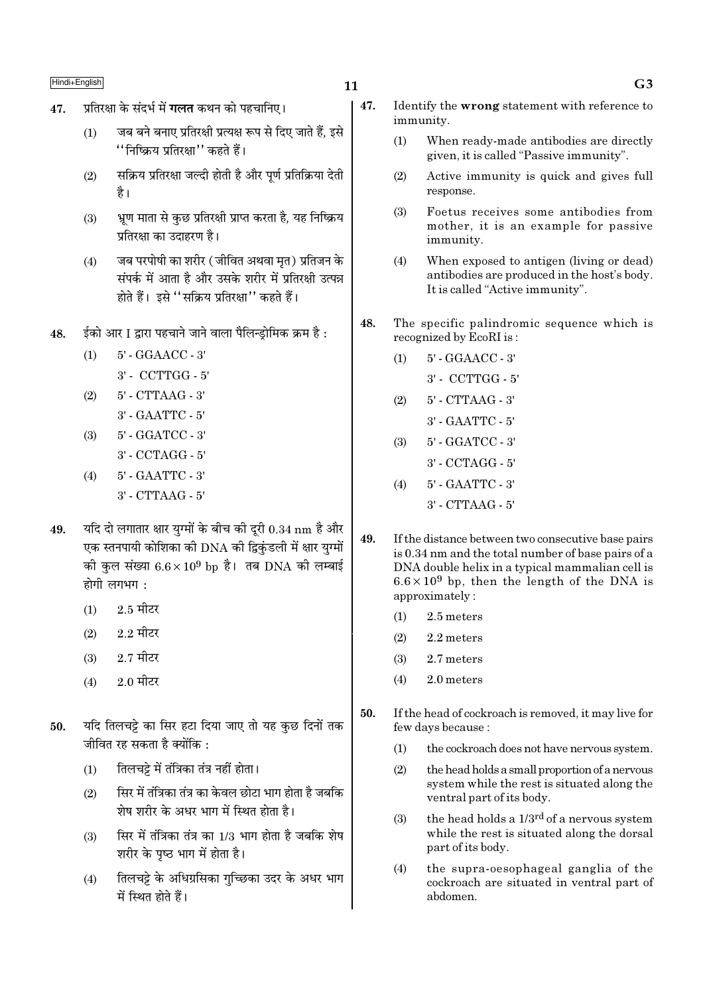- प्रतिरक्षा के संदर्भ में **गलत** कथन को पहचानिए। 47.
	- जब बने बनाए प्रतिरक्षी प्रत्यक्ष रूप से दिए जाते हैं, इसे  $(1)$ ''निष्क्रिय प्रतिरक्षा'' कहते हैं।
	- सक्रिय प्रतिरक्षा जल्दी होती है और पूर्ण प्रतिक्रिया देती  $(2)$ है।
	- भ्रण माता से कुछ प्रतिरक्षी प्राप्त करता है, यह निष्क्रिय  $(3)$ प्रतिरक्षा का उदाहरण है।
	- जब परपोषी का शरीर (जीवित अथवा मृत) प्रतिजन के  $(4)$ संपर्क में आता है और उसके शरीर में प्रतिरक्षी उत्पन्न होते हैं। इसे ''सक्रिय प्रतिरक्षा'' कहते हैं।
- ईको आर I द्वारा पहचाने जाने वाला पैलिन्डोमिक क्रम है : 48
	- $5'$  GGAACC  $3'$  $(1)$  $3'$  - CCTTGG -  $5'$
	- 5' CTTAAG 3'  $(2)$ 3' - GAATTC - 5'
	- $5'$  GGATCC  $3'$  $(3)$ 3' - CCTAGG - 5'
	- 5' GAATTC 3'  $(4)$  $3'$  - CTTAAG - 5'
- यदि दो लगातार क्षार युग्मों के बीच की दूरी  $0.34 \text{ nm}$  है और 49. एक स्तनपायी कोशिका की DNA की द्विकंडली में क्षार युग्मों की कुल संख्या  $6.6 \times 10^9$  bp है। तब DNA की लम्बाई होगी लगभग:
	- $2.5$  मीटर  $(1)$
	- $2.2$  मीटर  $(2)$
	- $2.7$  मीटर  $(3)$
	- $2.0$  मीटर  $(4)$
- यदि तिलचट्टे का सिर हटा दिया जाए तो यह कुछ दिनों तक 50. जीवित रह सकता है क्योंकि :
	- तिलचट्टे में तंत्रिका तंत्र नहीं होता।  $(1)$
	- सिर में तंत्रिका तंत्र का केवल छोटा भाग होता है जबकि  $(2)$ शेष शरीर के अधर भाग में स्थित होता है।
	- सिर में तंत्रिका तंत्र का 1/3 भाग होता है जबकि शेष  $(3)$ शरीर के पष्ठ भाग में होता है।
	- तिलचट्टे के अधिग्रसिका गुच्छिका उदर के अधर भाग  $(4)$ में स्थित होते हैं।
- 47. Identify the wrong statement with reference to immunity.
	- $(1)$ When ready-made antibodies are directly given, it is called "Passive immunity".
	- Active immunity is quick and gives full  $(2)$ response.
	- $(3)$ Foetus receives some antibodies from mother, it is an example for passive immunity.
	- $(4)$ When exposed to antigen (living or dead) antibodies are produced in the host's body. It is called "Active immunity".
- 48. The specific palindromic sequence which is recognized by EcoRI is:
	- 5' GGAACC 3'  $(1)$ 
		- 3' CCTTGG 5'
	- 5' CTTAAG 3'  $(2)$ 
		- 3' GAATTC 5'
	- 5' GGATCC 3'  $(3)$ 
		- 3' CCTAGG 5'
	- 5' GAATTC 3'  $(4)$ 
		- $3'$  CTTAAG  $5'$
- 49. If the distance between two consecutive base pairs is 0.34 nm and the total number of base pairs of a DNA double helix in a typical mammalian cell is  $6.6 \times 10^9$  bp, then the length of the DNA is approximately:
	- 2.5 meters  $(1)$
	- $(2)$ 2.2 meters
	- $(3)$ 2.7 meters
	- $(4)$ 2.0 meters
- 50. If the head of cockroach is removed, it may live for few days because:
	- $(1)$ the cockroach does not have nervous system.
	- $(2)$ the head holds a small proportion of a nervous system while the rest is situated along the ventral part of its body.
	- the head holds a 1/3<sup>rd</sup> of a nervous system  $(3)$ while the rest is situated along the dorsal part of its body.
	- the supra-oesophageal ganglia of the  $(4)$ cockroach are situated in ventral part of abdomen.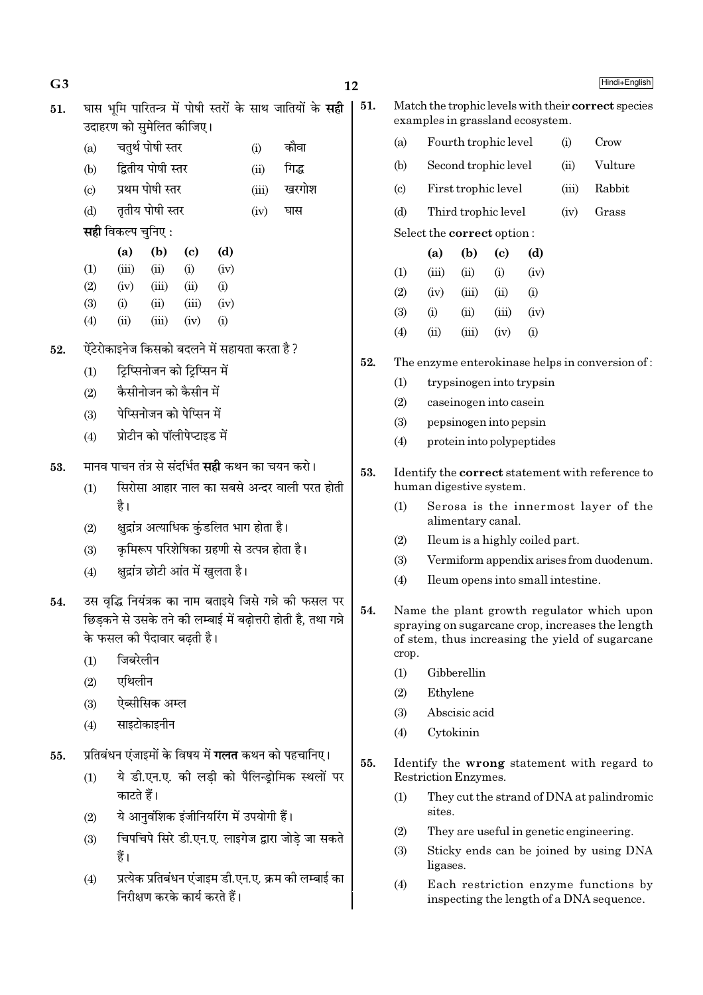51. घास भमि पारितन्त्र में पोषी स्तरों के साथ जातियों के सही उदाहरण को समेलित कीजिए।

- (a) चतुर्थ पोषी स्तर (i) कौवा (b) द्वितीय पोषी स्तर (ii) गिद्ध
- (c) प्रथम पोषी स्तर (iii) खरगोश
- (d) तृतीय पोषी स्तर (iv) घास

**सही** विकल्प चुनिए :

|                   | (a)    | (b)   | (c)   | (d)               |
|-------------------|--------|-------|-------|-------------------|
| (1)               | (iii)  | (ii)  | (i)   | (iv)              |
| (2)               | (iv)   | (iii) | (ii)  | $\rm(i)$          |
| (3)               | (i)    | (ii)  | (iii) | (iv)              |
| $\left( 4\right)$ | $\sin$ | (iii) | (iv)  | $\left( 1\right)$ |

- $52.$   $\,$  ऐंटेरोकाइनेज किसको बदलने में सहायता करता है ?
	- $(1)$   $\blacksquare$  टिप्सिनोजन को टिप्सिन में
	- $(2)$  कैसीनोजन को कैसीन में
	- (3) पेप्सिनोजन को पेप्सिन में
	- $(4)$  प्रोटीन को पॉलीपेप्टाइड में
- 53. मानव पाचन तंत्र से संदर्भित **सही** कथन का चयन करो।
	- $(1)$  सिरोसा आहार नाल का सबसे अन्दर वाली परत होती है।
	- $(2)$  क्षुद्रांत्र अत्याधिक कुंडलित भाग होता है।
	- (3) कृमिरूप परिशेषिका ग्रहणी से उत्पन्न होता है।
	- $(4)$  क्षुद्रांत्र छोटी आंत में खुलता है।
- 54. उस वद्धि नियंत्रक का नाम बताइये जिसे गन्ने की फसल पर <u>छिडकने से उसके तने की लम्बाई में बढोत्तरी होती है. तथा गन्ने </u> के फसल की पैदावार बढती है।
	- $(1)$  जिबरेलीन
	- $(2)$  एथिलीन
	- (3) ऐब्सीसिक अम्ल
	- $(4)$  साइटोकाइनीन
- 55. प्रतिबंधन एंजाइमों के विषय में **गलत** कथन को पहचानिए।
	- (1) ये डी.एन.ए. की लडी को पैलिन्डोमिक स्थलों पर काटते हैं।
	- (2) ये आनुवंशिक इंजीनियरिंग में उपयोगी हैं।
	- (3) निपचिपे सिरे डी.एन.ए. लाइगेज द्वारा जोडे जा सकते हैं।
	- (4) प्रत्येक प्रतिबंधन एंजाइम डी.एन.ए. क्रम की लम्बाई का निरीक्षण करके कार्य करते हैं।
- 51. Match the trophic levels with their correct species examples in grassland ecosystem.
	- (a) Fourth trophic level (i) Crow
	- (b) Second trophic level (ii) Vulture
	- (c) First trophic level (iii) Rabbit
	- (d) Third trophic level (iv) Grass Select the correct option :

|                   | (a)   | (b)   | (c)       | (d)       |
|-------------------|-------|-------|-----------|-----------|
| (1)               | (iii) | (ii)  | $\rm (i)$ | (iv)      |
| (2)               | (iv)  | (iii) | (ii)      | $\rm(i)$  |
| (3)               | (i)   | (ii)  | (iii)     | (iv)      |
| $\left( 4\right)$ | (ii)  | (iii) | (iv)      | $\rm (i)$ |

- 52. The enzyme enterokinase helps in conversion of :
	- (1) trypsinogen into trypsin
	- (2) caseinogen into casein
	- (3) pepsinogen into pepsin
	- (4) protein into polypeptides
- 53. Identify the correct statement with reference to human digestive system.
	- (1) Serosa is the innermost layer of the alimentary canal.
	- (2) Ileum is a highly coiled part.
	- (3) Vermiform appendix arises from duodenum.
	- (4) Ileum opens into small intestine.
- 54. Name the plant growth regulator which upon spraying on sugarcane crop, increases the length of stem, thus increasing the yield of sugarcane crop.
	- (1) Gibberellin
	- (2) Ethylene
	- (3) Abscisic acid
	- (4) Cytokinin
- 55. Identify the wrong statement with regard to Restriction Enzymes.
	- (1) They cut the strand of DNA at palindromic sites.
	- (2) They are useful in genetic engineering.
	- (3) Sticky ends can be joined by using DNA ligases.
	- (4) Each restriction enzyme functions by inspecting the length of a DNA sequence.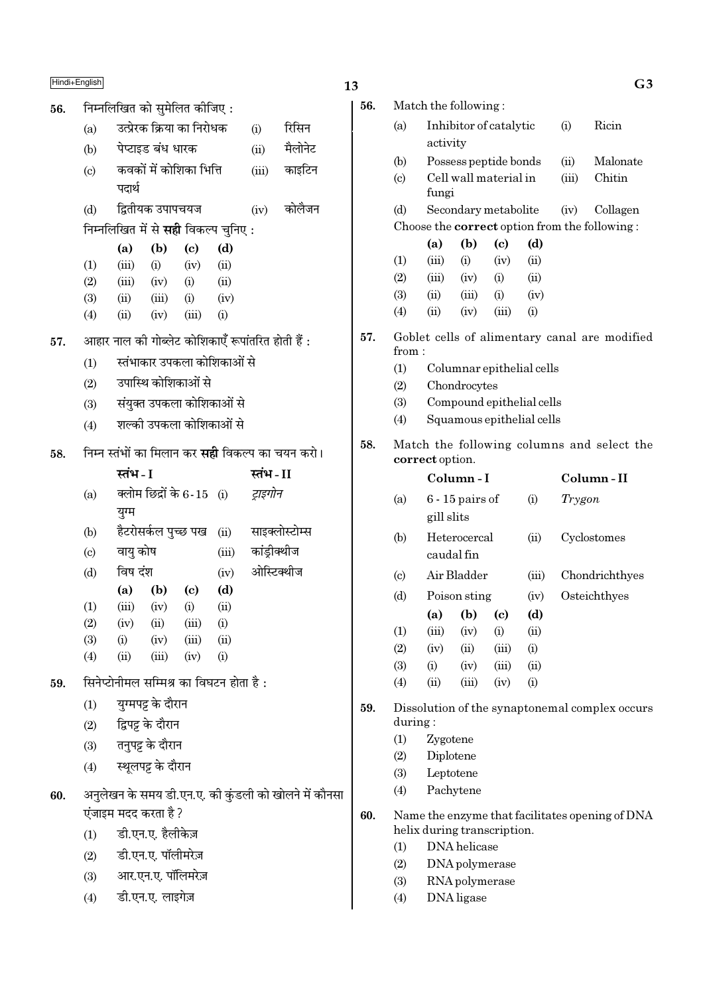निम्नलिखित को सुमेलित कीजिए: 56. उत्प्रेरक क्रिया का निरोधक  $(a)$  $(i)$ पेप्टाइड बंध धारक  $(b)$  $(ii)$ 

- कवकों में कोशिका भित्ति  $(iii)$ काइटिन  $\left( \mathrm{c}\right)$ पदार्थ
- द्वितीयक उपापचयज  $(iv)$ कोलैजन  $(d)$

# निम्नलिखित में से **सही** विकल्प चुनिए :

|     | (a)   | (b)   | (c)   | (d)      |
|-----|-------|-------|-------|----------|
| (1) | (iii) | (i)   | (iv)  | (ii)     |
| (2) | (iii) | (iv)  | (i)   | (ii)     |
| (3) | (ii)  | (iii) | (i)   | (iv)     |
| (4) | (ii)  | (iv)  | (iii) | $\rm(i)$ |

- आहार नाल की गोब्लेट कोशिकाएँ रूपांतरित होती हैं : 57.
	- स्तंभाकार उपकला कोशिकाओं से  $(1)$
	- उपास्थि कोशिकाओं से  $(2)$
	- संयुक्त उपकला कोशिकाओं से  $(3)$
	- शल्की उपकला कोशिकाओं से  $(4)$
- निम्न स्तंभों का मिलान कर **सही** विकल्प का चयन करो। 58.

|                            | स्तभ - । |                     |                             |       | स्तभ - 11      |
|----------------------------|----------|---------------------|-----------------------------|-------|----------------|
| (a)                        |          |                     | क्लोम छिद्रों के 6-15   (i) |       | ट्राइगोन       |
|                            | युग्म    |                     |                             |       |                |
| (b)                        |          | हैटरोसर्कल पुच्छ पख |                             | (ii)  | साइक्लोस्टोम्स |
| $\left( \mathrm{c}\right)$ | वायु कोष |                     |                             | (iii) | कांड्रीक्थीज   |
| (d)                        | विष दंश  |                     |                             | (iv)  | ओस्टिक्थीज     |
|                            | (a)      | (b)                 | (c)                         | (d)   |                |
| (1)                        | (iii)    | (iv)                | (i)                         | (ii)  |                |
| (2)                        | (iv)     | (ii)                | (iii)                       | (i)   |                |
| (3)                        | (i)      | (iv)                | (iii)                       | (ii)  |                |
| (4)                        | (ii)     | (iii)               | (iv)                        | (i)   |                |
|                            |          |                     |                             |       |                |

- सिनेप्टोनीमल सम्मिश्र का विघटन होता है: 59.
	- $(1)$ युग्मपट्ट के दौरान
	- द्विपट्ट के दौरान  $(2)$
	- तनुपट्ट के दौरान  $(3)$
	- स्थूलपट्ट के दौरान  $(4)$
- अनुलेखन के समय डी.एन.ए. की कुंडली को खोलने में कौनसा 60. एंजाइम मदद करता है ?
	- $(1)$ डी.एन.ए. हैलीकेज़
	- डी.एन.ए. पॉलीमरेज़  $(2)$
	- आर.एन.ए. पॉलिमरेज़  $(3)$
	- डी.एन.ए. लाइगेज़  $(4)$

 $13$ 

रिसिन

मैलोनेट

| 56. |                             |                                                               | Match the following:      |                            |       |        |                                                      |  |  |  |  |  |
|-----|-----------------------------|---------------------------------------------------------------|---------------------------|----------------------------|-------|--------|------------------------------------------------------|--|--|--|--|--|
|     | (a)                         |                                                               | Inhibitor of catalytic    |                            |       | (i)    | Ricin                                                |  |  |  |  |  |
|     |                             | activity                                                      |                           |                            |       |        |                                                      |  |  |  |  |  |
|     | (b)                         |                                                               | Possess peptide bonds     |                            |       | (ii)   | Malonate                                             |  |  |  |  |  |
|     | (c)                         |                                                               | Cell wall material in     |                            |       | (iii)  | Chitin                                               |  |  |  |  |  |
|     |                             | fungi                                                         |                           |                            |       |        |                                                      |  |  |  |  |  |
|     | (d)                         |                                                               | Secondary metabolite      |                            |       | (iv)   | Collagen                                             |  |  |  |  |  |
|     |                             |                                                               |                           |                            |       |        | Choose the <b>correct</b> option from the following: |  |  |  |  |  |
|     |                             | (a)                                                           | (b)                       | (c)                        | (d)   |        |                                                      |  |  |  |  |  |
|     | (1)                         | (iii)                                                         | (i)                       | (iv)                       | (ii)  |        |                                                      |  |  |  |  |  |
|     | (2)                         | (iii)                                                         | (iv)                      | (i)                        | (ii)  |        |                                                      |  |  |  |  |  |
|     | (3)                         | (ii)                                                          | (iii)                     | (i)                        | (iv)  |        |                                                      |  |  |  |  |  |
|     | (4)                         | (ii)                                                          | (iv)                      | (iii)                      | (i)   |        |                                                      |  |  |  |  |  |
| 57. | from:                       | Goblet cells of alimentary canal are modified                 |                           |                            |       |        |                                                      |  |  |  |  |  |
|     | (1)                         |                                                               | Columnar epithelial cells |                            |       |        |                                                      |  |  |  |  |  |
|     | (2)                         |                                                               | Chondrocytes              |                            |       |        |                                                      |  |  |  |  |  |
|     | (3)                         | Compound epithelial cells                                     |                           |                            |       |        |                                                      |  |  |  |  |  |
|     | (4)                         |                                                               | Squamous epithelial cells |                            |       |        |                                                      |  |  |  |  |  |
|     |                             |                                                               |                           |                            |       |        |                                                      |  |  |  |  |  |
| 58. |                             | Match the following columns and select the<br>correct option. |                           |                            |       |        |                                                      |  |  |  |  |  |
|     |                             |                                                               | Column - I                |                            |       |        | Column-II                                            |  |  |  |  |  |
|     | (a)                         | $6 - 15$ pairs of                                             |                           |                            | (i)   | Trygon |                                                      |  |  |  |  |  |
|     |                             | gill slits                                                    |                           |                            |       |        |                                                      |  |  |  |  |  |
|     |                             |                                                               |                           |                            |       |        |                                                      |  |  |  |  |  |
|     | (b)                         | caudal fin                                                    | Heterocercal              |                            | (ii)  |        | Cyclostomes                                          |  |  |  |  |  |
|     | $\left( \mathrm{c} \right)$ |                                                               | Air Bladder               |                            | (iii) |        | Chondrichthyes                                       |  |  |  |  |  |
|     | (d)                         |                                                               | Poison sting              |                            | (iv)  |        | Osteichthyes                                         |  |  |  |  |  |
|     |                             | (a)                                                           | (b)                       | $\left( \mathrm{c}\right)$ | (d)   |        |                                                      |  |  |  |  |  |
|     | (1)                         |                                                               | $(iii)$ $(iv)$ $(i)$      |                            | (ii)  |        |                                                      |  |  |  |  |  |
|     | (2)                         | (iv)                                                          | (ii)                      | (iii)                      | (i)   |        |                                                      |  |  |  |  |  |
|     | (3)                         | (i)                                                           | (iv)                      | (iii)                      | (ii)  |        |                                                      |  |  |  |  |  |
|     | (4)                         | (ii)                                                          | (iii)                     | (iv)                       | (i)   |        |                                                      |  |  |  |  |  |
| 59. |                             |                                                               |                           |                            |       |        | Dissolution of the synaptonemal complex occurs       |  |  |  |  |  |
|     | during:                     |                                                               |                           |                            |       |        |                                                      |  |  |  |  |  |
|     | (1)<br>(2)                  | Zygotene<br>Diplotene                                         |                           |                            |       |        |                                                      |  |  |  |  |  |

- $(4)$ Pachytene
- 60. Name the enzyme that facilitates opening of DNA helix during transcription.
	- $(1)$ DNA helicase
	- $(2)$ DNA polymerase
	- $(3)$ RNA polymerase
	- $(4)$ DNA ligase

 $G<sub>3</sub>$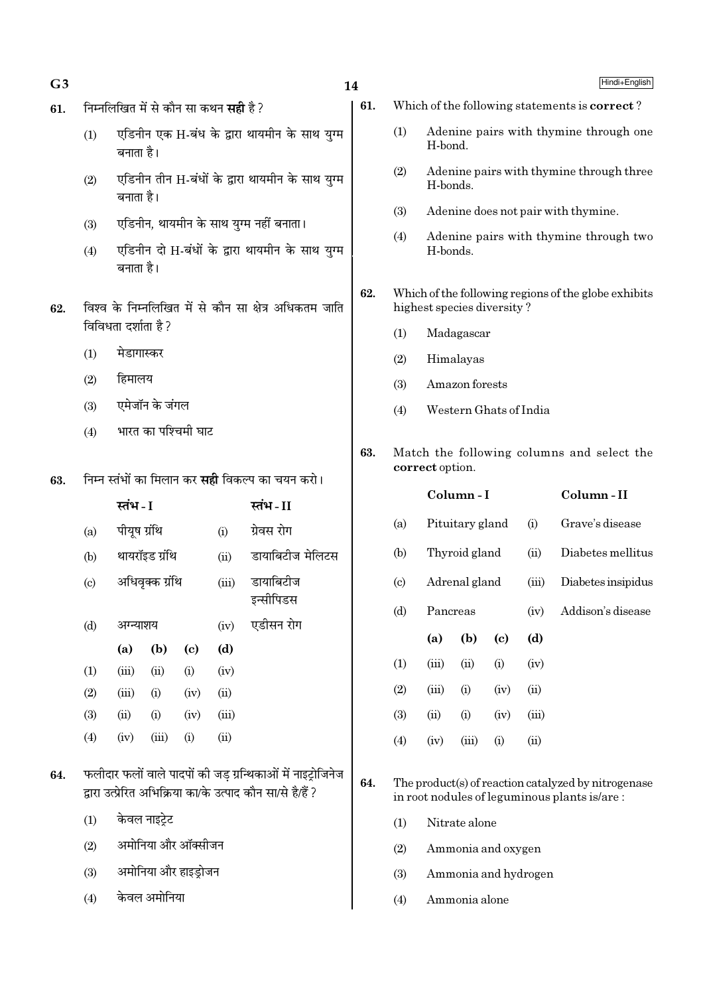- 61. निम्नलिखित में से कौन सा कथन स**ही** है ?
	- (1) एडिनीन एक H-बंध के द्वारा थायमीन के साथ युग्म बनाता है।
	- $(2)$  एडिनीन तीन H-बंधों के द्वारा थायमीन के साथ यग्म बनाता है।
	- (3) एडिनीन, थायमीन के साथ युग्म नहीं बनाता।
	- $(4)$  एडिनीन दो H-बंधों के द्वारा थायमीन के साथ युग्म बनाता है।
- $62.$  विश्व के निम्नलिखित में से कौन सा क्षेत्र अधिकतम जाति विविधता दर्शाता है ?
	- $(1)$  मेडागास्कर
	- $(2)$  हिमालय
	- (3) एमेजॉन के जंगल
	- $(4)$  भारत का पश्चिमी घाट
- 63. निम्न स्तंभों का मिलान कर **सही** विकल्प का चयन करो।

|                           | स्तंभ - I    |                 |      | स्तंभ-II |                        |
|---------------------------|--------------|-----------------|------|----------|------------------------|
| (a)                       | पीयूष ग्रंथि |                 |      | (i)      | ग्रेवस रोग             |
| (b)                       |              | थायरॉइड ग्रंथि  |      | (ii)     | डायाबिटीज मेलिटस       |
| $\left( \text{c} \right)$ |              | अधिवृक्क ग्रंथि |      | (iii)    | डायाबिटीज<br>इन्सीपिडस |
| (d)                       | अग्न्याशय    |                 |      | (iv)     | एडीसन रोग              |
|                           | (a)          | (b)             | (c)  | (d)      |                        |
| (1)                       | (iii)        | (ii)            | (i)  | (iv)     |                        |
| (2)                       | (iii)        | (i)             | (iv) | (ii)     |                        |
| (3)                       | (ii)         | (i)             | (iv) | (iii)    |                        |
| (4)                       | (iv)         | (iii)           | (i)  | (ii)     |                        |
|                           |              |                 |      |          |                        |

- 64. फलीदार फलों वाले पादपों की जड ग्रन्थिकाओं में नाइट्रोजिनेज द्वारा उत्प्रेरित अभिक्रिया का/के उत्पाद कौन सा/से है/हैं ?
	- $(1)$  केवल नाइटे़ट
	- (2) अमोनिया और ऑक्सीजन
	- (3) अमोनिया और हाइड्रोजन
	- $(4)$  केवल अमोनिया
- 61. Which of the following statements is correct ?
	- (1) Adenine pairs with thymine through one H-bond.
	- (2) Adenine pairs with thymine through three H-bonds.
	- (3) Adenine does not pair with thymine.
	- (4) Adenine pairs with thymine through two H-bonds.
- 62. Which of the following regions of the globe exhibits highest species diversity ?
	- (1) Madagascar
	- (2) Himalayas
	- (3) Amazon forests
	- (4) Western Ghats of India
- 63. Match the following columns and select the correct option.

|                        |          | Column - I      |                            | Column - II |                    |
|------------------------|----------|-----------------|----------------------------|-------------|--------------------|
| (a)                    |          | Pituitary gland |                            | (i)         | Grave's disease    |
| (b)                    |          | Thyroid gland   |                            | (ii)        | Diabetes mellitus  |
| $\left( \circ \right)$ |          | Adrenal gland   |                            | (iii)       | Diabetes insipidus |
| (d)                    | Pancreas |                 |                            | (iv)        | Addison's disease  |
|                        | (a)      | (b)             | $\left( \mathrm{e}\right)$ | (d)         |                    |
|                        |          |                 |                            |             |                    |
| (1)                    | (iii)    | (ii)            | (i)                        | (iv)        |                    |
| (2)                    | (iii)    | (i)             | (iv)                       | (ii)        |                    |
| (3)                    | (ii)     | (i)             | (iv)                       | (iii)       |                    |
| (4)                    | (iv)     | (iii)           | (i)                        | (ii)        |                    |

64. The product(s) of reaction catalyzed by nitrogenase in root nodules of leguminous plants is/are :

- (1) Nitrate alone
- (2) Ammonia and oxygen
- (3) Ammonia and hydrogen
- (4) Ammonia alone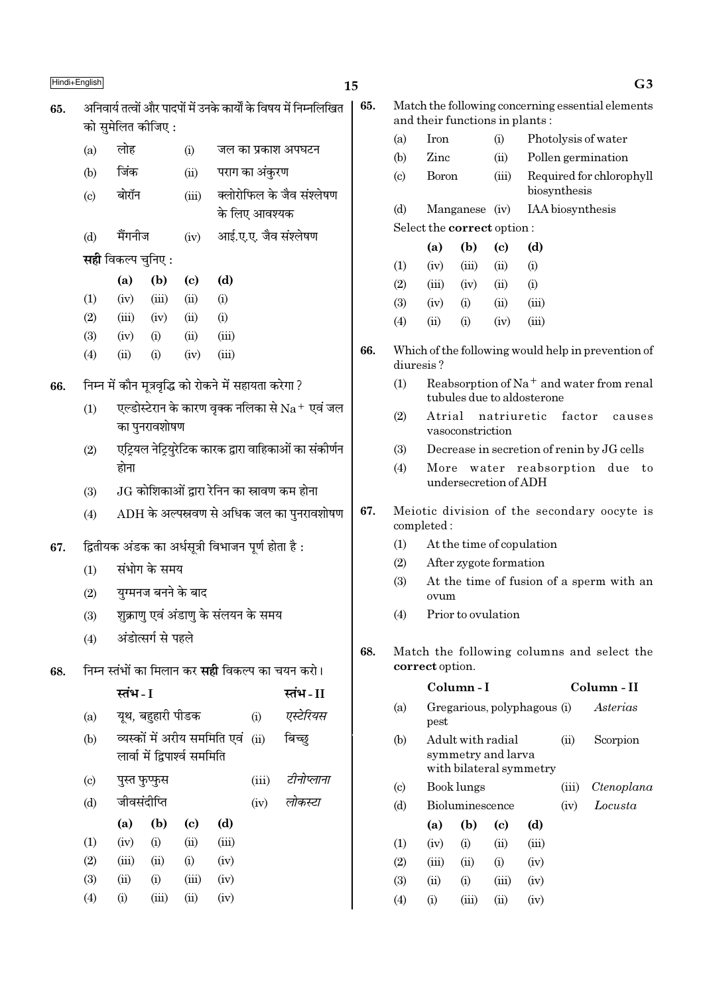|     | Hindi+English               |                                                       |                                                                        |                               |                                     |                           |                                                                   | 15  |                                  |                                |                                         |                             |                             |                                                      | G <sub>3</sub>                                     |
|-----|-----------------------------|-------------------------------------------------------|------------------------------------------------------------------------|-------------------------------|-------------------------------------|---------------------------|-------------------------------------------------------------------|-----|----------------------------------|--------------------------------|-----------------------------------------|-----------------------------|-----------------------------|------------------------------------------------------|----------------------------------------------------|
| 65. |                             |                                                       |                                                                        |                               |                                     |                           | अनिवार्य तत्वों और पादपों में उनके कार्यों के विषय में निम्नलिखित | 65. |                                  |                                |                                         |                             |                             |                                                      | Match the following concerning essential elements  |
|     |                             | को सुमेलित कीजिए :                                    |                                                                        |                               |                                     |                           |                                                                   |     |                                  | and their functions in plants: |                                         |                             |                             |                                                      |                                                    |
|     | (a)                         | लोह                                                   |                                                                        | (i)                           |                                     |                           | जल का प्रकाश अपघटन                                                |     | (a)                              | Iron                           |                                         | (i)                         |                             |                                                      | Photolysis of water                                |
|     | (b)                         | जिंक                                                  |                                                                        | (ii)                          |                                     | पराग का अंकुरण            |                                                                   |     | (b)                              | Zinc<br><b>Boron</b>           |                                         | (ii)                        |                             |                                                      | Pollen germination                                 |
|     | $\left( \mathrm{c} \right)$ | बोरॉन                                                 |                                                                        | (iii)                         |                                     | क्लोरोफिल के जैव संश्लेषण |                                                                   |     | $\left( \mathrm{c}\right)$       |                                |                                         | (iii)                       |                             | biosynthesis                                         | Required for chlorophyll                           |
|     |                             |                                                       |                                                                        |                               |                                     | के लिए आवश्यक             |                                                                   |     | (d)                              |                                | Manganese (iv)                          |                             |                             | IAA biosynthesis                                     |                                                    |
|     |                             | मैंगनीज                                               |                                                                        |                               |                                     |                           | आई.ए.ए. जैव संश्लेषण                                              |     |                                  | Select the correct option:     |                                         |                             |                             |                                                      |                                                    |
|     | (d)                         |                                                       |                                                                        | (iv)                          |                                     |                           |                                                                   |     |                                  | (a)                            | (b)                                     | $\left( \mathbf{c} \right)$ | (d)                         |                                                      |                                                    |
|     |                             | <b>सही</b> विकल्प चुनिए :                             |                                                                        |                               |                                     |                           |                                                                   |     | (1)                              | (iv)                           | (iii)                                   | (ii)                        | (i)                         |                                                      |                                                    |
|     |                             | (a)                                                   | (b)                                                                    | $\left( \mathrm{e}\right)$    | (d)                                 |                           |                                                                   |     | (2)                              | (iii)                          | (iv)                                    | (ii)                        | (i)                         |                                                      |                                                    |
|     | (1)                         | (iv)                                                  | (iii)                                                                  | (ii)                          | (i)                                 |                           |                                                                   |     | (3)                              | (iv)                           | (i)                                     | (ii)                        | (iii)                       |                                                      |                                                    |
|     | (2)<br>(3)                  | (iii)<br>(iv)                                         | (iv)<br>(i)                                                            | (ii)<br>(ii)                  | (i)<br>(iii)                        |                           |                                                                   |     | (4)                              | (ii)                           | (i)                                     | (iv)                        | (iii)                       |                                                      |                                                    |
|     | (4)                         | (ii)                                                  | (i)                                                                    | (iv)                          | (iii)                               |                           |                                                                   | 66. |                                  | diuresis?                      |                                         |                             |                             |                                                      | Which of the following would help in prevention of |
| 66. |                             | निम्न में कौन मूत्रवृद्धि को रोकने में सहायता करेगा ? |                                                                        |                               |                                     |                           |                                                                   | (1) |                                  |                                |                                         | tubules due to aldosterone  |                             | Reabsorption of Na <sup>+</sup> and water from renal |                                                    |
|     | (1)                         |                                                       | एल्डोस्टेरान के कारण वृक्क नलिका से $\rm Na^+$ एवं जल<br>का पुनरावशोषण |                               |                                     |                           |                                                                   |     | (2)                              | Atrial                         | vasoconstriction                        | natriuretic                 |                             | factor                                               | causes                                             |
|     | (2)                         |                                                       | एट्रियल नेट्रियुरेटिक कारक द्वारा वाहिकाओं का संकोर्णन                 |                               |                                     |                           |                                                                   | (3) |                                  |                                |                                         |                             |                             | Decrease in secretion of renin by JG cells           |                                                    |
|     |                             | होना                                                  |                                                                        |                               |                                     |                           |                                                                   |     | (4)                              |                                |                                         |                             |                             |                                                      | More water reabsorption due to                     |
|     | (3)                         |                                                       | $JG$ कोशिकाओं द्वारा रेनिन का स्रावण कम होना                           |                               |                                     |                           |                                                                   |     |                                  |                                | undersecretion of ADH                   |                             |                             |                                                      |                                                    |
|     | (4)                         |                                                       |                                                                        |                               |                                     |                           | $ADH$ के अल्पस्रवण से अधिक जल का पुनरावशोषण                       | 67. |                                  | completed:                     |                                         |                             |                             |                                                      | Meiotic division of the secondary oocyte is        |
| 67. |                             | द्वितीयक अंडक का अर्धसूत्री विभाजन पूर्ण होता है:     |                                                                        |                               |                                     |                           |                                                                   |     | At the time of copulation<br>(1) |                                |                                         |                             |                             |                                                      |                                                    |
|     | (1)                         |                                                       | संभोग के समय                                                           |                               |                                     |                           |                                                                   |     | (2)<br>After zygote formation    |                                |                                         |                             |                             |                                                      |                                                    |
|     | (2)                         |                                                       |                                                                        | युग्मनज बनने के बाद           |                                     |                           |                                                                   |     | (3)                              | ovum                           |                                         |                             |                             |                                                      | At the time of fusion of a sperm with an           |
|     | (3)                         |                                                       |                                                                        |                               | शुक्राणु एवं अंडाणु के संलयन के समय |                           |                                                                   |     | (4)                              |                                | Prior to ovulation                      |                             |                             |                                                      |                                                    |
|     | (4)                         |                                                       | अंडोत्सर्ग से पहले                                                     |                               |                                     |                           |                                                                   |     |                                  |                                |                                         |                             |                             |                                                      |                                                    |
| 68. |                             |                                                       |                                                                        |                               |                                     |                           | निम्न स्तंभों का मिलान कर <b>सही</b> विकल्प का चयन करो।           | 68. |                                  | correct option.                |                                         |                             |                             |                                                      | Match the following columns and select the         |
|     |                             | स्तंभ - I                                             |                                                                        |                               |                                     |                           | स्तंभ-II                                                          |     |                                  |                                | Column-I                                |                             |                             |                                                      | Column - II                                        |
|     | (a)                         |                                                       | यूथ, बहुहारी पीडक                                                      |                               |                                     | (i)                       | एस्टेरियस                                                         |     | (a)                              | pest                           |                                         |                             | Gregarious, polyphagous (i) |                                                      | Asterias                                           |
|     | (b)                         |                                                       |                                                                        | लार्वा में द्विपार्श्व सममिति | व्यस्कों में अरीय सममिति एवं        | (ii)                      | बिच्छ्                                                            |     | (b)                              |                                | Adult with radial<br>symmetry and larva |                             |                             | (ii)                                                 | Scorpion                                           |
|     | $\left( \circ \right)$      | पुस्त फुप्फुस                                         |                                                                        |                               |                                     | (iii)                     | टीनोप्लाना                                                        |     |                                  |                                | Book lungs                              |                             | with bilateral symmetry     |                                                      |                                                    |
|     | (d)                         | जीवसंदीप्ति                                           |                                                                        |                               |                                     | (iv)                      | लोकस्टा                                                           |     | (c)<br>(d)                       |                                | Bioluminescence                         |                             |                             | (iii)<br>(iv)                                        | Ctenoplana<br>Locusta                              |
|     |                             | (a)                                                   | (b)                                                                    | $\left( \mathrm{c}\right)$    | (d)                                 |                           |                                                                   |     |                                  | (a)                            | (b)                                     | (c)                         | (d)                         |                                                      |                                                    |
|     | (1)                         | (iv)                                                  | (i)                                                                    | (ii)                          | (iii)                               |                           |                                                                   |     | (1)                              | (iv)                           | (i)                                     | (ii)                        | (iii)                       |                                                      |                                                    |
|     | (2)                         | (iii)                                                 | (ii)                                                                   | (i)                           | (iv)                                |                           |                                                                   |     | (2)                              | (iii)                          | (ii)                                    | (i)                         | (iv)                        |                                                      |                                                    |
|     | (3)                         | (ii)                                                  | (i)                                                                    | (iii)                         | (iv)                                |                           |                                                                   |     | (3)                              | (ii)                           | (i)                                     | (iii)                       | (iv)                        |                                                      |                                                    |
|     | (4)                         | (i)                                                   | (iii)                                                                  | (ii)                          | (iv)                                |                           |                                                                   |     | (4)                              | (i)                            | (iii)                                   | (ii)                        | (iv)                        |                                                      |                                                    |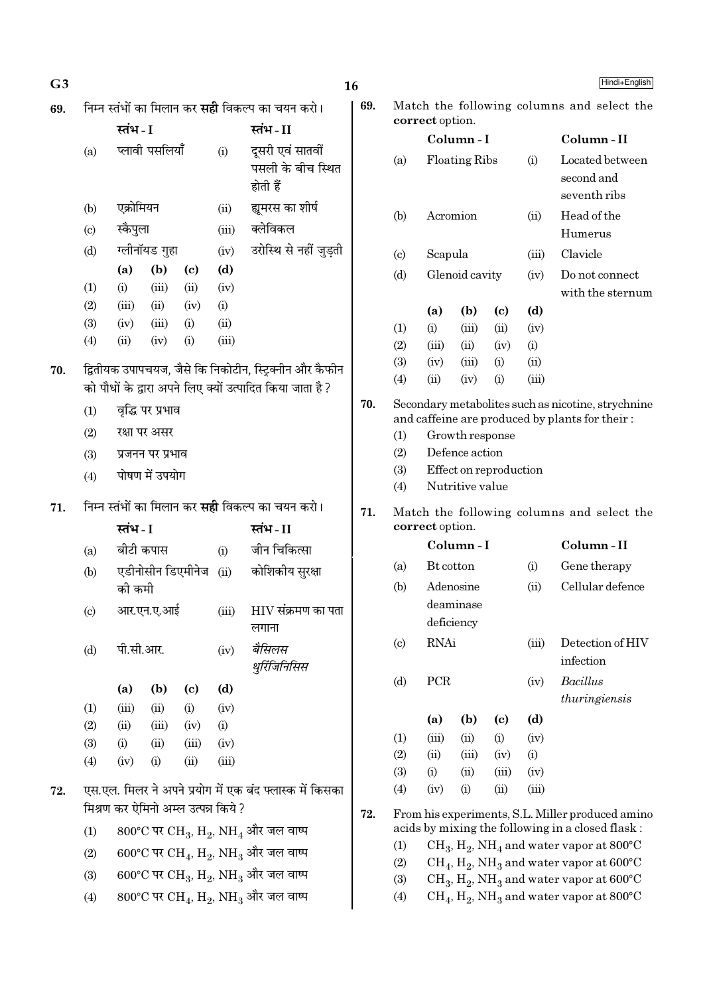| G <sub>3</sub> |                                                         |                  |                  |                                     |       |                                                                                   | 16  |                                            |             |                                                                 |                             |       | Hindi+English                                              |
|----------------|---------------------------------------------------------|------------------|------------------|-------------------------------------|-------|-----------------------------------------------------------------------------------|-----|--------------------------------------------|-------------|-----------------------------------------------------------------|-----------------------------|-------|------------------------------------------------------------|
| 69.            | निम्न स्तंभों का मिलान कर <b>सही</b> विकल्प का चयन करो। |                  |                  |                                     |       |                                                                                   | 69. | Match the following columns and select the |             |                                                                 |                             |       |                                                            |
|                |                                                         | स्तंभ - I        |                  |                                     |       | स्तंभ-II                                                                          |     |                                            |             | correct option.<br>Column-I<br><b>Floating Ribs</b><br>Acromion |                             |       |                                                            |
|                | (a)                                                     |                  | प्लावी पसलियाँ   |                                     | (i)   | दूसरी एवं सातवीं<br>पसली के बीच स्थित<br>होती हैं                                 |     | (a)                                        |             |                                                                 |                             | (i)   | Column-II<br>Located between<br>second and<br>seventh ribs |
|                | (b)                                                     | एक्रोमियन        |                  |                                     | (ii)  | ह्यमरस का शीर्ष                                                                   |     | (b)                                        |             |                                                                 |                             | (ii)  | Head of the                                                |
|                | (c)                                                     | स्कैपुला         |                  |                                     | (iii) | क्लेविकल                                                                          |     |                                            |             |                                                                 |                             |       | Humerus                                                    |
|                | (d)                                                     |                  | ग्लीनॉयड गुहा    |                                     | (iv)  | उरोस्थि से नहीं जुड़ती                                                            |     | $\left( \mathrm{c} \right)$                | Scapula     |                                                                 |                             | (iii) | Clavicle                                                   |
|                |                                                         | (a)              | (b)              | $\left( \mathrm{c}\right)$          | (d)   |                                                                                   |     | (d)                                        |             | Glenoid cavity                                                  |                             | (iv)  | Do not connect                                             |
|                | (1)                                                     | (i)              | (iii)            | (ii)                                | (iv)  |                                                                                   |     |                                            |             |                                                                 |                             |       | with the sternum                                           |
|                | (2)                                                     | (iii)            | (ii)             | (iv)                                | (i)   |                                                                                   |     |                                            | (a)         | (b)                                                             | $\left( \mathrm{c}\right)$  | (d)   |                                                            |
|                | (3)                                                     | (iv)             | (iii)            | (i)                                 | (ii)  |                                                                                   |     | (1)                                        | (i)         | (iii)                                                           | (ii)                        | (iv)  |                                                            |
|                | (4)                                                     | (ii)             | (iv)             | (i)                                 | (iii) |                                                                                   |     | (2)                                        | (iii)       | (ii)                                                            | (iv)                        | (i)   |                                                            |
| 70.            |                                                         |                  |                  |                                     |       | द्वितीयक उपापचयज, जैसे कि निकोटीन, स्ट्रिक्नीन और कैफीन                           |     | (3)                                        | (iv)        | (iii)                                                           | (i)                         | (ii)  |                                                            |
|                |                                                         |                  |                  |                                     |       | को पौधों के द्वारा अपने लिए क्यों उत्पादित किया जाता है?                          |     | (4)                                        | (ii)        | (iv)                                                            | (i)                         | (iii) |                                                            |
|                | (1)                                                     |                  | वृद्धि पर प्रभाव |                                     |       |                                                                                   | 70. |                                            |             |                                                                 |                             |       | Secondary metabolites such as nicotine, strychnine         |
|                | (2)                                                     | रक्षा पर असर     |                  |                                     |       |                                                                                   |     | (1)                                        |             | Growth response                                                 |                             |       | and caffeine are produced by plants for their:             |
|                | (3)                                                     | प्रजनन पर प्रभाव |                  |                                     |       |                                                                                   |     | (2)                                        |             | Defence action                                                  |                             |       |                                                            |
|                | (4)                                                     |                  | पोषण में उपयोग   |                                     |       |                                                                                   |     | (3)                                        |             | Effect on reproduction                                          |                             |       |                                                            |
|                |                                                         |                  |                  |                                     |       |                                                                                   |     | (4)                                        |             | Nutritive value                                                 |                             |       |                                                            |
| 71.            |                                                         |                  |                  |                                     |       | निम्न स्तंभों का मिलान कर <b>सही</b> विकल्प का चयन करो।                           | 71. | Match the following columns and select the |             |                                                                 |                             |       |                                                            |
|                |                                                         | स्तंभ - I        |                  |                                     |       | स्तंभ-II                                                                          |     | correct option.                            |             |                                                                 |                             |       |                                                            |
|                | (a)                                                     | बीटी कपास        |                  |                                     | (i)   | जीन चिकित्सा                                                                      |     |                                            |             | Column-I                                                        |                             |       | Column-II                                                  |
|                | (b)                                                     |                  |                  | एडीनोसीन डिएमीनेज                   | (ii)  | कोशिकीय सुरक्षा                                                                   |     | (a)                                        | Bt cotton   |                                                                 |                             | (i)   | Gene therapy                                               |
|                |                                                         | की कमी           |                  |                                     |       |                                                                                   |     | (b)                                        |             | Adenosine                                                       |                             | (ii)  | Cellular defence                                           |
|                | (c)                                                     |                  | आर.एन.ए.आई       |                                     | (iii) | $\rm{HIV}$ संक्रमण का पता                                                         |     |                                            |             | deaminase                                                       |                             |       |                                                            |
|                |                                                         |                  |                  |                                     |       | लगाना                                                                             |     |                                            |             | deficiency                                                      |                             |       |                                                            |
|                | (d)                                                     | पी.सी.आर.        |                  |                                     | (iv)  | बैसिलस<br>थुर्रिजिनिसिस                                                           |     | (c)                                        | <b>RNAi</b> |                                                                 |                             | (iii) | Detection of HIV<br>infection                              |
|                |                                                         | (a)              | (b)              | $\left( \mathbf{c} \right)$         | (d)   |                                                                                   |     | (d)                                        | PCR         |                                                                 |                             | (iv)  | Bacillus                                                   |
|                | (1)                                                     | (iii)            | (ii)             | (i)                                 | (iv)  |                                                                                   |     |                                            |             |                                                                 |                             |       | thuringiensis                                              |
|                | (2)                                                     | (ii)             | (iii)            | (iv)                                | (i)   |                                                                                   |     |                                            | (a)         | (b)                                                             | $\left( \mathbf{c} \right)$ | (d)   |                                                            |
|                | (3)                                                     | (i)              | (ii)             | (iii)                               | (iv)  |                                                                                   |     | (1)                                        | (iii)       | (ii)                                                            | (i)                         | (iv)  |                                                            |
|                | (4)                                                     | (iv)             | (i)              | (ii)                                | (iii) |                                                                                   |     | (2)                                        | (ii)        | (iii)                                                           | (iv)                        | (i)   |                                                            |
|                |                                                         |                  |                  |                                     |       |                                                                                   |     | (3)                                        | (i)         | (ii)                                                            | (iii)                       | (iv)  |                                                            |
| 72.            |                                                         |                  |                  |                                     |       | एस.एल. मिलर ने अपने प्रयोग में एक बंद फ्लास्क में किसका                           |     | (4)                                        | (iv)        | (i)                                                             | (ii)                        | (iii) |                                                            |
|                |                                                         |                  |                  | मिश्रण कर ऐमिनो अम्ल उत्पन्न किये ? |       |                                                                                   | 72. |                                            |             |                                                                 |                             |       | From his experiments, S.L. Miller produced amino           |
|                | (1)                                                     |                  |                  |                                     |       | $800^{\circ}$ C पर CH <sub>3</sub> , H <sub>2</sub> , NH <sub>4</sub> और जल वाष्प |     |                                            |             |                                                                 |                             |       | acids by mixing the following in a closed flask:           |
|                | (2)                                                     |                  |                  |                                     |       | $600^{\circ}$ C पर CH <sub>4</sub> , H <sub>2</sub> , NH <sub>3</sub> और जल वाष्प |     | (1)                                        |             |                                                                 |                             |       | $CH_3, H_2, NH_4$ and water vapor at 800°C                 |
|                |                                                         |                  |                  |                                     |       |                                                                                   |     | (2)                                        |             |                                                                 |                             |       | $CH_4$ , $H_2$ , NH <sub>3</sub> and water vapor at 600°C  |

 $\overline{\phantom{a}}$ 

(3) 600°C पर  $\rm CH_{3}$ ,  $\rm H_{2}$ ,  $\rm NH_{3}$  और जल वाष्प

(4)  $800^{\circ}$ C पर CH<sub>4</sub>, H<sub>2</sub>, NH<sub>3</sub> और जल वाष्प

(3)  $\mathrm{CH}_3, \mathrm{H}_2, \mathrm{NH}_3$  and water vapor at 600°C (4)  $\rm CH_4, H_2, NH_3$  and water vapor at 800°C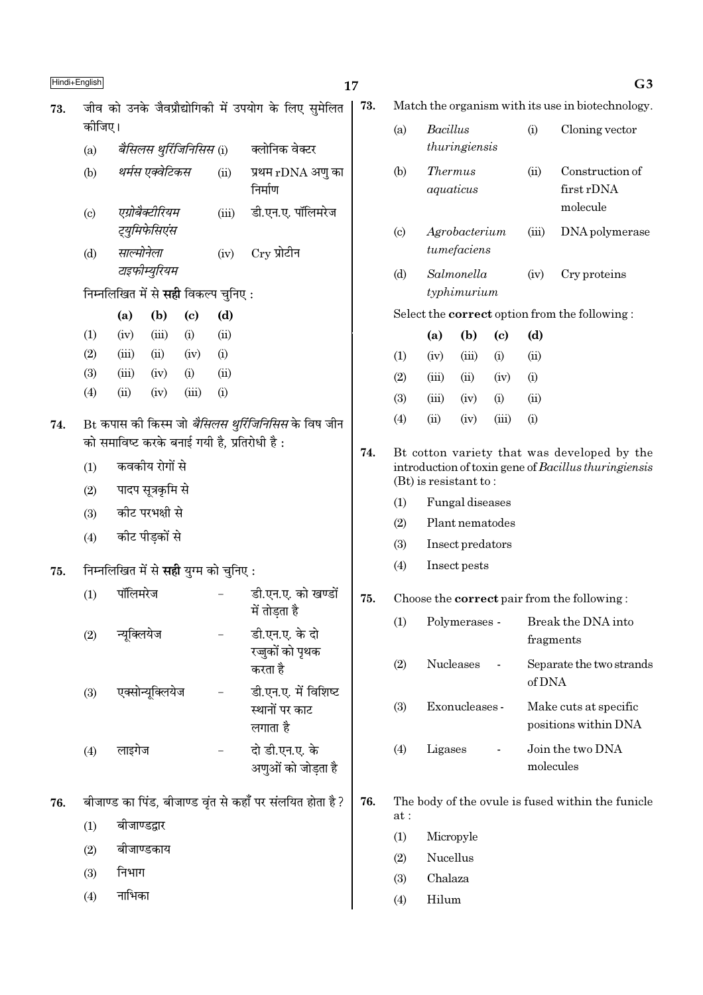$\overline{\text{Hindi+English}}$  and  $\overline{\text{G3}}$ 73. Match the organism with its use in biotechnology. 73. जीव को उनके जैवप्रौद्योगिकी में उपयोग के लिए सुमेलित कोजिए। (a) वै*सिलस थूरिंजिनिसिस (i)* क्लोनिक वेक्टर (b) *थर्मस एक्वेटिकस* (ii) प्रथम rDNA अणु का निर्माण (c) *एग्रोबैक्टीरियम* (iii) डी.एन.ए. पॉलिमरेज *≈˜UÿÈÁ◊»§Á'∞¥'* (d) *साल्मोनेला* (iv) Cry प्रोटीन *टाइफीम्युरियम* िनम्नलिखित में से **सही** विकल्प चनिए : (a) (b) (c) (d)  $(1)$   $(iv)$   $(iii)$   $(i)$   $(ii)$  $(2)$   $(iii)$   $(ii)$   $(iv)$   $(i)$ (3) (iii) (iv) (i) (ii) (4) (ii) (iv) (iii) (i) 74. Bt कपास की किस्म जो *बैसिलस थरिंजिनिसिस* के विष जीन को समाविष्ट करके बनाई गयी है, प्रतिरोधी है:  $(1)$  कवकीय रोगों से  $(2)$  पादप सूत्रकृमि से (3) कीट परभक्षी से  $(4)$  कीट पीडकों से 75. निम्नलिखित में से सही युग्म को चुनिए : (1) पॉलिमरेज - डी.एन.ए. को खण्डों में तोडता है (2) न्यूक्लियेज - डी.एन.ए. के दो **रज्जुकों को पृथक** करता है (3) एक्सोन्यक्लियेज - डी.एन.ए. में विशिष्ट स्थानों पर काट लगाता है  $(4)$  लाइगेज - दो डी.एन.ए. के अणुओं को जोडता है 76. बीजाण्ड का पिंड, बीजाण्ड वृंत से कहाँ पर संलयित होता है ?  $(1)$  बीजाण्डद्वार  $(2)$  बीजाण्डकाय  $(3)$  निभाग

 $(4)$  नाभिका

(d) Salmonella (iv) Cry proteins typhimurium Select the correct option from the following : (a) (b) (c) (d)  $(1)$   $(iv)$   $(iii)$   $(i)$   $(ii)$  $(2)$   $(iii)$   $(ii)$   $(iv)$   $(i)$  $(3)$   $(iii)$   $(iv)$   $(i)$   $(ii)$ (4) (ii) (iv) (iii) (i)

(a) Bacillus (i) Cloning vector

(b) Thermus (ii) Construction of aquaticus first rDNA

(c) Agrobacterium (iii) DNA polymerase

molecule

thuringiensis

tumefaciens

74. Bt cotton variety that was developed by the introduction of toxin gene of Bacillus thuringiensis (Bt) is resistant to :

- (1) Fungal diseases
- (2) Plant nematodes
- (3) Insect predators
- (4) Insect pests

## 75. Choose the correct pair from the following :

| (1) | Polymerases -    | Break the DNA into<br>fragments               |
|-----|------------------|-----------------------------------------------|
| (2) | <b>Nucleases</b> | Separate the two strands<br>of DNA            |
| (3) | Exonucleases -   | Make cuts at specific<br>positions within DNA |
| (4) | Ligases          | Join the two DNA<br>molecules                 |

- 76. The body of the ovule is fused within the funicle at :
	- (1) Micropyle
	- (2) Nucellus
	- (3) Chalaza
	- (4) Hilum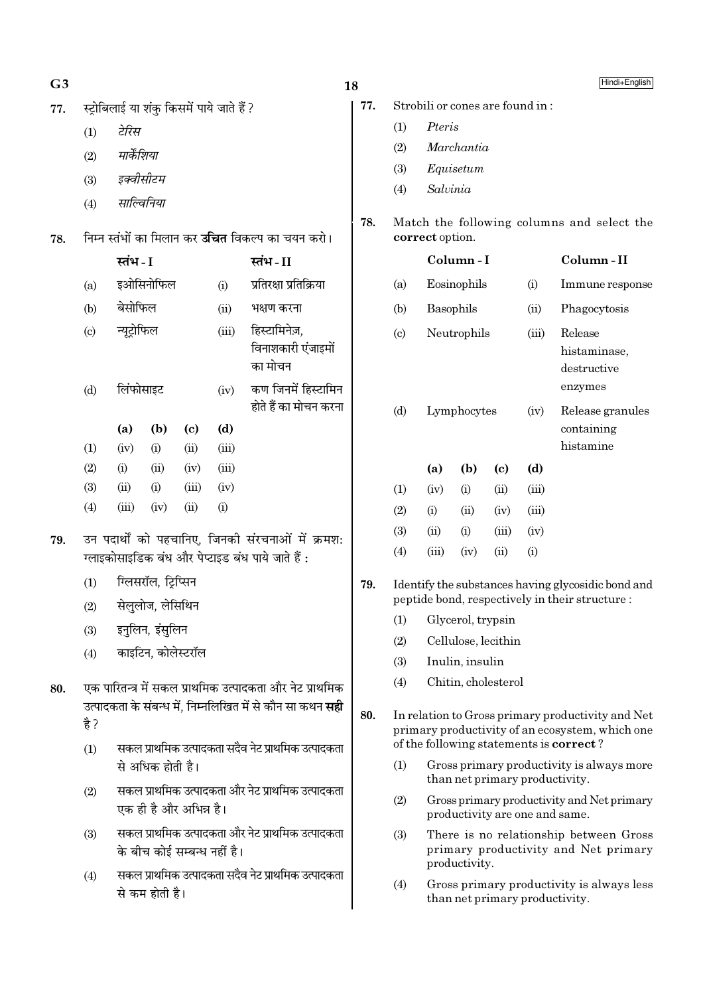# $G<sub>3</sub>$

- स्टोबिलाई या शंक किसमें पाये जाते हैं ? 77.
	- टेरिस  $(1)$
	- मार्केशिया  $(2)$
	- इक्वीसीटम  $(3)$
	- साल्विनिया  $(4)$
- निम्न स्तंभों का मिलान कर **उचित** विकल्प का चयन करो। 78.

|     | स्तंभ - I   |           |       |       | स्तंभ-II                                       |  |  |
|-----|-------------|-----------|-------|-------|------------------------------------------------|--|--|
| (a) |             | इओसिनोफिल |       | (i)   | प्रतिरक्षा प्रतिक्रिया                         |  |  |
| (b) | बेसोफिल     |           |       | (ii)  | भक्षण करना                                     |  |  |
| (c) | न्यूट्रोफिल |           |       | (iii) | हिस्टामिनेज़,<br>विनाशकारी एंजाइमों<br>का मोचन |  |  |
| (d) | लिंफोसाइट   |           |       | (iv)  | कण जिनमें हिस्टामिन<br>होते हैं का मोचन करना   |  |  |
|     | (a)         | (b)       | (c)   | (d)   |                                                |  |  |
| (1) | (iv)        | (i)       | (ii)  | (iii) |                                                |  |  |
| (2) | (i)         | (ii)      | (iv)  | (iii) |                                                |  |  |
| (3) | (ii)        | (i)       | (iii) | (iv)  |                                                |  |  |
| (4) | (iii)       | (iv)      | (ii)  | (i)   |                                                |  |  |
|     |             |           |       |       |                                                |  |  |

- उन पदार्थों को पहचानिए. जिनकी संरचनाओं में क्रमश: 79 ग्लाइकोसाइडिक बंध और पेप्टाइड बंध पाये जाते हैं :
	- ग्लिसरॉल, टिप्सिन  $(1)$
	- सेललोज, लेसिथिन  $(2)$
	- इनुलिन, इंसुलिन  $(3)$
	- काइटिन, कोलेस्टरॉल  $(4)$
- एक पारितन्त्र में सकल प्राथमिक उत्पादकता और नेट प्राथमिक 80. उत्पादकता के संबन्ध में. निम्नलिखित में से कौन सा कथन **सही** है ?
	- सकल प्राथमिक उत्पादकता सदैव नेट प्राथमिक उत्पादकता  $(1)$ से अधिक होती है।
	- सकल प्राथमिक उत्पादकता और नेट प्राथमिक उत्पादकता  $(2)$ एक ही है और अभिन्न है।
	- सकल प्राथमिक उत्पादकता और नेट प्राथमिक उत्पादकता  $(3)$ के बीच कोई सम्बन्ध नहीं है।
	- सकल प्राथमिक उत्पादकता सदैव नेट प्राथमिक उत्पादकता  $(4)$ से कम होती है।

# 18

- 77. Strobili or cones are found in:
	- Pteris  $(1)$
	- Marchantia  $(2)$
	- $(3)$ Equisetum
	- Salvinia  $(4)$
- 78. Match the following columns and select the correct option.

#### Column-I Column-II

| (a)                         |       | Eosinophils |       | (i)   | Immune response                                   |
|-----------------------------|-------|-------------|-------|-------|---------------------------------------------------|
| (b)                         |       | Basophils   |       | (ii)  | Phagocytosis                                      |
| $\left( \mathrm{c} \right)$ |       | Neutrophils |       | (iii) | Release<br>histaminase,<br>destructive<br>enzymes |
| (d)                         |       | Lymphocytes |       |       | Release granules<br>containing<br>histamine       |
|                             | (a)   | (b)         | (c)   | (d)   |                                                   |
| (1)                         | (iv)  | (i)         | (ii)  | (iii) |                                                   |
| (2)                         | (i)   | (ii)        | (iv)  | (iii) |                                                   |
| (3)                         | (ii)  | (i)         | (iii) | (iv)  |                                                   |
| (4)                         | (iii) | (iv)        | (i)   | (i)   |                                                   |

- 79. Identify the substances having glycosidic bond and peptide bond, respectively in their structure:
	- Glycerol, trypsin  $(1)$
	- Cellulose, lecithin  $(2)$
	- Inulin, insulin  $(3)$
	- $(4)$ Chitin, cholesterol
- 80. In relation to Gross primary productivity and Net primary productivity of an ecosystem, which one of the following statements is correct?
	- Gross primary productivity is always more  $(1)$ than net primary productivity.
	- $(2)$ Gross primary productivity and Net primary productivity are one and same.
	- $(3)$ There is no relationship between Gross primary productivity and Net primary productivity.
	- Gross primary productivity is always less  $(4)$ than net primary productivity.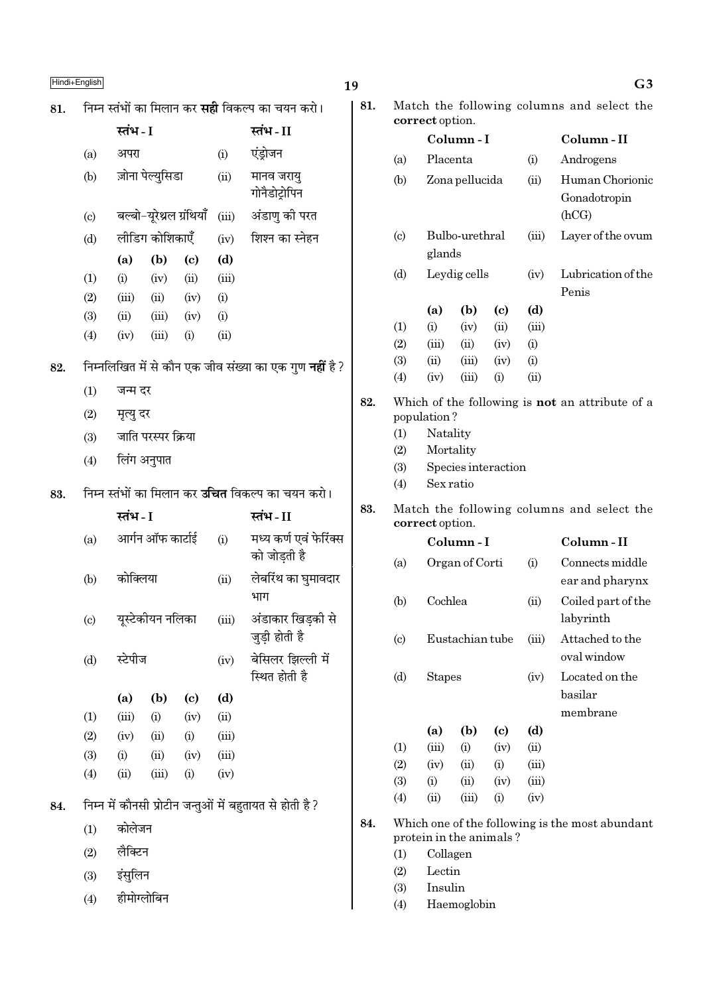| I<br>Hindi+English |
|--------------------|
|                    |

|     | ן חטושוד∟חקווסו ו          |             |                          |      |       |                                                                |  |  |  |
|-----|----------------------------|-------------|--------------------------|------|-------|----------------------------------------------------------------|--|--|--|
| 81. |                            |             |                          |      |       | निम्न स्तंभों का मिलान कर <b>सही</b> विकल्प का चयन करो।        |  |  |  |
|     |                            | स्तंभ - I   |                          |      |       | स्तंभ - II                                                     |  |  |  |
|     | (a)                        | अपरा        |                          |      | (i)   | एंड्रोजन                                                       |  |  |  |
|     | (b)                        |             | ज़ोना पेल्युसिडा         |      | (ii)  | मानव जरायु<br>गोनैडोट्रोपिन                                    |  |  |  |
|     | $\left( \mathrm{c}\right)$ |             | बल्बो-यूरेथ्रल ग्रंथियाँ |      | (iii) | अंडाणु की परत                                                  |  |  |  |
|     | (d)                        |             | लीडिंग कोशिकाएँ          |      | (iv)  | शिश्न का स्नेहन                                                |  |  |  |
|     |                            | (a)         | (b)                      | (c)  | (d)   |                                                                |  |  |  |
|     | (1)                        | (i)         | (iv)                     | (ii) | (iii) |                                                                |  |  |  |
|     | (2)                        | (iii)       | (ii)                     | (iv) | (i)   |                                                                |  |  |  |
|     | (3)                        | (ii)        | (iii)                    | (iv) | (i)   |                                                                |  |  |  |
|     | (4)                        | (iv)        | (iii)                    | (i)  | (ii)  |                                                                |  |  |  |
| 82. |                            |             |                          |      |       | निम्नलिखित में से कौन एक जीव संख्या का एक गुण <b>नहीं</b> है ? |  |  |  |
|     | (1)                        | जन्म दर     |                          |      |       |                                                                |  |  |  |
|     | (2)                        | मृत्यु दर   |                          |      |       |                                                                |  |  |  |
|     | (3)                        |             | जाति परस्पर क्रिया       |      |       |                                                                |  |  |  |
|     | (4)                        | लिंग अनुपात |                          |      |       |                                                                |  |  |  |
| 83. |                            |             |                          |      |       | निम्न स्तंभों का मिलान कर <b>उचित</b> विकल्प का चयन करो।       |  |  |  |
|     |                            | स्तंभ - I   |                          |      |       | स्तंभ-II                                                       |  |  |  |
|     | (a)                        |             | आर्गन ऑफ कार्टाई         |      | (i)   | मध्य कर्ण एवं फेरिंक्स<br>को जोड़ती है                         |  |  |  |
|     | (b)                        | कोक्लिया    |                          |      | (ii)  | लेबरिंथ का घुमावदार<br>भाग                                     |  |  |  |
|     | $\left( \mathrm{c}\right)$ |             | यूस्टेकीयन नलिका         |      | (iii) | अंडाकार खिड़की से<br>जुड़ी होती है                             |  |  |  |
|     | (d)                        | स्टेपीज     |                          |      | (iv)  | बेसिलर झिल्ली में<br>स्थित होती है                             |  |  |  |
|     |                            | (a)         | (b)                      | (c)  | (d)   |                                                                |  |  |  |
|     | (1)                        | (iii)       | (i)                      | (iv) | (ii)  |                                                                |  |  |  |
|     | (2)                        | (iv)        | (ii)                     | (i)  | (iii) |                                                                |  |  |  |
|     | (3)                        | (i)         | (ii)                     | (iv) | (iii) |                                                                |  |  |  |
|     | (4)                        | (ii)        | (iii)                    | (i)  | (iv)  |                                                                |  |  |  |
| 84. |                            |             |                          |      |       | निम्न में कौनसी प्रोटीन जन्तुओं में बहुतायत से होती है ?       |  |  |  |
|     | (1)                        | कोलेजन      |                          |      |       |                                                                |  |  |  |
|     | (2)                        | लैक्टिन     |                          |      |       |                                                                |  |  |  |
|     | (3)                        | इंसुलिन     |                          |      |       |                                                                |  |  |  |
|     | (4)                        | हीमोग्लोबिन |                          |      |       |                                                                |  |  |  |

| У   |                             |                              |                 |                     |       | uj,                                             |
|-----|-----------------------------|------------------------------|-----------------|---------------------|-------|-------------------------------------------------|
| 81. |                             | correct option.              |                 |                     |       | Match the following columns and select the      |
|     |                             |                              | Column-I        |                     |       | Column-II                                       |
|     | (a)                         | Placenta                     |                 |                     | (i)   | Androgens                                       |
|     | (b)                         |                              | Zona pellucida  |                     |       | Human Chorionic<br>Gonadotropin<br>(hCG)        |
|     | $\left( \mathrm{c} \right)$ | glands                       | Bulbo-urethral  |                     | (iii) | Layer of the ovum                               |
|     | (d)                         |                              | Leydig cells    |                     |       | Lubrication of the<br>Penis                     |
|     |                             | (a)                          | (b)             | (c)                 | (d)   |                                                 |
|     | (1)                         | (i)                          | (iv)            | (ii)                | (iii) |                                                 |
|     | (2)                         | (iii)                        | (ii)            | (iv)                | (i)   |                                                 |
|     | (3)                         | (ii)                         | (iii)           | (iv)                | (i)   |                                                 |
|     | (4)                         | (iv)                         | (iii)           | (i)                 | (ii)  |                                                 |
| 83. | (2)<br>(3)<br>(4)           | Sex ratio<br>correct option. | Mortality       | Species interaction |       | Match the following columns and select the      |
|     |                             |                              | Column - I      |                     |       | Column-II                                       |
|     | (a)                         |                              | Organ of Corti  |                     | (i)   | Connects middle<br>ear and pharynx              |
|     | (b)                         | Cochlea                      |                 |                     | (ii)  | Coiled part of the<br>labyrinth                 |
|     | $\left( \mathrm{c} \right)$ |                              | Eustachian tube |                     | (iii) | Attached to the<br>oval window                  |
|     | (d)                         |                              | <b>Stapes</b>   |                     |       | Located on the<br>basilar<br>membrane           |
|     |                             | (a)                          | (b)             | (c)                 | (d)   |                                                 |
|     | (1)                         | (iii)                        | (i)             | (iv)                | (ii)  |                                                 |
|     | (2)                         | (iv)                         | (ii)            | (i)                 | (iii) |                                                 |
|     | (3)                         | (i)                          | (ii)            | (iv)                | (iii) |                                                 |
|     | (4)<br>(ii)<br>(iii)<br>(i) |                              |                 |                     |       |                                                 |
| 84. |                             | protein in the animals?      |                 |                     |       | Which one of the following is the most abundant |

- $\left(1\right)$ Collagen
- $(2)$  ${\rm Lectin}$

19

- $\frac{1}{3}$ Insulin
- $\frac{1}{(4)}$  $\label{thm:main} Haemoglobin$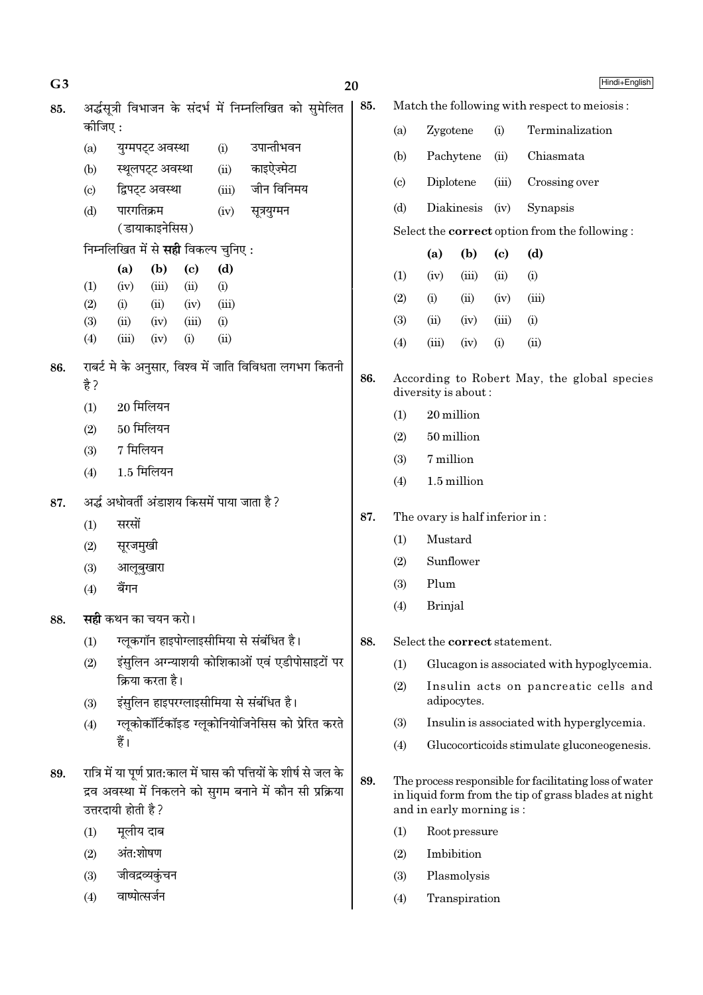| G <sub>3</sub> |                                              |                                            |                                                                                                                                  |             | 20                                                      |     |                                                                    |                                           |                                                                                                                |                                    | Hindi+English                                        |
|----------------|----------------------------------------------|--------------------------------------------|----------------------------------------------------------------------------------------------------------------------------------|-------------|---------------------------------------------------------|-----|--------------------------------------------------------------------|-------------------------------------------|----------------------------------------------------------------------------------------------------------------|------------------------------------|------------------------------------------------------|
| 85.            |                                              |                                            |                                                                                                                                  |             | अर्द्धसूत्री विभाजन के संदर्भ में निम्नलिखित को सुमेलित | 85. | Match the following with respect to meiosis:                       |                                           |                                                                                                                |                                    |                                                      |
|                | कोजिए:                                       |                                            |                                                                                                                                  |             |                                                         |     | (a)                                                                | Zygotene                                  |                                                                                                                | (i)                                | Terminalization                                      |
|                | (a)                                          | युग्मपट्ट अवस्था                           |                                                                                                                                  | (i)         | उपान्तीभवन                                              |     | (b)                                                                |                                           | Pachytene                                                                                                      | (ii)                               | Chiasmata                                            |
|                | (b)                                          | स्थूलपट्ट अवस्था                           |                                                                                                                                  | (ii)        | काइऐज़्मेटा                                             |     | $\left( \mathrm{c}\right)$                                         | Diplotene                                 |                                                                                                                | (iii)                              | Crossing over                                        |
|                | $\left( \mathrm{c}\right)$                   | द्विपट्ट अवस्था                            |                                                                                                                                  | (iii)       | जीन विनिमय                                              |     | (d)                                                                |                                           | Diakinesis                                                                                                     | (iv)                               | Synapsis                                             |
|                | (d)                                          | पारगतिक्रम<br>(डायाकाइनेसिस)               |                                                                                                                                  | (iv)        | सूत्रयुग्मन                                             |     |                                                                    |                                           |                                                                                                                |                                    | Select the <b>correct</b> option from the following: |
|                |                                              | निम्नलिखित में से <b>सही</b> विकल्प चुनिए: |                                                                                                                                  |             |                                                         |     |                                                                    |                                           | (b)                                                                                                            |                                    | (d)                                                  |
|                |                                              | (a)<br>(b)                                 | $\left( \mathbf{c} \right)$                                                                                                      | (d)         |                                                         |     | (1)                                                                | (a)<br>(iv)                               | (iii)                                                                                                          | $\left( \mathrm{c}\right)$<br>(ii) | (i)                                                  |
|                | (1)                                          | (iii)<br>(iv)                              | (ii)                                                                                                                             | (i)         |                                                         |     |                                                                    |                                           |                                                                                                                |                                    |                                                      |
|                | (2)                                          | (ii)<br>(i)                                | (iv)                                                                                                                             | (iii)       |                                                         |     | (2)                                                                | (i)                                       | (ii)                                                                                                           | (iv)                               | (iii)                                                |
|                | (3)<br>(4)                                   | (ii)<br>(iv)<br>(iii)<br>(iv)              | (iii)<br>(i)                                                                                                                     | (i)<br>(ii) |                                                         |     | (3)                                                                | (ii)                                      | (iv)                                                                                                           | (iii)                              | (i)                                                  |
|                |                                              |                                            |                                                                                                                                  |             |                                                         |     | (4)                                                                | (iii)                                     | (iv)                                                                                                           | (i)                                | (ii)                                                 |
| 86.            | है ?                                         |                                            |                                                                                                                                  |             | राबर्ट मे के अनुसार, विश्व में जाति विविधता लगभग कितनी  | 86. | According to Robert May, the global species<br>diversity is about: |                                           |                                                                                                                |                                    |                                                      |
|                | (1)                                          | $20$ मिलियन                                |                                                                                                                                  |             |                                                         |     | (1)                                                                | 20 million                                |                                                                                                                |                                    |                                                      |
|                | (2)                                          | $50$ मिलियन                                |                                                                                                                                  |             |                                                         |     | (2)                                                                | 50 million                                |                                                                                                                |                                    |                                                      |
|                | (3)                                          | 7 मिलियन                                   |                                                                                                                                  |             |                                                         |     | (3)                                                                | 7 million                                 |                                                                                                                |                                    |                                                      |
|                | (4)                                          | $1.5$ मिलियन                               |                                                                                                                                  |             |                                                         |     | (4)                                                                |                                           | 1.5 million                                                                                                    |                                    |                                                      |
| 87.            | अर्द्ध अधोवर्ती अंडाशय किसमें पाया जाता है ? |                                            |                                                                                                                                  |             |                                                         |     |                                                                    |                                           |                                                                                                                |                                    |                                                      |
|                | (1)                                          | सरसों                                      |                                                                                                                                  |             |                                                         | 87. |                                                                    |                                           | The ovary is half inferior in:                                                                                 |                                    |                                                      |
|                | (2)                                          | सूरजमुखी                                   |                                                                                                                                  |             |                                                         |     | (1)                                                                | Mustard                                   |                                                                                                                |                                    |                                                      |
|                | (3)                                          | आलूबुखारा                                  |                                                                                                                                  |             |                                                         |     | (2)                                                                | Sunflower                                 |                                                                                                                |                                    |                                                      |
|                | (4)                                          | बैंगन                                      |                                                                                                                                  |             |                                                         |     | (3)                                                                | Plum                                      |                                                                                                                |                                    |                                                      |
| 88.            |                                              | <b>सही</b> कथन का चयन करो।                 |                                                                                                                                  |             |                                                         |     | (4)                                                                | Brinjal                                   |                                                                                                                |                                    |                                                      |
|                | (1)                                          | ग्लूकगॉन हाइपोग्लाइसीमिया से संबंधित है।   |                                                                                                                                  |             |                                                         | 88. |                                                                    |                                           | Select the correct statement.                                                                                  |                                    |                                                      |
|                | (2)                                          |                                            |                                                                                                                                  |             | इंसुलिन अग्न्याशयी कोशिकाओं एवं एडीपोसाइटों पर          |     | (1)                                                                |                                           |                                                                                                                |                                    | Glucagon is associated with hypoglycemia.            |
|                |                                              | क्रिया करता है।                            |                                                                                                                                  | (2)         | Insulin acts on pancreatic cells and                    |     |                                                                    |                                           |                                                                                                                |                                    |                                                      |
|                | (3)                                          | इंसुलिन हाइपरग्लाइसीमिया से संबंधित है।    |                                                                                                                                  |             |                                                         |     |                                                                    | adipocytes.                               |                                                                                                                |                                    |                                                      |
|                | (4)                                          |                                            |                                                                                                                                  |             | ग्लूकोकॉर्टिकॉइड ग्लूकोनियोजिनेसिस को प्रेरित करते      |     | (3)                                                                | Insulin is associated with hyperglycemia. |                                                                                                                |                                    |                                                      |
|                |                                              | हैं।                                       |                                                                                                                                  |             |                                                         |     | (4)                                                                |                                           |                                                                                                                |                                    | Glucocorticoids stimulate gluconeogenesis.           |
| 89.            |                                              | उत्तरदायी होती है ?                        | रात्रि में या पूर्ण प्रात:काल में घास की पत्तियों के शीर्ष से जल के<br>द्रव अवस्था में निकलने को सुगम बनाने में कौन सी प्रक्रिया | 89.         |                                                         |     | and in early morning is:                                           |                                           | The process responsible for facilitating loss of water<br>in liquid form from the tip of grass blades at night |                                    |                                                      |
|                | (1)                                          | मूलीय दाब                                  |                                                                                                                                  |             |                                                         |     | (1)                                                                |                                           | Root pressure                                                                                                  |                                    |                                                      |
|                | (2)                                          | अंत:शोषण                                   |                                                                                                                                  |             |                                                         |     | (2)                                                                |                                           | Imbibition                                                                                                     |                                    |                                                      |
|                | (3)                                          | जीवद्रव्यकुंचन                             |                                                                                                                                  |             |                                                         |     | (3)                                                                |                                           | Plasmolysis                                                                                                    |                                    |                                                      |
|                | (4)                                          | वाष्पोत्सर्जन                              |                                                                                                                                  |             |                                                         |     | (4)                                                                |                                           | Transpiration                                                                                                  |                                    |                                                      |
|                |                                              |                                            |                                                                                                                                  |             |                                                         |     |                                                                    |                                           |                                                                                                                |                                    |                                                      |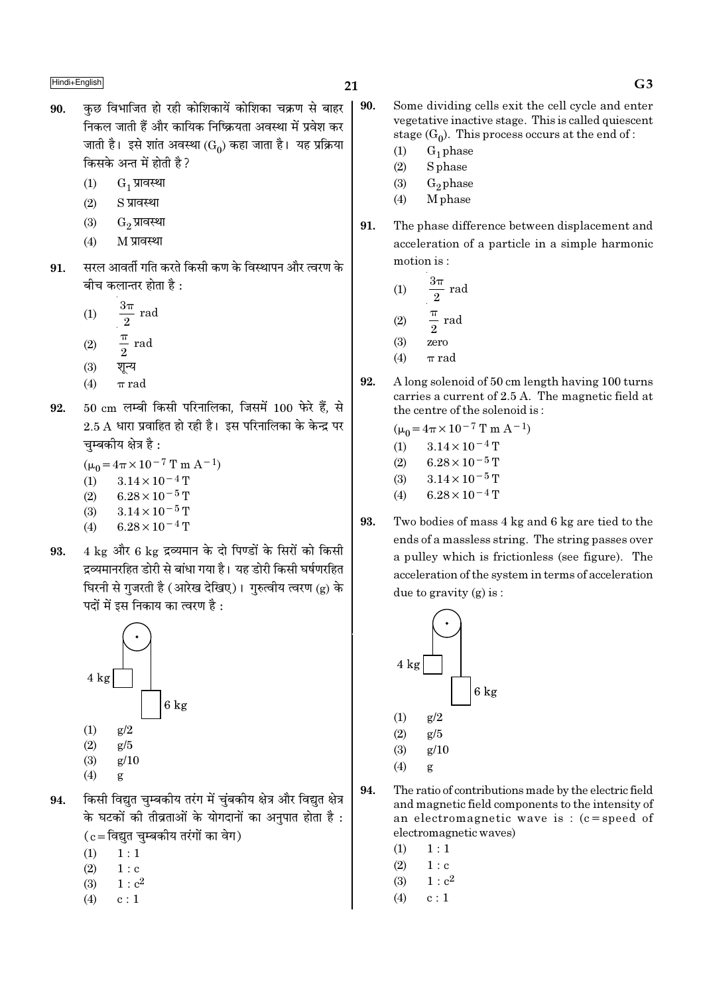- कछ विभाजित हो रही कोशिकायें कोशिका चक्रण से बाहर 90. निकल जाती हैं और कायिक निष्क्रियता अवस्था में प्रवेश कर जाती है। इसे शांत अवस्था (Go) कहा जाता है। यह प्रक्रिया किसके अन्त में होती है ?
	- $G_1$  प्रावस्था  $(1)$
	- $(2)$ S प्रावस्था
	- $(3)$  $G_2$  प्रावस्था
	- M प्रावस्था  $(4)$
- सरल आवर्ती गति करते किसी कण के विस्थापन और त्वरण के 91. बीच कलान्तर होता है :
	- $\frac{3\pi}{2}$  rad  $(1)$  $rac{\pi}{2}$  rad  $(2)$
	- $(3)$ शून्य
	- $(4)$  $\pi$  rad
- $50 \text{ cm}$  लम्बी किसी परिनालिका. जिसमें 100 फेरे हैं. से 92.  $2.5$  A धारा प्रवाहित हो रही है। इस परिनालिका के केन्द्र पर चम्बकीय क्षेत्र है :
	- $(\mu_0 = 4\pi \times 10^{-7} \text{ T m A}^{-1})$  $3.14 \times 10^{-4}$  T  $(1)$  $(2)$  $6.28 \times 10^{-5}$  T
	- $(3)$  $3.14 \times 10^{-5}$  T
	- $6.28 \times 10^{-4}$  T  $(4)$
- $4 \text{ kg}$  और 6  $\text{kg}$  द्रव्यमान के दो पिण्डों के सिरों को किसी 93. द्रव्यमानरहित डोरी से बांधा गया है। यह डोरी किसी घर्षणरहित धिरनी से गुजरती है (आरेख देखिए)। गुरुत्वीय त्वरण (g) के पदों में इस निकाय का त्वरण है :



- $(3)$  $g/10$
- $(4)$ g
- किसी विद्युत चुम्बकीय तरंग में चुंबकीय क्षेत्र और विद्युत क्षेत्र 94. के घटकों की तीव्रताओं के योगदानों का अनपात होता है :  $(c = \bar{c}$ विद्युत चुम्बकीय तरंगों का वेग)
	- $(1)$  $1:1$
	- $(2)$  $1 : c$
	- $(3)$  $1: c<sup>2</sup>$
	- $(4)$  $c:1$
- 21
	- 90. Some dividing cells exit the cell cycle and enter vegetative inactive stage. This is called quiescent stage  $(G_0)$ . This process occurs at the end of:
		- $G_1$  phase  $(1)$
		- $(2)$ **S** phase
		- $G_2$ phase  $(3)$
		- $(4)$ M<sub>phase</sub>
	- 91. The phase difference between displacement and acceleration of a particle in a simple harmonic motion is:
		- $3\pi$  $(1)$ rad  $\frac{\pi}{2}$ rad  $(2)$
		- $(3)$ zero
		- $(4)$  $\pi$  rad
	- 92. A long solenoid of 50 cm length having 100 turns carries a current of 2.5 A. The magnetic field at the centre of the solenoid is:

$$
(\mu_0 = 4\pi \times 10^{-7} \text{ T m A}^{-1})
$$

- $3.14 \times 10^{-4}$  T  $(1)$
- $(2)$  $6.28 \times 10^{-5}$  T
- $(3)$  $3.14 \times 10^{-5}$  T
- $6.28 \times 10^{-4}$  T  $(4)$
- 93. Two bodies of mass 4 kg and 6 kg are tied to the ends of a massless string. The string passes over a pulley which is frictionless (see figure). The acceleration of the system in terms of acceleration due to gravity  $(g)$  is:



- 94. The ratio of contributions made by the electric field and magnetic field components to the intensity of an electromagnetic wave is:  $(c = speed of$ electromagnetic waves)
	- $1:1$  $(1)$
	- $(2)$  $1 : c$
	- $1 : c<sup>2</sup>$  $(3)$
	- $(4)$  $c:1$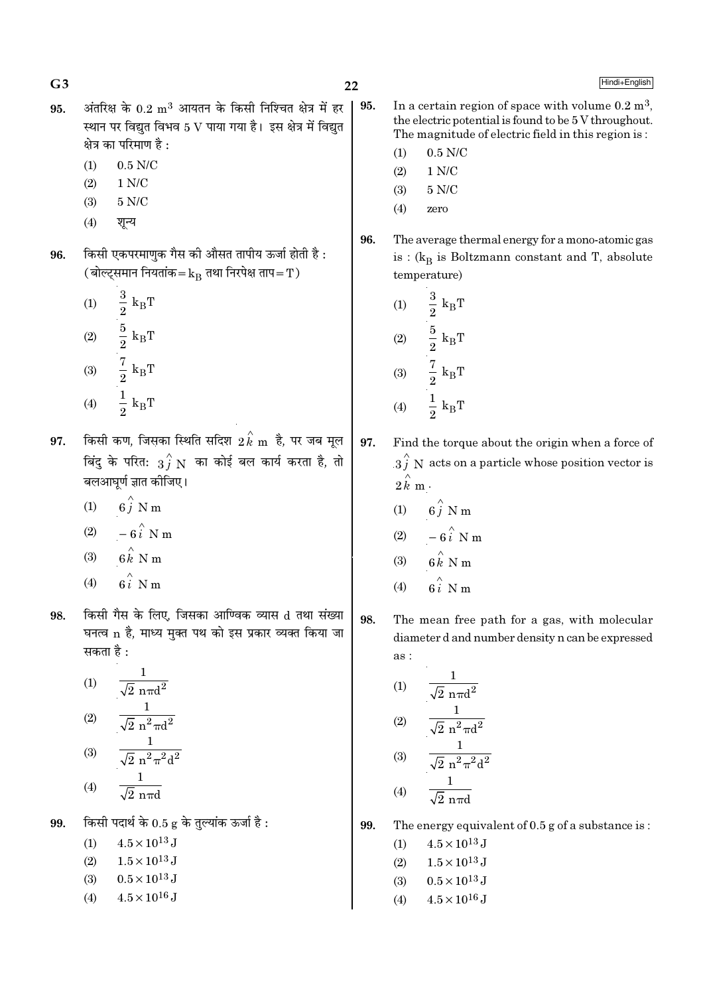$22$ 

Hindi+English

- अंतरिक्ष के  $0.2 \text{ m}^3$  आयतन के किसी निश्चित क्षेत्र में हर 95. स्थान पर विद्युत विभव 5 V पाया गया है। इस क्षेत्र में विद्युत क्षेत्र का परिमाण है :
	- $0.5$  N/C  $(1)$
	- $(2)$  $1 N/C$  $5 N/C$  $(3)$
	- $(4)$ शन्य
- किसी एकपरमाणक गैस की औसत तापीय ऊर्जा होती है : 96. (बोल्ट्समान नियतांक= $k_B$  तथा निरपेक्ष ताप=T)
	- $\begin{aligned} \frac{3}{2} \ k_{\mathrm{B}}\text{T} \\ \frac{5}{2} \ k_{\mathrm{B}}\text{T} \\ \frac{7}{2} \ k_{\mathrm{B}}\text{T} \\ \frac{1}{2} \ k_{\mathrm{B}}\text{T} \end{aligned}$  $(1)$  $(2)$  $(3)$  $(4)$
- किसी कण, जिसका स्थिति सदिश  $\stackrel{\wedge}{2}{\stackrel{k}{k}}$ m है, पर जब मूल 97. बिंदु के परित:  $3\overset{\wedge}{f}$  N का कोई बल कार्य करता है, तो बलआघूर्ण ज्ञात कीजिए।
	- $6\hat{j}$  N m  $(1)$
	- $-6\hat{i}$  N m  $(2)$
	- $6 \stackrel{\wedge}{k}$  N m  $(3)$
	- $6i$  N m  $(4)$
- किसी गैस के लिए. जिसका आण्विक व्यास d तथा संख्या 98. घनत्व n है, माध्य मुक्त पथ को इस प्रकार व्यक्त किया जा सकता है :

(1) 
$$
\frac{1}{\sqrt{2} \text{ n} \pi d^2}
$$
  
\n(2) 
$$
\frac{1}{\sqrt{2} \text{ n}^2 \pi d^2}
$$
  
\n(3) 
$$
\frac{1}{\sqrt{2} \text{ n}^2 \pi^2 d^2}
$$
  
\n(4) 
$$
\frac{1}{\sqrt{2} \text{ n}^2 \pi^2 d^2}
$$

$$
(4) \qquad \overline{\sqrt{2} \text{ n} \pi d}
$$

किसी पदार्थ के  $0.5$  g के तुल्यांक ऊर्जा है: 99.

- $4.5 \times 10^{13}$  J  $(1)$
- $1.5 \times 10^{13}$  J  $(2)$
- $0.5 \times 10^{13}$  J  $(3)$
- $4.5 \times 10^{16}$  J  $(4)$

In a certain region of space with volume  $0.2 \text{ m}^3$ . 95. the electric potential is found to be 5 V throughout. The magnitude of electric field in this region is:

- $0.5$  N/C  $(1)$
- $(2)$  $1 N/C$
- 5 N/C  $(3)$
- $(4)$ zero
- 96. The average thermal energy for a mono-atomic gas is :  $(k_R$  is Boltzmann constant and T, absolute temperature)
	- $\frac{3}{2}$   ${\rm k_BT}$  $(1)$  $\frac{5}{2} k_B T$ <br> $\frac{7}{2} k_B T$  $(2)$  $(3)$  $\frac{1}{2} k_B T$  $(4)$

97. Find the torque about the origin when a force of  $3\hat{j}$  N acts on a particle whose position vector is  $2\hat{k}$  m.

- $(1)$  $6\hat{i}$  N m
- $(2)$  $-6\hat{i}$  N m
- $(3)$  $N<sub>n</sub>$
- $(4)$
- 98. The mean free path for a gas, with molecular diameter d and number density n can be expressed  $\overline{as}$ :

(1) 
$$
\frac{1}{\sqrt{2} \text{ n} \pi d^2}
$$
  
\n(2) 
$$
\frac{1}{\sqrt{2} \text{ n}^2 \pi d^2}
$$
  
\n(3) 
$$
\frac{1}{\sqrt{2} \text{ n}^2 \pi^2 d^2}
$$
  
\n(4) 
$$
\frac{1}{\sqrt{2} \text{ n}^2 \pi^2 d^2}
$$

 $(4)$  $\sqrt{2}$  nπd

99.

The energy equivalent of  $0.5$  g of a substance is:

- $4.5 \times 10^{13}$  J  $(1)$
- $1.5 \times 10^{13}$  J  $(2)$
- $0.5 \times 10^{13}$  J  $(3)$
- $4.5 \times 10^{16}$  J  $(4)$

 $G<sub>3</sub>$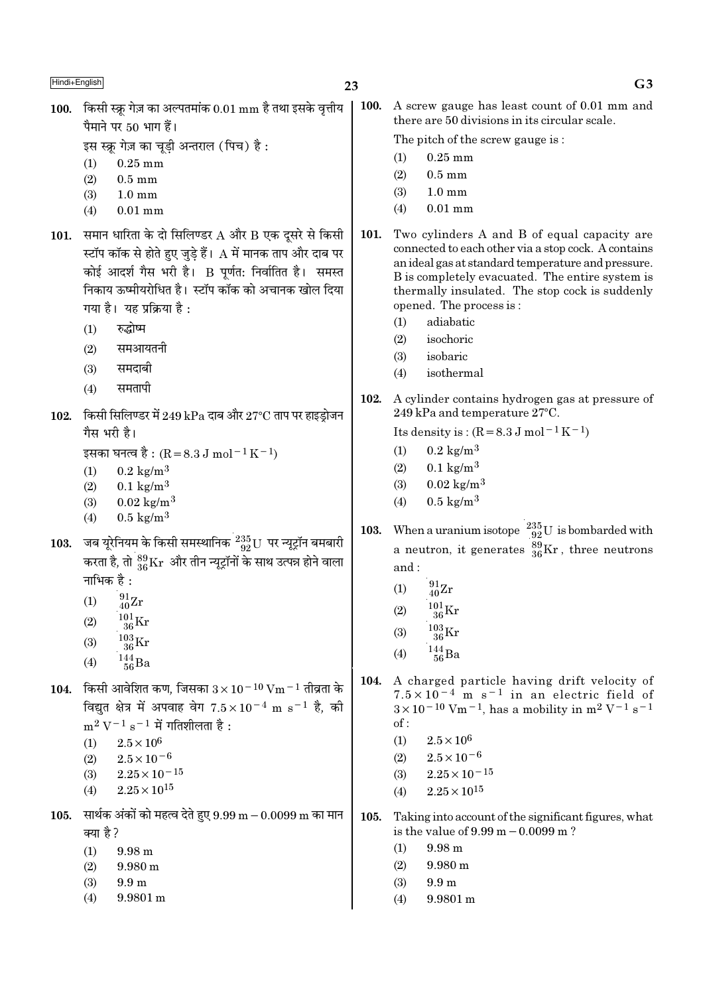100. किसी स्क्रू गेज़ का अल्पतमांक  $0.01 \text{ mm}$  है तथा इसके वृत्तीय पैमाने पर 50 भाग हैं।

इस स्क्रू गेज़ का चूड़ी अन्तराल (पिच) है:

- $(1)$  $0.25$  mm
- $(2)$  $0.5 \text{ mm}$
- $(3)$  $1.0 \text{ mm}$
- $0.01$  mm  $(4)$
- 101. समान धारिता के दो सिलिण्डर  $A$  और  $B$  एक दूसरे से किसी स्टॉप कॉक से होते हुए जुडे हैं।  ${\rm A}$  में मानक ताप और दाब पर कोई आदर्श गैस भरी है। B पूर्णत: निर्वातित है। समस्त निकाय ऊष्मीयरोधित है। स्टॉप कॉक को अचानक खोल दिया गया है। यह प्रक्रिया है:
	- $(1)$ रुद्धोष्म
	- समआयतनी  $(2)$
	- समदाबी  $(3)$
	- $(4)$ समतापी
- किसी सिलिण्डर में 249 kPa दाब और 27°C ताप पर हाइड़ोजन 102. गैस भरी है।
	- इसका घनत्व है : (R = 8.3 J mol<sup>-1</sup> K<sup>-1</sup>)
	- $0.2 \text{ kg/m}^3$  $(1)$
	- $0.1~\mathrm{kg/m^3}$  $(2)$
	- $0.02 \text{ kg/m}^3$  $(3)$
	- $(4)$  $0.5 \text{ kg/m}^3$
- जब यूरेनियम के किसी समस्थानिक  $\frac{235}{92}$ U पर न्यूट्रॉन बमबारी 103. करता है, तो  $^{89}_{36}\rm{Kr}$  और तीन न्यूट्रॉनों के साथ उत्पन्न होने वाला नाभिक है :
	- $^{91}_{40}Zr$  $(1)$
	- $(2)$
	- $\frac{103}{36}\mathrm{Kr}$  $(3)$
	-
	- $\frac{144}{56}Ba$  $(4)$
- 104. किसी आवेशित कण, जिसका  $3 \times 10^{-10}$  Vm  $^{-1}$  तीव्रता के विद्यत क्षेत्र में अपवाह वेग  $7.5 \times 10^{-4}$  m s<sup>-1</sup> है, की  $m^2 V^{-1} s^{-1}$  में गतिशीलता है:
	- $(1)$  $2.5 \times 10^{6}$
	- $2.5\times10^{-6}$  $(2)$
	- $2.25 \times 10^{-15}$  $(3)$
	- $2.25 \times 10^{15}$  $(4)$
- सार्थक अंकों को महत्व देते हुए  $9.99 \text{ m} 0.0099 \text{ m}$  का मान 105. क्या है?
	- $9.98<sub>m</sub>$  $(1)$
	- $(2)$  $9.980 \text{ m}$
	- $(3)$  $9.9<sub>m</sub>$
	- $(4)$ 9.9801 m

100. A screw gauge has least count of 0.01 mm and there are 50 divisions in its circular scale.

The pitch of the screw gauge is:

- $(1)$  $0.25$  mm
- $(2)$  $0.5 \text{ mm}$
- $(3)$  $1.0 \text{ mm}$
- $(4)$  $0.01$  mm
- 101. Two cylinders A and B of equal capacity are connected to each other via a stop cock. A contains an ideal gas at standard temperature and pressure. B is completely evacuated. The entire system is thermally insulated. The stop cock is suddenly opened. The process is:
	- adiabatic  $(1)$
	- isochoric  $(2)$
	- isobaric  $(3)$
	- isothermal  $(4)$
- 102. A cylinder contains hydrogen gas at pressure of 249 kPa and temperature 27°C.

Its density is:  $(R = 8.3 \text{ J mol}^{-1} \text{ K}^{-1})$ 

- $0.2 \text{ kg/m}^3$  $(1)$
- $0.1 \text{ kg/m}^3$  $(2)$
- $0.02 \text{ kg/m}^3$  $(3)$
- $0.5 \text{ kg/m}^3$  $(4)$
- When a uranium isotope  $\frac{235}{92}U$  is bombarded with 103. a neutron, it generates  $\frac{89}{36}$ Kr, three neutrons and:
	- $^{91}_{40}Zr$  $(1)$
	- $^{101}_{36}\mathrm{Kr}$  $(2)$
	- $\frac{103}{103}$ Kr  $(3)$ 36
	- $^{144}_{\kappa c}$ Ba  $(4)$
- 104. A charged particle having drift velocity of  $7.5 \times 10^{-4}$  m s<sup>-1</sup> in an electric field of  $3 \times 10^{-10}$  Vm<sup>-1</sup>, has a mobility in m<sup>2</sup> V<sup>-1</sup> s<sup>-1</sup>  $of:$ 
	- $2.5 \times 10^6$  $(1)$
	- $2.5 \times 10^{-6}$  $(2)$
	- $2.25 \times 10^{-15}$  $(3)$
	- $2.25 \times 10^{15}$  $(4)$
- 105. Taking into account of the significant figures, what is the value of  $9.99 \text{ m} - 0.0099 \text{ m}$ ?
	- 9.98 m  $(1)$
	- $(2)$ 9.980 m
	- $(3)$  $9.9<sub>m</sub>$
	- $(4)$ 9.9801 m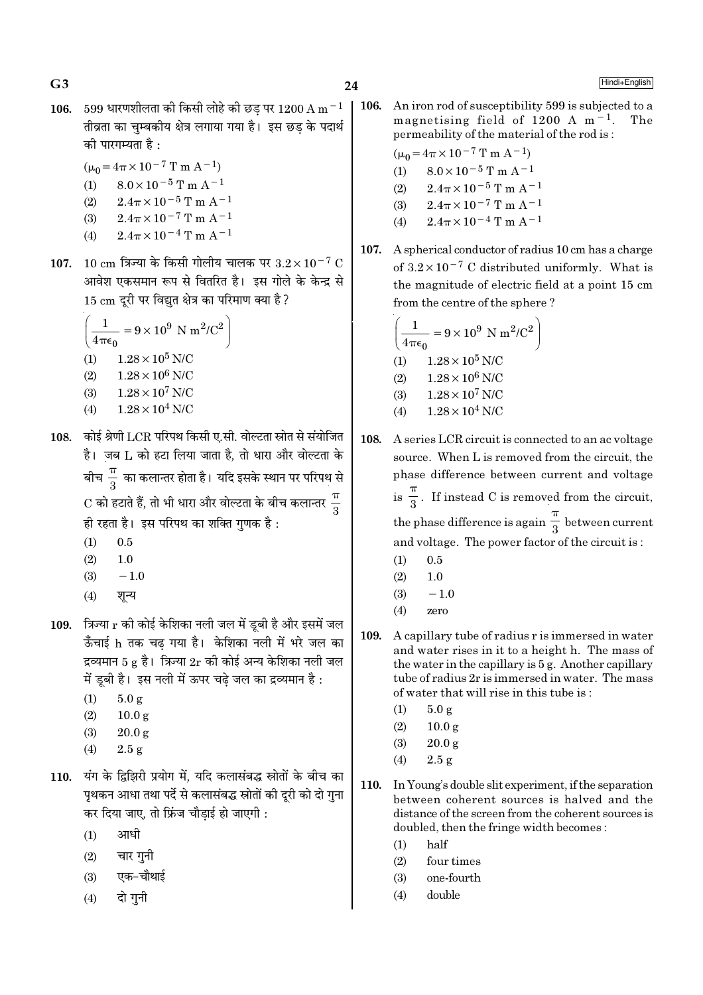$G<sub>3</sub>$ 

Hindi+English

- 106. 599 धारणशीलता की किसी लोहे की छड पर 1200 A m  $^{-1}$ तीव्रता का चम्बकीय क्षेत्र लगाया गया है। इस छड के पदार्थ को पारगम्यता है :
	- $(\mu_0 = 4\pi \times 10^{-7} \text{ T m A}^{-1})$
	- (1)  $8.0 \times 10^{-5}$  T m A<sup>-1</sup>
	- $(2)$  $2.4\pi \times 10^{-5}$  T m A<sup>-1</sup>
	- (3)  $2.4\pi \times 10^{-7}$  T m A<sup>-1</sup>
	- (4)  $2.4\pi \times 10^{-4}$  T m A<sup>-1</sup>
- 107. 10 cm त्रिज्या के किसी गोलीय चालक पर  $3.2 \times 10^{-7}$  C आवेश एकसमान रूप से वितरित है। इस गोले के केन्द्र से 15 cm दूरी पर विद्युत क्षेत्र का परिमाण क्या है ?

$$
\left(\frac{1}{4\pi\epsilon_0} = 9 \times 10^9 \text{ N m}^2/\text{C}^2\right)
$$
  
(1) 1.28×10<sup>5</sup> N/C  
(2) 1.28×10<sup>6</sup> N/C  
(3) 1.28×10<sup>7</sup> N/C  
(4) 1.28×10<sup>4</sup> N/C

- 108. कोई श्रेणी LCR परिपथ किसी ए.सी. वोल्टता स्रोत से संयोजित है। जब L को हटा लिया जाता है, तो धारा और वोल्टता के बीच $\frac{\pi}{3}$  का कलान्तर होता है। यदि इसके स्थान पर परिपथ से  $\mathrm{C}$  को हटाते हैं, तो भी धारा और वोल्टता के बीच कलान्तर  $\frac{\pi}{2}$ ही रहता है। इस परिपथ का शक्ति गुणक है:
	- $(1)$  $0.5$
	- $(2)$  $1.0$
	- $(3)$  $-1.0$
	- शन्य  $(4)$
- 109. त्रिज्या  $r$  की कोई केशिका नली जल में डूबी है और इसमें जल ऊँचाई h तक चढ गया है। केशिका नली में भरे जल का द्रव्यमान 5 g है। त्रिज्या  $2r$  की कोई अन्य केशिका नली जल में ड़बी है। इस नली में ऊपर चढ़े जल का द्रव्यमान है:
	- $5.0 g$  $(1)$
	- $10.0 g$  $(2)$
	- $(3)$  $20.0 g$
	- $(4)$  $2.5 g$
- 110. यंग के द्विझिरी प्रयोग में, यदि कलासंबद्ध स्रोतों के बीच का पृथकन आधा तथा पर्दे से कलासंबद्ध स्रोतों की दूरी को दो गुना कर दिया जाए, तो फ्रिंज चौडाई हो जाएगी :
	- आधी  $(1)$
	- चार गुनी  $(2)$
	- एक-चौथाई  $(3)$
	- दो गनी  $(4)$

106. An iron rod of susceptibility 599 is subjected to a magnetising field of 1200 A  $m^{-1}$ . permeability of the material of the rod is:

$$
(\mu_0 = 4\pi \times 10^{-7} \text{ T m A}^{-1})
$$

- $8.0 \times 10^{-5}$  T m A<sup>-1</sup>  $(1)$
- $2.4\pi \times 10^{-5}$  T m A<sup>-1</sup>  $(2)$
- $2.4\pi \times 10^{-7}$  T m A<sup>-1</sup>  $(3)$
- $2.4\pi \times 10^{-4}$  T m A<sup>-1</sup>  $(4)$
- 107. A spherical conductor of radius 10 cm has a charge of  $3.2 \times 10^{-7}$  C distributed uniformly. What is the magnitude of electric field at a point 15 cm from the centre of the sphere?

$$
\left(\frac{1}{4\pi\epsilon_0} = 9 \times 10^9 \text{ N m}^2/\text{C}^2\right)
$$
  
(1) 1.28×10<sup>5</sup> N/C  
(2) 1.28×10<sup>6</sup> N/C  
(3) 1.28×10<sup>7</sup> N/C  
(4) 1.28×10<sup>4</sup> N/C

- 108 A series LCR circuit is connected to an ac voltage source. When L is removed from the circuit, the phase difference between current and voltage is  $\frac{\pi}{3}$ . If instead C is removed from the circuit, the phase difference is again  $\frac{\pi}{3}$  between current and voltage. The power factor of the circuit is:
	- $(1)$  $0.5$
	- $(2)$  $1.0$
	- $-1.0$  $(3)$
	- $(4)$ zero
- 109. A capillary tube of radius r is immersed in water and water rises in it to a height h. The mass of the water in the capillary is 5 g. Another capillary tube of radius 2r is immersed in water. The mass of water that will rise in this tube is:
	- $(1)$  $5.0g$
	- $(2)$  $10.0 \text{ g}$
	- $(3)$  $20.0 g$
	- $(4)$  $2.5 g$
- 110. In Young's double slit experiment, if the separation between coherent sources is halved and the distance of the screen from the coherent sources is doubled, then the fringe width becomes:
	- half  $(1)$
	- $(2)$ four times
	- one-fourth  $(3)$
	- double  $(4)$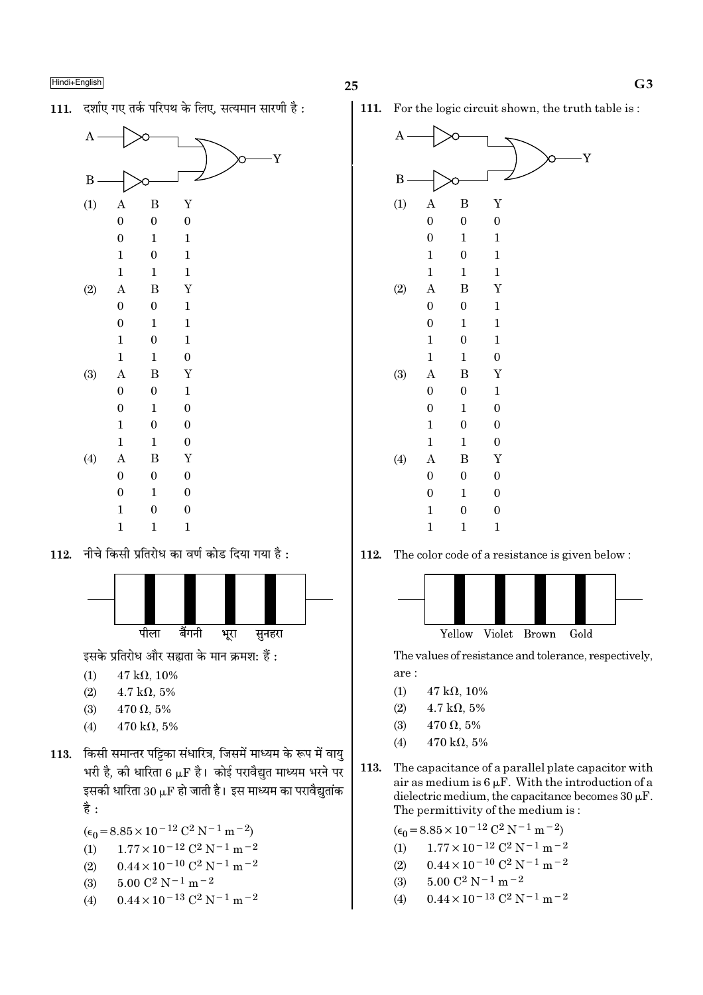111. दर्शाए गए तर्क परिपथ के लिए. सत्यमान सारणी है:



नीचे किसी प्रतिरोध का वर्ण कोड दिया गया है : 112.



इसके प्रतिरोध और सह्यता के मान क्रमश: हैं :

- $47 k\Omega, 10\%$  $(1)$
- $4.7 \text{ k}\Omega, 5\%$  $(2)$
- $(3)$  $470 \Omega, 5\%$
- $(4)$  $470 \text{ k}\Omega$ , 5%
- 113. किसी समान्तर पट्टिका संधारित्र, जिसमें माध्यम के रूप में वायु भरी है, की धारिता 6  $\mu$ F है। कोई परावैद्युत माध्यम भरने पर इसकी धारिता 30  $\mu$ F हो जाती है। इस माध्यम का परावैद्युतांक है :

$$
(\epsilon_0 = 8.85 \times 10^{-12} \, \text{C}^2 \, \text{N}^{-1} \, \text{m}^{-2})
$$

- $1.77 \times 10^{-12}$  C<sup>2</sup> N<sup>-1</sup> m<sup>-2</sup>  $(1)$
- $0.44 \times 10^{-10}$  C<sup>2</sup> N<sup>-1</sup> m<sup>-2</sup>  $(2)$
- $5.00$   $\mathrm{C}^2$  N  $^{-1}$  m  $^{-2}$  $(3)$
- $0.44 \times 10^{-13}$  C<sup>2</sup> N<sup>-1</sup> m<sup>-2</sup>  $(4)$

111. For the logic circuit shown, the truth table is:



112. The color code of a resistance is given below:



The values of resistance and tolerance, respectively, are:

- $(1)$  $47 \text{ k}\Omega, 10\%$
- $(2)$  $4.7 \text{ k}\Omega, 5\%$
- $(3)$  $470 \Omega, 5\%$
- $470 \text{ k}\Omega, 5\%$  $(4)$
- 113. The capacitance of a parallel plate capacitor with air as medium is  $6 \mu$ F. With the introduction of a dielectric medium, the capacitance becomes  $30 \mu$ F. The permittivity of the medium is:

 $(\epsilon_0 = 8.85 \times 10^{-12} \text{ C}^2 \text{ N}^{-1} \text{ m}^{-2})$  $1.77 \times 10^{-12}$  C<sup>2</sup> N<sup>-1</sup> m<sup>-2</sup>  $(1)$ 

- $0.44 \times 10^{-10}$  C<sup>2</sup> N<sup>-1</sup> m<sup>-2</sup>  $(2)$
- $5.00 C^2 N^{-1} m^{-2}$  $(3)$
- $0.44 \times 10^{-13}$  C<sup>2</sup> N<sup>-1</sup> m<sup>-2</sup>  $(4)$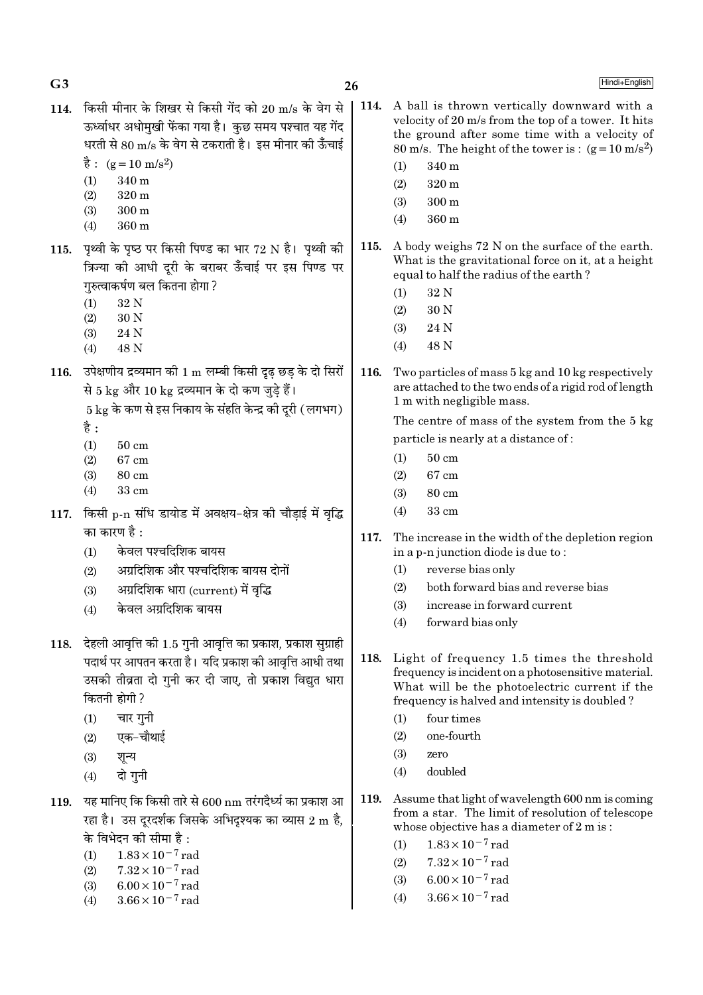| G <sub>3</sub> |                                                                                                                                                                                                                                                                                                                    | 26   | Hindi+English                                                                                                                                                                                                                                                                                                   |
|----------------|--------------------------------------------------------------------------------------------------------------------------------------------------------------------------------------------------------------------------------------------------------------------------------------------------------------------|------|-----------------------------------------------------------------------------------------------------------------------------------------------------------------------------------------------------------------------------------------------------------------------------------------------------------------|
| 114.           | किसी मीनार के शिखर से किसी गेंद को 20 m/s के वेग से<br>ऊर्ध्वाधर अधोमुखी फेंका गया है। कुछ समय पश्चात यह गेंद<br>धरती से 80 m/s के वेग से टकराती है। इस मीनार की ऊँचाई<br>$\dot{\vec{g}}$ : (g = 10 m/s <sup>2</sup> )<br>$340\,\rm{m}$<br>(1)<br>$320 \text{ m}$<br>(2)<br>(3)<br>$300 \text{ m}$<br>360 m<br>(4) | 114. | A ball is thrown vertically downward with a<br>velocity of 20 m/s from the top of a tower. It hits<br>the ground after some time with a velocity of<br>80 m/s. The height of the tower is: $(g=10 \text{ m/s}^2)$<br>340 m<br>(1)<br>320 m<br>(2)<br>$300 \text{ m}$<br>(3)<br>360 m<br>(4)                     |
| 115.           | पृथ्वी के पृष्ठ पर किसी पिण्ड का भार 72 N है। पृथ्वी की<br>त्रिज्या की आधी दूरी के बराबर ऊँचाई पर इस पिण्ड पर<br>गुरुत्वाकर्षण बल कितना होगा ?<br>32 N<br>(1)<br>30 N<br>(2)<br>24 N<br>(3)<br>48 N<br>(4)                                                                                                         | 115. | A body weighs 72 N on the surface of the earth.<br>What is the gravitational force on it, at a height<br>equal to half the radius of the earth?<br>32 N<br>(1)<br>30 N<br>(2)<br>24 N<br>(3)<br>48 N<br>(4)                                                                                                     |
| 116.           | उपेक्षणीय द्रव्यमान को 1 m लम्बी किसी दृढ़ छड़ के दो सिरों<br>से 5 kg और 10 kg द्रव्यमान के दो कण जुड़े हैं।<br>$5 \text{ kg}$ के कण से इस निकाय के संहति केन्द्र की दूरी (लगभग)<br>है :<br>(1)<br>$50 \text{ cm}$<br>(2)<br>$67 \text{ cm}$<br>(3)<br>$80 \text{ cm}$<br>(4)<br>$33 \text{ cm}$                   | 116. | Two particles of mass 5 kg and 10 kg respectively<br>are attached to the two ends of a rigid rod of length<br>1 m with negligible mass.<br>The centre of mass of the system from the 5 kg<br>particle is nearly at a distance of:<br>$50 \text{ cm}$<br>(1)<br>$67 \text{ cm}$<br>(2)<br>$80 \text{ cm}$<br>(3) |
| 117.           | किसी p-n संधि डायोड में अवक्षय-क्षेत्र की चौड़ाई में वृद्धि<br>का कारण है :<br>केवल पश्चदिशिक बायस<br>(1)<br>अग्रदिशिक और पश्चदिशिक बायस दोनों<br>(2)<br>अग्रदिशिक धारा (current) में वृद्धि<br>(3)<br>केवल अग्रदिशिक बायस<br>(4)                                                                                  | 117. | 33 cm<br>(4)<br>The increase in the width of the depletion region<br>in a p-n junction diode is due to:<br>reverse bias only<br>(1)<br>both forward bias and reverse bias<br>(2)<br>(3)<br>increase in forward current<br>forward bias only<br>(4)                                                              |
|                | 118. देहली आवृत्ति की 1.5 गुनी आवृत्ति का प्रकाश, प्रकाश सुग्राही<br>पदार्थ पर आपतन करता है। यदि प्रकाश की आवृत्ति आधी तथा<br>उसकी तीव्रता दो गुनी कर दी जाए, तो प्रकाश विद्युत धारा<br>कितनी होगी ?<br>चार गुनी<br>(1)<br>एक–चौथाई<br>(2)<br>(3)<br>शून्य<br>दो गुनी<br>(4)                                       | 118. | Light of frequency 1.5 times the threshold<br>frequency is incident on a photosensitive material.<br>What will be the photoelectric current if the<br>frequency is halved and intensity is doubled?<br>four times<br>(1)<br>one-fourth<br>(2)<br>(3)<br>zero<br>doubled<br>(4)                                  |
| 119.           | यह मानिए कि किसी तारे से 600 nm तरंगदैर्ध्य का प्रकाश आ<br>रहा है। उस दूरदर्शक जिसके अभिदृश्यक का व्यास 2 m है,<br>के विभेदन की सीमा है :<br>$1.83 \times 10^{-7}$ rad<br>(1)<br>$7.32 \times 10^{-7}$ rad<br>(2)<br>$6.00 \times 10^{-7}$ rad<br>(3)                                                              | 119. | Assume that light of wavelength 600 nm is coming<br>from a star. The limit of resolution of telescope<br>whose objective has a diameter of 2 m is:<br>$1.83 \times 10^{-7}$ rad<br>(1)<br>$7.32 \times 10^{-7}$ rad<br>(2)<br>$6.00 \times 10^{-7}$ rad<br>(3)                                                  |

 $(4)$ 

 $3.66\times10^{-7}\,\mathrm{rad}$ 

- 
- $(3)$ <br>(4)  $6.00 \times 10^{-7}$  rad<br> $3.66 \times 10^{-7}$  rad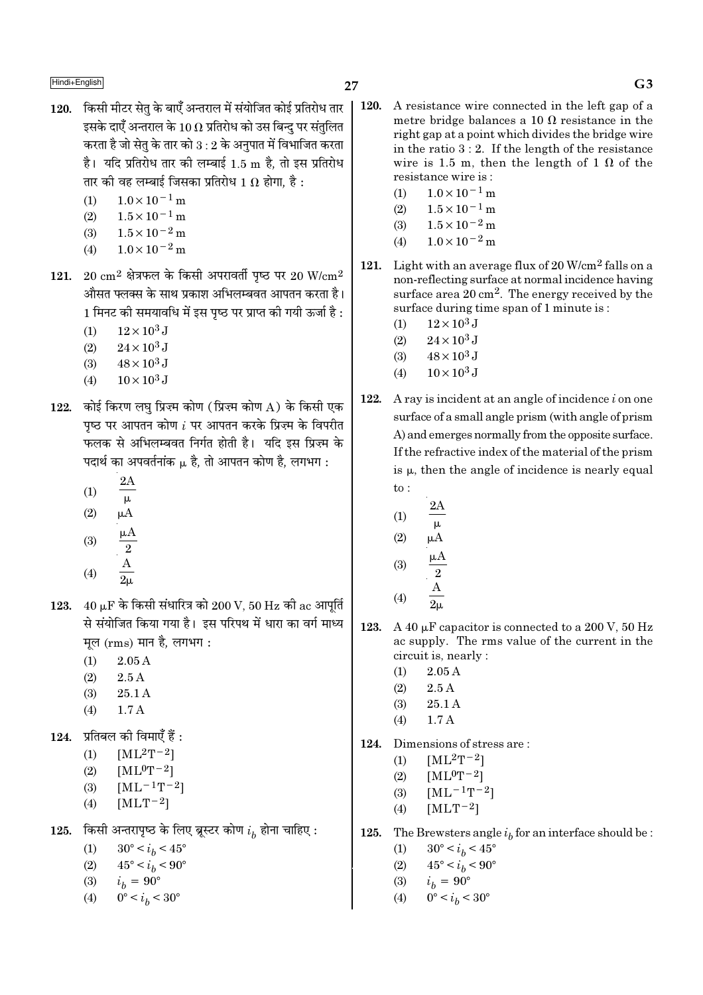$\blacksquare$ Hindi+English  $\blacksquare$ 

- 120. किसी मीटर सेत के बाएँ अन्तराल में संयोजित कोई प्रतिरोध तार इसके दाएँ अन्तराल के 10  $\Omega$  प्रतिरोध को उस बिन्द पर संतलित करता है जो सेतु के तार को  $3:2$  के अनुपात में विभाजित करता है। यदि प्रतिरोध तार की लम्बाई 1.5 m है, तो इस प्रतिरोध तार की वह लम्बाई जिसका प्रतिरोध 1  $\Omega$  होगा. है :
	- (1)  $1.0 \times 10^{-1}$  m
	- $(2)$  1.5×10<sup>-1</sup> m
	- (3)  $1.5 \times 10^{-2}$  m
	- (4)  $1.0 \times 10^{-2}$  m
- 121. 20  $\rm cm^2$  क्षेत्रफल के किसी अपरावर्ती पृष्ठ पर 20 W/ $\rm cm^2$ औसत फ्लक्स के साथ प्रकाश अभिलम्बवत आपतन करता है। 1 मिनट की समयावधि में इस पष्ठ पर प्राप्त की गयी ऊर्जा है :
	- (1)  $12 \times 10^3$  J
	- (2)  $24 \times 10^3$  J
	- (3)  $48 \times 10^3$  J
	- (4)  $10 \times 10^3$  J
- 122. कोई किरण लघ प्रिज्म कोण (प्रिज्म कोण A) के किसी एक पृष्ठ पर आपतन कोण  $i$  पर आपतन करके प्रिज़्म के विपरीत फलक से अभिलम्बवत निर्गत होती है। यदि इस प्रिज्म के पदार्थ का अपवर्तनांक µ है. तो आपतन कोण है. लगभग :
	- (1) 2A
	- $\mu$
	- (2)  $\mu$ A A
	- (3) 2 µ
	- (4) A  $\overline{2\mu}$
- 123.  $40 \mu$ F के किसी संधारित्र को  $200 \text{ V}$ ,  $50 \text{ Hz}$  की ac आपूर्ति से संयोजित किया गया है। इस परिपथ में धारा का वर्ग माध्य मल  $(rms)$  मान है. लगभग :
	- $(1)$  2.05 A
	- $(2)$  2.5 A
	- (3) 25.1 A
	- (4) 1.7 A

 $124.$  प्रतिबल की विमाएँ हैं :

- (1)  $[ML^2T^{-2}]$
- (2)  $[ML^0T^{-2}]$
- (3)  $[ML^{-1}T^{-2}]$
- (4)  $[MLT^{-2}]$

125. किसी अन्तरापृष्ठ के लिए ब्रूस्टर कोण  $i_b$  होना चाहिए :

- (1)  $30^{\circ} < i_b < 45^{\circ}$
- (2)  $45^{\circ} < i_b < 90^{\circ}$
- (3)  $i_b = 90^\circ$
- (4)  $0^{\circ} < i_b < 30^{\circ}$
- 120. A resistance wire connected in the left gap of a metre bridge balances a 10  $\Omega$  resistance in the right gap at a point which divides the bridge wire in the ratio 3 : 2. If the length of the resistance wire is 1.5 m, then the length of 1  $\Omega$  of the resistance wire is :
	- $(1)$  1.0×10<sup>-1</sup> m
	- (2)  $1.5 \times 10^{-1}$  m
	- (3)  $1.5 \times 10^{-2}$  m
	- (4)  $1.0 \times 10^{-2}$  m
- 121. Light with an average flux of  $20 \text{ W/cm}^2$  falls on a non-reflecting surface at normal incidence having surface area 20 cm2. The energy received by the surface during time span of 1 minute is :
	- (1)  $12 \times 10^3$  J
	- (2)  $24 \times 10^3$  J
	- (3)  $48 \times 10^3$  J
	- (4)  $10 \times 10^3$  J
- 122. A ray is incident at an angle of incidence  $i$  on one surface of a small angle prism (with angle of prism A) and emerges normally from the opposite surface. If the refractive index of the material of the prism is  $\mu$ , then the angle of incidence is nearly equal to :
	- (1) 2A
	- µ  $(2)$   $\mu$ A
	- (3)  $\mu\overline{A}$ 2 A
	- (4)  $2\mu$
- 123. A 40  $\mu$ F capacitor is connected to a 200 V, 50 Hz ac supply. The rms value of the current in the circuit is, nearly :
	- $(1)$  2.05 A
	- $(2)$  2.5 A
	- (3) 25.1 A
	- $(4)$  1.7 A
- 124. Dimensions of stress are :
	- (1)  $[ML^2T^{-2}]$
	- (2)  $[ML^0T^{-2}]$
	- (3)  $[ML^{-1}T^{-2}]$
	- (4)  $[MLT-2]$
- **125.** The Brewsters angle  $i<sub>b</sub>$  for an interface should be :
	- (1)  $30^{\circ} < i_b < 45^{\circ}$
	- (2)  $45^{\circ} < i_b < 90^{\circ}$
	- (3)  $i_b = 90^\circ$
	- (4)  $0^{\circ} < i_b < 30^{\circ}$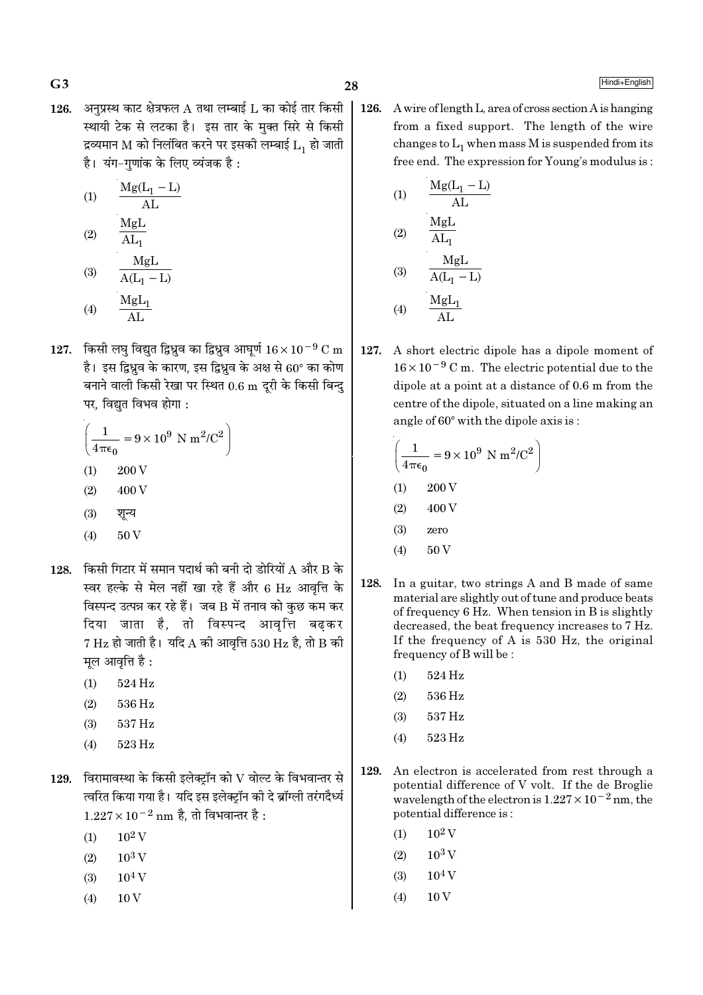126. अनुप्रस्थ काट क्षेत्रफल A तथा लम्बाई L का कोई तार किसी स्थायी टेक से लटका है। इस तार के मक्त सिरे से किसी द्रव्यमान M को निलंबित करने पर इसकी लम्बाई  $L_1$  हो जाती है। यंग-गणांक के लिए व्यंजक है:

$$
(1) \qquad \frac{\text{Mg}(L_1 - L)}{\text{AL}}
$$

$$
(2) \qquad \frac{\overline{M_{\rm B}L}}{AL_1}
$$

(3) 
$$
\frac{A(L_1 - L)}{A(L_1 - L)}
$$
  
(4) 
$$
\frac{MgL_1}{AL}
$$

127. किसी लघु विद्युत द्विध्रुव का द्विध्रुव आघुर्ण  $16 \times 10^{-9}$  C m है। इस द्विध्रव के कारण, इस द्विध्रव के अक्ष से 60° का कोण बनाने वाली किसी रेखा पर स्थित 0.6 m दूरी के किसी बिन्दु

$$
\left(\frac{1}{4\pi\epsilon_0} = 9 \times 10^9 \text{ N m}^2/\text{C}^2\right)
$$
  
(1) 200 V

पर, विद्युत विभव होगा :

- $(2)$ 400 V
- $(3)$ शन्य
- $(4)$  $50V$
- 128. किसी गिटार में समान पदार्थ की बनी दो डोरियों A और B के स्वर हल्के से मेल नहीं खा रहे हैं और 6 Hz आवृत्ति के विस्पन्द उत्पन्न कर रहे हैं। जब B में तनाव को कुछ कम कर दिया जाता है, तो विस्पन्द आवृत्ति बढकर  $7 \text{ Hz}$  हो जाती है। यदि A की आवृत्ति 530 Hz है, तो B की मूल आवृत्ति है:
	- 524 Hz  $(1)$
	- 536 Hz  $(2)$
	- 537 Hz  $(3)$
	- $(4)$ 523 Hz
- $129.$  विरामावस्था के किसी इलेक्ट्रॉन को  $\rm V$  वोल्ट के विभवान्तर से त्वरित किया गया है। यदि इस इलेक्टॉन की दे ब्रॉग्ली तरंगदैर्ध्य  $1.227 \times 10^{-2}$  nm है, तो विभवान्तर है :
	- $10^2$  V  $(1)$
	- $10^3$  V  $(2)$
	- $10^4$  V  $(3)$
	- $10V$  $(4)$

126. A wire of length L, area of cross section A is hanging from a fixed support. The length of the wire changes to  $L_1$  when mass M is suspended from its free end. The expression for Young's modulus is:

(1)  
\n
$$
\frac{Mg(L_1 - L)}{AL}
$$
\n(2)  
\n
$$
\frac{MgL}{AL_1}
$$
\n(3)  
\n
$$
\frac{MgL}{A(L_1 - L)}
$$
\n(4)  
\n
$$
\frac{MgL_1}{AL}
$$

127. A short electric dipole has a dipole moment of  $16 \times 10^{-9}$  C m. The electric potential due to the dipole at a point at a distance of  $0.6$  m from the centre of the dipole, situated on a line making an angle of 60° with the dipole axis is:

$$
\left(\frac{1}{4\pi\epsilon_0} = 9 \times 10^9 \text{ N m}^2/\text{C}^2\right)
$$
  
(1) 200 V  
(2) 400 V  
(3) zero

- $(4)$  $50V$
- 128. In a guitar, two strings A and B made of same material are slightly out of tune and produce beats of frequency 6 Hz. When tension in B is slightly decreased, the beat frequency increases to 7 Hz. If the frequency of A is 530 Hz, the original frequency of B will be:
	- 524 Hz  $(1)$
	- $(2)$ 536 Hz
	- 537 Hz  $(3)$
	- 523 Hz  $(4)$
- 129. An electron is accelerated from rest through a potential difference of V volt. If the de Broglie wavelength of the electron is  $1.227 \times 10^{-2}$  nm, the potential difference is:
	- $10^2$  V  $(1)$
	- $(2)$  $10^3$  V
	- $10<sup>4</sup>$  V  $(3)$
	- $(4)$ 10<sub>V</sub>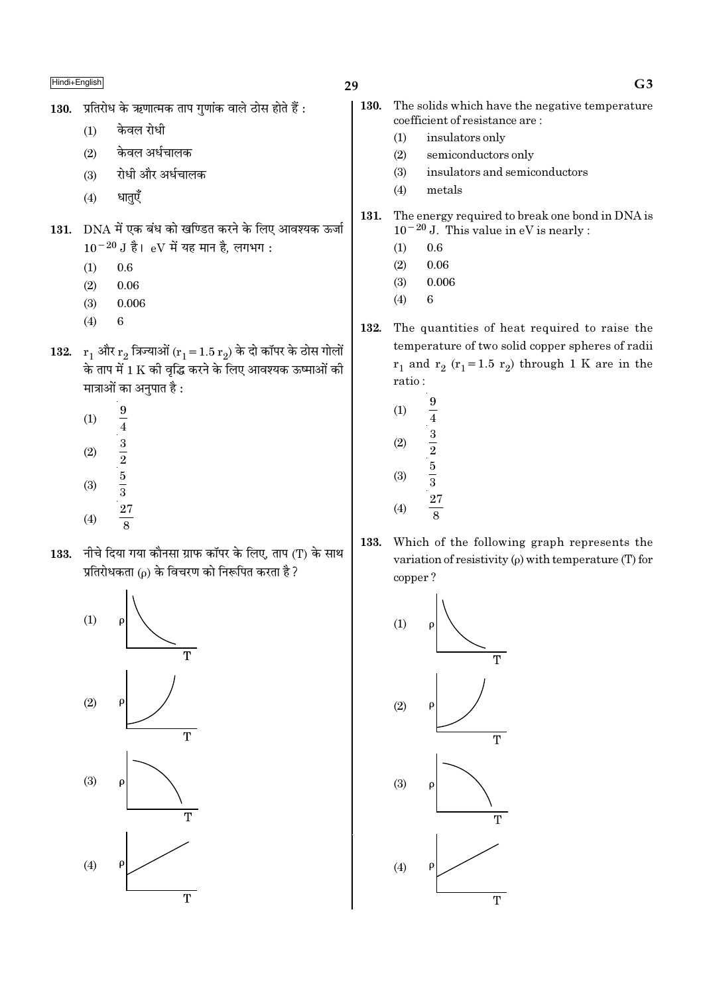- 130. प्रतिरोध के ऋणात्मक ताप गुणांक वाले ठोस होते हैं:
	- केवल रोधी  $(1)$
	- केवल अर्धचालक  $(2)$
	- रोधी और अर्धचालक  $(3)$
	- धातएँ  $(4)$
- 131. DNA में एक बंध को खण्डित करने के लिए आवश्यक ऊर्जा  $10^{-20}$  J है। eV में यह मान है, लगभग:
	- $(1)$  $0.6$
	- $(2)$ 0.06
	- $(3)$ 0.006
	- $(4)$ 6
- 132.  $r_1$  और  $r_2$  त्रिज्याओं ( $r_1 = 1.5 r_2$ ) के दो कॉपर के ठोस गोलों के ताप में 1 K की वृद्धि करने के लिए आवश्यक ऊष्माओं की मात्राओं का अनुपात है :
	- $\boldsymbol{9}$  $(1)$  $\frac{1}{4}$   $\frac{3}{2}$   $\frac{5}{3}$   $\frac{27}{8}$  $(2)$  $(3)$  $(4)$
- नीचे दिया गया कौनसा ग्राफ कॉपर के लिए, ताप (T) के साथ 133. प्रतिरोधकता ( $\rho$ ) के विचरण को निरूपित करता है ?



- 130. The solids which have the negative temperature coefficient of resistance are:
	- $(1)$ insulators only
	- $(2)$ semiconductors only
	- insulators and semiconductors  $(3)$
	- $(4)$ metals
- The energy required to break one bond in DNA is 131.  $10^{-20}$  J. This value in eV is nearly :
	- $0.6$  $(1)$
	- 0.06  $(2)$
	- 0.006  $(3)$
	- $(4)$ 6
- 132. The quantities of heat required to raise the temperature of two solid copper spheres of radii  $r_1$  and  $r_2$  ( $r_1$ =1.5  $r_2$ ) through 1 K are in the ratio:
	- $\frac{9}{4}$  $\frac{3}{2}$  $\frac{5}{3}$  $(1)$  $(2)$  $(3)$ 27  $(4)$  $\overline{\mathbf{r}}$
- Which of the following graph represents the 133. variation of resistivity  $(\rho)$  with temperature (T) for copper?



 $G<sub>3</sub>$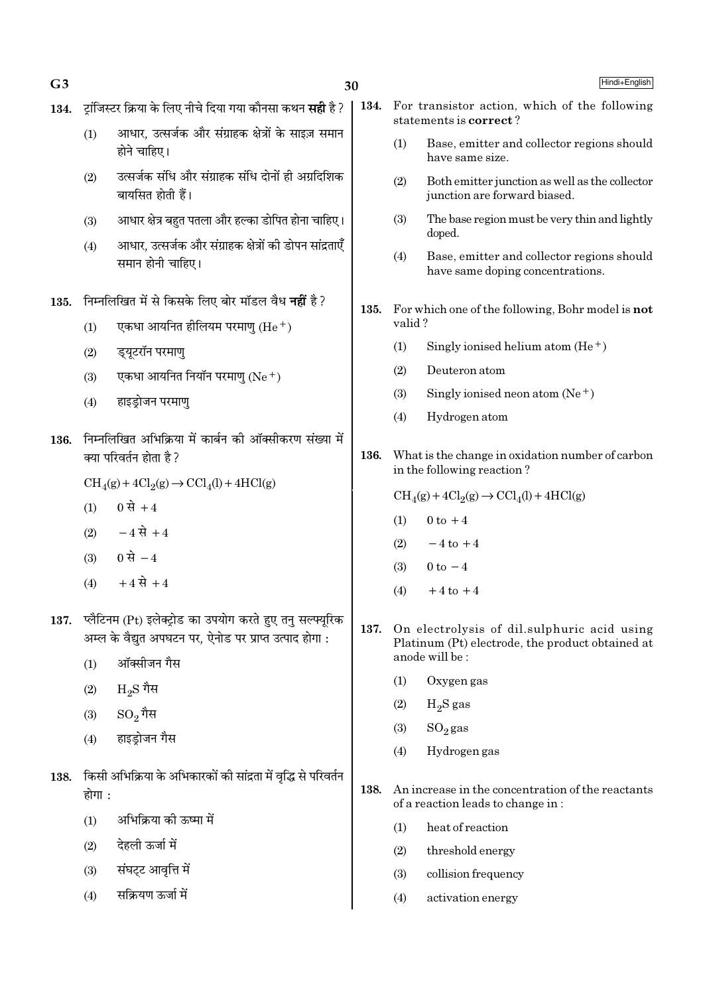- 134. टॉजिस्टर क्रिया के लिए नीचे दिया गया कौनसा कथन **सही** है ?
	- आधार, उत्सर्जक और संग्राहक क्षेत्रों के साइज़ समान  $(1)$ होने चाहिए।
	- उत्सर्जक संधि और संग्राहक संधि दोनों ही अग्रदिशिक  $(2)$ बायसित होती हैं।
	- आधार क्षेत्र बहुत पतला और हल्का डोपित होना चाहिए।  $(3)$
	- आधार. उत्सर्जक और संग्राहक क्षेत्रों की डोपन सांद्रताएँ  $(4)$ समान होनी चाहिए।
- 135. निम्नलिखित में से किसके लिए बोर मॉडल वैध नहीं है?
	- एकधा आयनित हीलियम परमाण  $(He<sup>+</sup>)$  $(1)$
	- ड्युटरॉन परमाण  $(2)$
	- एकधा आयनित नियॉन परमाण (Ne+)  $(3)$
	- हाइड़ोजन परमाणु  $(4)$
- 136. निम्नलिखित अभिक्रिया में कार्बन की ऑक्सीकरण संख्या में क्या परिवर्तन होता है ?
	- $\text{CH}_4(g) + 4\text{Cl}_2(g) \rightarrow \text{CCl}_4(l) + 4\text{HCl}(g)$
	- 0 से  $+4$  $(1)$
	- $(2)$   $-4 \vec{R} + 4$
	- 0 से  $-4$  $(3)$
	- $+4 \vec{R} + 4$  $(4)$
- 137. प्लैटिनम (Pt) इलेक्ट्रोड का उपयोग करते हुए तन सल्फ्युरिक अम्ल के वैद्युत अपघटन पर, ऐनोड पर प्राप्त उत्पाद होगा :
	- ऑक्सीजन गैस  $(1)$
	- $\rm{H}_{2}\rm{S}$  गैस  $(2)$
	- $\mathrm{SO}_2$ गैस  $(3)$
	- हाइडोजन गैस  $(4)$
- 138. किसी अभिक्रिया के अभिकारकों की सांद्रता में वृद्धि से परिवर्तन होगा :
	- $(1)$ अभिक्रिया की ऊष्मा में
	- देहली ऊर्जा में  $(2)$
	- संघट्ट आवृत्ति में  $(3)$
	- सक्रियण ऊर्जा में  $(4)$
- 134. For transistor action, which of the following statements is correct?
	- Base, emitter and collector regions should  $(1)$ have same size.
	- $(2)$ Both emitter junction as well as the collector junction are forward biased.
	- $(3)$ The base region must be very thin and lightly doped.
	- $(4)$ Base, emitter and collector regions should have same doping concentrations.
- 135. For which one of the following. Bohr model is not valid?
	- Singly ionised helium atom  $(He<sup>+</sup>)$  $(1)$
	- $(2)$ Deuteron atom
	- $(3)$ Singly ionised neon atom  $(Ne^+)$
	- Hydrogen atom  $(4)$
- 136. What is the change in oxidation number of carbon in the following reaction?
	- $\text{CH}_4(g) + 4\text{Cl}_2(g) \rightarrow \text{CCl}_4(l) + 4\text{HCl}(g)$
	- $0$  to  $+4$  $(1)$
	- $(2)$  $-4$  to  $+4$
	- $(3)$  $0 \text{ to } -4$
	- $(4)$  $+4$  to  $+4$
- On electrolysis of dil.sulphuric acid using 137. Platinum (Pt) electrode, the product obtained at anode will be:
	- $(1)$ Oxygen gas
	- $H_2S$  gas  $(2)$
	- $SO<sub>2</sub>$ gas  $(3)$
	- Hydrogen gas  $(4)$
- 138. An increase in the concentration of the reactants of a reaction leads to change in:
	- $(1)$ heat of reaction
	- $(2)$ threshold energy
	- $(3)$ collision frequency
	- $(4)$ activation energy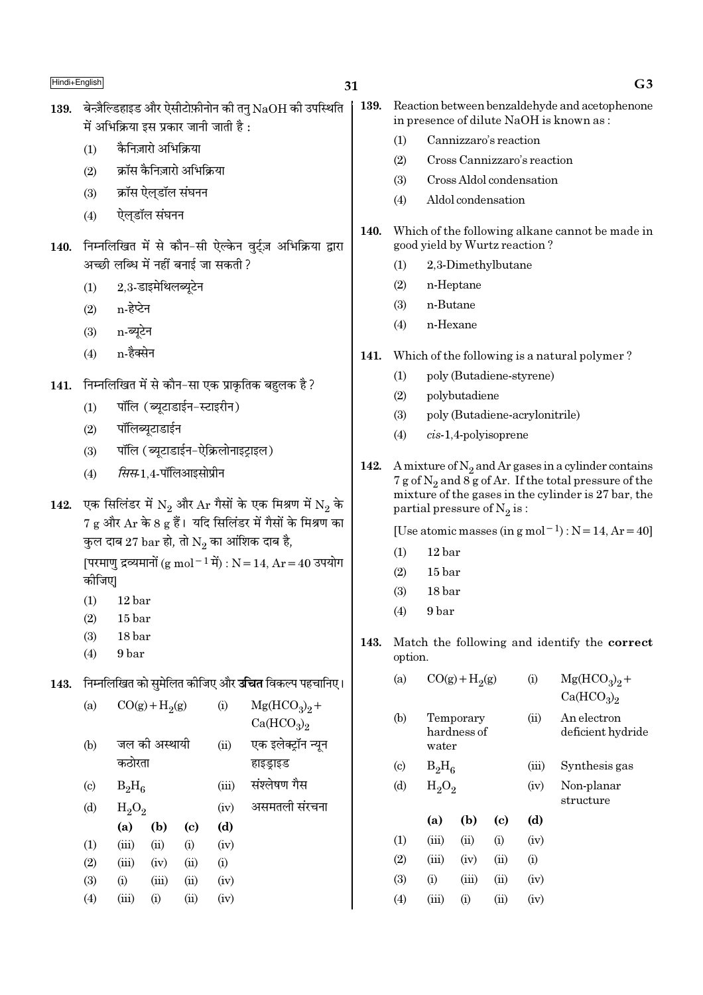कैनिज़ारो अभिक्रिया  $(1)$ 

- क्रॉस कैनिज़ारो अभिक्रिया  $(2)$
- क्रॉस ऐल्डॉल संघनन  $(3)$
- ऐलडॉल संघनन  $(4)$
- 140. निम्नलिखित में से कौन-सी ऐल्केन वुर्ट्ज़ अभिक्रिया द्वारा अच्छी लब्धि में नहीं बनाई जा सकती ?
	- 2.3-डाइमेथिलब्युटेन  $(1)$
	- n-हेप्टेन  $(2)$
	- n-ब्यटेन  $(3)$
	- n-हैक्सेन  $(4)$
- 141. निम्नलिखित में से कौन-सा एक प्राकृतिक बहुलक है ?
	- पॉलि (ब्यूटाडाईन-स्टाइरीन)  $(1)$
	- पॉलिब्यूटाडाईन  $(2)$
	- पॉलि (ब्यटाडाईन-ऐक्रिलोनाइटाइल)  $(3)$
	- सिस-1.4-पॉलिआइसोप्रीन  $(4)$
- 142. एक सिलिंडर में  $N_2$  और  $Ar$  गैसों के एक मिश्रण में  $N_2$  के 7 g और Ar के 8 g हैं। यदि सिलिंडर में गैसों के मिश्रण का कुल दाब 27  $\mathrm{bar}$  हो, तो  $\mathrm{N}_2$  का आंशिक दाब है,

[परमाणु द्रव्यमानों (g mol<sup>-1</sup> में) : N = 14, Ar = 40 उपयोग कोजिए।

- $(1)$ 12 bar
- $15<sub>har</sub>$  $(2)$
- $(3)$ 18 bar
- $(4)$ 9 bar

143. निम्नलिखित को समेलित कीजिए और **उचित** विकल्प पहचानिए।

| (a)                       |          | $CO(g) + H2(g)$ |                            | (i)   | $Mg(HCO3)2 +$<br>Ca(HCO <sub>3</sub> ) <sub>2</sub> |
|---------------------------|----------|-----------------|----------------------------|-------|-----------------------------------------------------|
| (b)                       | कठोरता   | जल की अस्थायी   |                            | (ii)  | एक इलेक्ट्रॉन न्यून<br>हाइड्राइड                    |
| $\left( \text{c} \right)$ | $B_2H_6$ |                 |                            | (iii) | संश्लेषण गैस                                        |
| (d)                       | $H_2O_2$ |                 |                            | (iv)  | असमतली संरचना                                       |
|                           | (a)      | (b)             | $\left( \mathrm{c}\right)$ | (d)   |                                                     |
| (1)                       | (iii)    | (ii)            | (i)                        | (iv)  |                                                     |
| (2)                       | (iii)    | (iv)            | (ii)                       | (i)   |                                                     |
| (3)                       | (i)      | (iii)           | (ii)                       | (iv)  |                                                     |
| (4)                       | (iii)    | $\rm(i)$        | (ii)                       | (iv)  |                                                     |
|                           |          |                 |                            |       |                                                     |

| 139. Reaction between benzaldehyde and acetophenone |
|-----------------------------------------------------|
| in presence of dilute NaOH is known as:             |

- $(1)$ Cannizzaro's reaction
- Cross Cannizzaro's reaction  $(2)$
- Cross Aldol condensation  $(3)$
- $(4)$ Aldol condensation
- 140. Which of the following alkane cannot be made in good yield by Wurtz reaction?
	- $(1)$ 2,3-Dimethylbutane
	- $(2)$ n-Heptane
	- $(3)$ n-Butane
	- $(4)$ n-Hexane
- Which of the following is a natural polymer? 141.
	- poly (Butadiene-styrene)  $(1)$
	- polybutadiene  $(2)$
	- $(3)$ poly (Butadiene-acrylonitrile)
	- $(4)$  $cis-1,4$ -polyisoprene
- 142. A mixture of  $N_2$  and Ar gases in a cylinder contains 7 g of  $N_2$  and 8 g of Ar. If the total pressure of the mixture of the gases in the cylinder is 27 bar, the partial pressure of  $N_2$  is:

[Use atomic masses (in g mol<sup>-1</sup>) :  $N = 14$ ,  $Ar = 40$ ]

- $(1)$  $12<sub>bar</sub>$
- $(2)$  $15<sub>bar</sub>$
- $18<sub>har</sub>$  $(3)$
- 9 bar  $(4)$
- 143. Match the following and identify the correct option.

| (a)                       |          | $CO(g) + H2(g)$          |      | $\rm(i)$ | $Mg(HCO_3)_2 +$<br>Ca(HCO <sub>3</sub> ) <sub>2</sub> |
|---------------------------|----------|--------------------------|------|----------|-------------------------------------------------------|
| (b)                       | water    | Temporary<br>hardness of |      | (ii)     | An electron<br>deficient hydride                      |
| $\left( \text{c} \right)$ | $B_2H_6$ |                          |      | (iii)    | Synthesis gas                                         |
| (d)                       | $H_2O_2$ |                          |      | (iv)     | Non-planar<br>structure                               |
|                           | (a)      | (b)                      | (c)  | (d)      |                                                       |
| (1)                       | (iii)    | (ii)                     | (i)  | (iv)     |                                                       |
| (2)                       | (iii)    | (iv)                     | (ii) | (i)      |                                                       |
| (3)                       | (i)      | (iii)                    | (ii) | (iv)     |                                                       |
| (4)                       | (iii)    | (i)                      | (ii) | (iv)     |                                                       |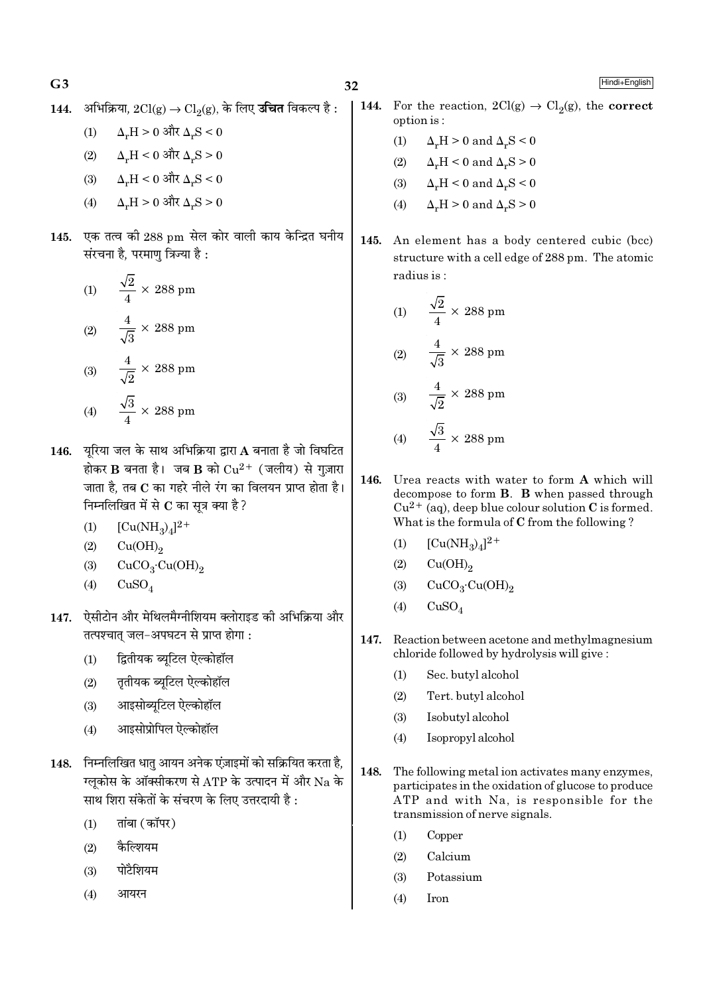$G<sub>3</sub>$ 

144. अभिक्रिया,  $2Cl(g)$  →  $Cl_2(g)$ , के लिए **उचित** विकल्प है :

$$
(1) \qquad \Delta_{\mathbf{r}} \mathbf{H} > 0 \text{ and } \Delta_{\mathbf{r}} \mathbf{S} < 0
$$

(2) 
$$
\Delta_{\rm r}H < 0
$$
 और  $\Delta_{\rm r}S > 0$ 

(3)  $\Delta_v H < 0$  और  $\Delta_v S < 0$ 

$$
(4) \qquad \Delta_{\mathbf{r}} \mathbf{H} > 0 \text{ and } \Delta_{\mathbf{r}} \mathbf{S} > 0
$$

145. एक तत्व की 288 pm सेल कोर वाली काय केन्द्रित घनीय संरचना है, परमाणु त्रिज्या है :

(1) 
$$
\frac{\sqrt{2}}{4} \times 288 \text{ pm}
$$
  
(2) 
$$
\frac{4}{\sqrt{3}} \times 288 \text{ pm}
$$
  
(3) 
$$
\frac{4}{\sqrt{2}} \times 288 \text{ pm}
$$
  
(4) 
$$
\frac{\sqrt{3}}{4} \times 288 \text{ pm}
$$

- 146. यरिया जल के साथ अभिक्रिया द्वारा A बनाता है जो विघटित होकर B बनता है। जब B को  $Cu^{2+}$  (जलीय) से गुज़ारा जाता है. तब C का गहरे नीले रंग का विलयन प्राप्त होता है। निम्नलिखित में से C का सूत्र क्या है?
	- $[Cu(NH_3)_4]^{2+}$  $(1)$
	- $Cu(OH)<sub>2</sub>$  $(2)$
	- $CuCO<sub>3</sub>·Cu(OH)<sub>2</sub>$  $(3)$
	- $CuSO<sub>4</sub>$  $(4)$
- 147. ऐसीटोन और मेथिलमैग्नीशियम क्लोराइड की अभिक्रिया और तत्पश्चात जल-अपघटन से प्राप्त होगा:
	- द्वितीयक ब्युटिल ऐल्कोहॉल  $(1)$
	- तृतीयक ब्युटिल ऐल्कोहॉल  $(2)$
	- आइसोब्यटिल ऐल्कोहॉल  $(3)$
	- आइसोप्रोपिल ऐल्कोहॉल  $(4)$
- 148. निम्नलिखित धातु आयन अनेक एंज़ाइमों को सक्रियित करता है, ग्लुकोस के ऑक्सीकरण से ATP के उत्पादन में और Na के साथ शिरा संकेतों के संचरण के लिए उत्तरदायी है :
	- तांबा (कॉपर)  $(1)$
	- $(2)$ कैल्शियम
	- पोटैशियम  $(3)$
	- $(4)$ आयरन
- 144. For the reaction,  $2Cl(g) \rightarrow Cl_2(g)$ , the **correct** option is:
	- $\Delta_r H > 0$  and  $\Delta_r S < 0$  $(1)$
	- $\Delta_{\nu}H < 0$  and  $\Delta_{\nu}S > 0$  $(2)$
	- $\Delta_{\nu}H < 0$  and  $\Delta_{\nu}S < 0$  $(3)$
	- $(4)$  $\Delta_r H > 0$  and  $\Delta_r S > 0$
- 145. An element has a body centered cubic (bcc) structure with a cell edge of 288 pm. The atomic radius is:

(1) 
$$
\frac{\sqrt{2}}{4} \times 288 \text{ pm}
$$
  
(2) 
$$
\frac{4}{\sqrt{3}} \times 288 \text{ pm}
$$
  
(3) 
$$
\frac{4}{\sqrt{2}} \times 288 \text{ pm}
$$
  
(4) 
$$
\frac{\sqrt{3}}{4} \times 288 \text{ pm}
$$

- 146. Urea reacts with water to form A which will decompose to form **B**. **B** when passed through  $Cu^{2+}$  (aq), deep blue colour solution C is formed. What is the formula of C from the following?
	- $[Cu(NH_3)_4]^{2+}$  $(1)$
	- $Cu(OH)<sub>2</sub>$  $(2)$
	- $CuCO<sub>3</sub>·Cu(OH)<sub>2</sub>$  $(3)$
	- $(4)$  $CuSO<sub>4</sub>$
- 147. Reaction between acetone and methylmagnesium chloride followed by hydrolysis will give:
	- Sec. butyl alcohol  $(1)$
	- $(2)$ Tert. butyl alcohol
	- Isobutyl alcohol  $(3)$
	- $(4)$ Isopropyl alcohol
- 148. The following metal ion activates many enzymes, participates in the oxidation of glucose to produce ATP and with Na, is responsible for the transmission of nerve signals.
	- Copper  $(1)$
	- $(2)$ Calcium
	- Potassium  $(3)$
	- $(4)$ Iron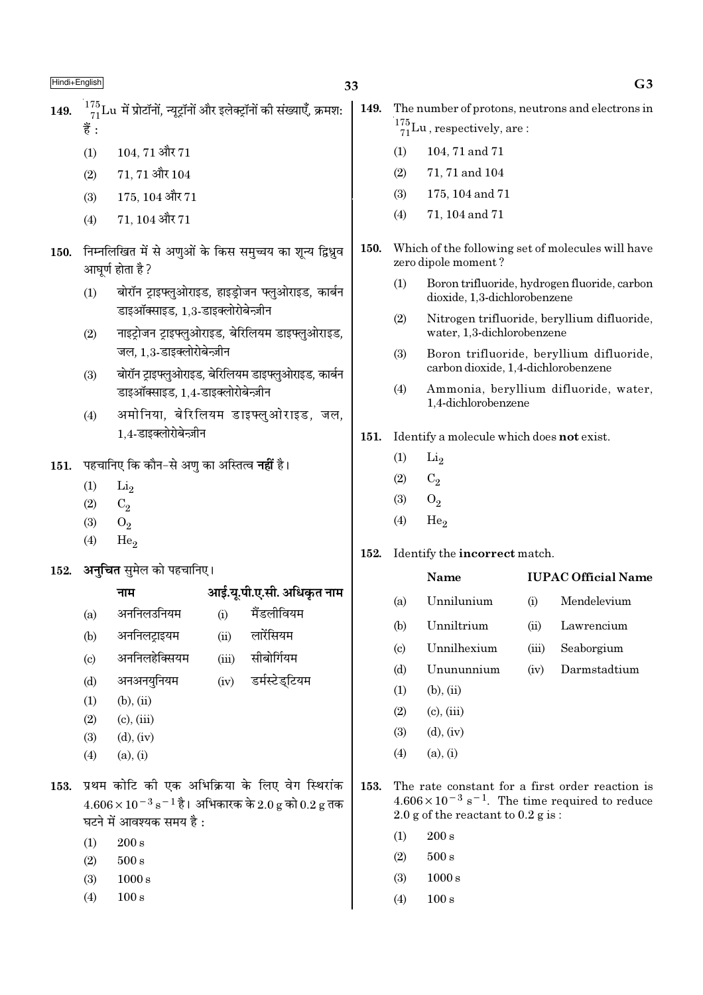- 104.71 और 71  $(1)$
- $71, 71$  और  $104$  $(2)$
- 175, 104 और 71  $(3)$
- 71, 104 और 71  $(4)$
- 150. निम्नलिखित में से अणुओं के किस समुच्चय का शून्य द्विध्नुव आघूर्ण होता है ?
	- बोरॉन ट्राइफ्लुओराइड, हाइड़ोजन फ्लुओराइड, कार्बन  $(1)$ डाइऑक्साइड. 1.3-डाइक्लोरोबेन्ज़ीन
	- नाइट्रोजन ट्राइफ्लुओराइड, बेरिलियम डाइफ्लुओराइड,  $(2)$ जल. 1.3-डाइक्लोरोबेन्ज़ीन
	- बोरॉन ट्राइफ्लुओराइड, बेरिलियम डाइफ्लुओराइड, कार्बन  $(3)$ डाइऑक्साइड. 1.4-डाइक्लोरोबेन्ज़ीन
	- अमोनिया, बेरिलियम डाइफ्लुओराइड, जल,  $(4)$ 1.4-डाइक्लोरोबेन्ज़ीन

151. पहचानिए कि कौन-से अणु का अस्तित्व नहीं है।

- $(1)$  $Li<sub>2</sub>$
- $(2)$  $C_2$
- $(3)$  $O_2$
- $(4)$ He.
- अनचित समेल को पहचानिए। 152.

#### आई.यू.पी.ए.सी. अधिकृत नाम नाम

- मैंडलीवियम अननिलउनियम  $(i)$  $(a)$ अननिलट्राइयम लारेंसियम  $(ii)$  $(b)$ अननिलहेक्सियम सीबोर्गियम  $(iii)$  $\left( \mathrm{c}\right)$ अनअनयनियम  $(iv)$ डर्मस्टेडटियम  $(b)$
- $(b), (ii)$  $(1)$
- $(2)$  $(c)$ ,  $(iii)$
- $(3)$  $(d)$ ,  $(iv)$
- $(4)$  $(a), (i)$
- 153. प्रथम कोटि की एक अभिक्रिया के लिए वेग स्थिरांक  $4.606 \times 10^{-3}$  s<sup>-1</sup> है। अभिकारक के 2.0 g को 0.2 g तक घटने में आवश्यक समय है:
	- $200 s$  $(1)$
	- $(2)$  $500 s$
	- $(3)$  $1000 s$
	- $(4)$  $100 s$
- 149. The number of protons, neutrons and electrons in  $\frac{175}{71}$ Lu, respectively, are:
	- $(1)$ 104, 71 and 71
	- $(2)$ 71, 71 and 104
	- $(3)$ 175, 104 and 71
	- 71, 104 and 71  $(4)$
- 150. Which of the following set of molecules will have zero dipole moment?
	- $(1)$ Boron trifluoride, hydrogen fluoride, carbon dioxide. 1.3-dichlorobenzene
	- $(2)$ Nitrogen trifluoride, beryllium difluoride, water, 1.3-dichlorobenzene
	- $(3)$ Boron trifluoride, beryllium difluoride, carbon dioxide, 1,4-dichlorobenzene
	- $(4)$ Ammonia, bervllium difluoride, water. 1.4-dichlorobenzene
- 151. Identify a molecule which does not exist.
	- $(1)$  $Li<sub>2</sub>$
	- $(2)$  $C_2$
	- $(3)$  $O<sub>2</sub>$
	- $(4)$  $He<sub>2</sub>$

 $(b)$ 

#### 152. Identify the incorrect match.

Name

# **IUPAC Official Name**

- Unnilunium Mendelevium  $(a)$  $(i)$ 
	- Unniltrium Lawrencium  $(ii)$
- **I**Innilhexium Seaborgium  $\left( \mathrm{c} \right)$  $(iii)$
- Unununnium Darmstadtium  $(d)$  $(iv)$
- $(1)$  $(b), (ii)$
- $(2)$  $(c)$ ,  $(iii)$
- $(d)$ ,  $(iv)$  $(3)$
- $(4)$  $(a), (i)$
- 153. The rate constant for a first order reaction is  $4.606 \times 10^{-3}$  s<sup>-1</sup>. The time required to reduce 2.0 g of the reactant to  $0.2$  g is:
	- $(1)$  $200 s$
	- $(2)$  $500 s$
	- $(3)$  $1000 s$
	- $(4)$  $100 s$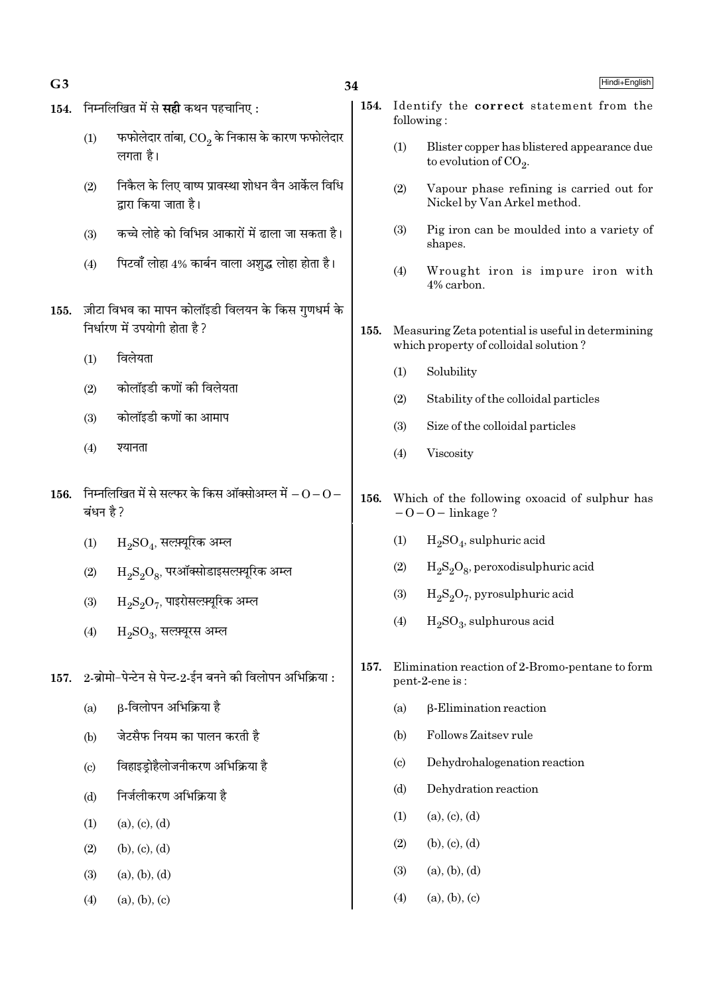| G3   |                            |                                                                           | 34   |                        | Hindi+English                                                           |
|------|----------------------------|---------------------------------------------------------------------------|------|------------------------|-------------------------------------------------------------------------|
| 154. |                            | निम्नलिखित में से <b>सही</b> कथन पहचानिए :                                | 154. |                        | Identify the correct statement from the<br>following:                   |
|      | (1)                        | फफोलेदार तांबा, $\mathrm{CO}_2$ के निकास के कारण फफोलेदार<br>लगता है।     |      | (1)                    | Blister copper has blistered appearance due<br>to evolution of $CO_2$ . |
|      | (2)                        | निकैल के लिए वाष्प प्रावस्था शोधन वैन आर्केल विधि<br>द्वारा किया जाता है। |      | (2)                    | Vapour phase refining is carried out for<br>Nickel by Van Arkel method. |
|      | (3)                        | कच्चे लोहे को विभिन्न आकारों में ढाला जा सकता है।                         |      | (3)                    | Pig iron can be moulded into a variety of<br>shapes.                    |
|      | (4)                        | पिटवाँ लोहा 4% कार्बन वाला अशुद्ध लोहा होता है।                           |      | (4)                    | Wrought iron is impure iron with<br>4% carbon.                          |
| 155. |                            | ज़ीटा विभव का मापन कोलॉइडी विलयन के किस गुणधर्म के                        |      |                        |                                                                         |
|      |                            | निर्धारण में उपयोगी होता है?                                              | 155. |                        | Measuring Zeta potential is useful in determining                       |
|      | (1)                        | विलेयता                                                                   |      |                        | which property of colloidal solution?                                   |
|      | (2)                        | कोलॉइडी कणों की विलेयता                                                   |      | (1)                    | Solubility                                                              |
|      |                            |                                                                           |      | (2)                    | Stability of the colloidal particles                                    |
|      | (3)                        | कोलॉइडी कणों का आमाप                                                      |      | (3)                    | Size of the colloidal particles                                         |
|      | (4)                        | श्यानता                                                                   |      | (4)                    | Viscosity                                                               |
| 156. | बंधन है ?                  | निम्नलिखित में से सल्फर के किस ऑक्सोअम्ल में $ \rm O$ $ \rm O$ $-$        | 156. |                        | Which of the following oxoacid of sulphur has<br>$-0-0$ – linkage?      |
|      | (1)                        | $\mathrm{H_{2}SO_{4}}$ , सल्फ़्यूरिक अम्ल                                 |      | (1)                    | $H2SO4$ , sulphuric acid                                                |
|      | (2)                        | $H_2S_2O_8$ , परऑक्सोडाइसल्फ़्यूरिक अम्ल                                  |      | (2)                    | $H_2S_2O_8$ , peroxodisulphuric acid                                    |
|      | (3)                        | $\mathrm{H_{2}S_{2}O_{7}}$ , पाइरोसल्फ़्यूरिक अम्ल                        |      | (3)                    | $H_2S_2O_7$ , pyrosulphuric acid                                        |
|      | (4)                        | $H_2SO_3$ , सल्फ़्यूरस अम्ल                                               |      | (4)                    | $H_2SO_3$ , sulphurous acid                                             |
| 157. |                            | 2-ब्रोमो-पेन्टेन से पेन्ट-2-ईन बनने की विलोपन अभिक्रिया :                 | 157. |                        | Elimination reaction of 2-Bromo-pentane to form<br>pent-2-ene is:       |
|      | (a)                        | β-विलोपन अभिक्रिया है                                                     |      | (a)                    | $\beta$ -Elimination reaction                                           |
|      | (b)                        | जेटसैफ नियम का पालन करती है                                               |      | (b)                    | Follows Zaitsev rule                                                    |
|      | $\left( \mathrm{c}\right)$ | विहाइड्रोहैलोजनीकरण अभिक्रिया है                                          |      | $\left( \circ \right)$ | Dehydrohalogenation reaction                                            |
|      | (d)                        | निर्जलीकरण अभिक्रिया है                                                   |      | (d)                    | Dehydration reaction                                                    |
|      | (1)                        | (a), (c), (d)                                                             |      | (1)                    | (a), (c), (d)                                                           |
|      | (2)                        | (b), (c), (d)                                                             |      | (2)                    | (b), (c), (d)                                                           |
|      | (3)                        | (a), (b), (d)                                                             |      | (3)                    | (a), (b), (d)                                                           |
|      | (4)                        | (a), (b), (c)                                                             |      | (4)                    | (a), (b), (c)                                                           |
|      |                            |                                                                           |      |                        |                                                                         |

 $G<sub>3</sub>$ 

Hindi+English

 $\delta$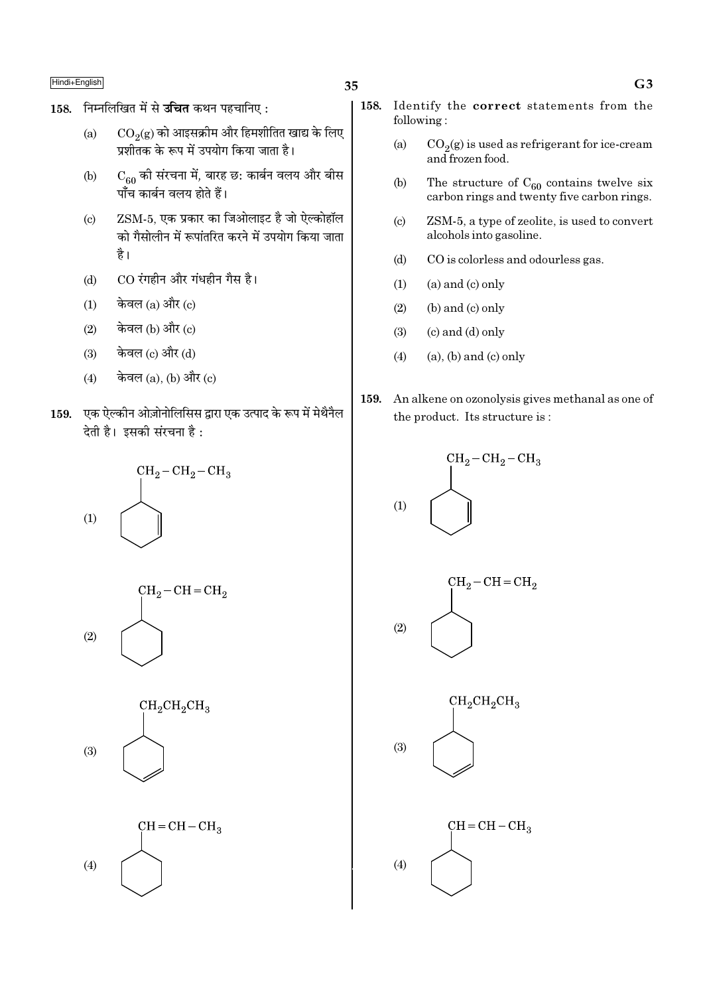- 158. निम्नलिखित में से उचित कथन पहचानिए:
	- $\mathrm{CO}_2(\mathrm{g})$  को आइसक्रीम और हिमशीतित खाद्य के लिए  $(a)$ प्रशीतक के रूप में उपयोग किया जाता है।
	- $C_{60}$  की संरचना में, बारह छ: कार्बन वलय और बीस  $(b)$ पाँच कार्बन वलय होते हैं।
	- ZSM-5, एक प्रकार का जिओलाइट है जो ऐल्कोहॉल  $\left( \mathrm{c}\right)$ को गैसोलीन में रूपांतरित करने में उपयोग किया जाता है।
	- CO रंगहीन और गंधहीन गैस है।  $(d)$
	- केवल  $(a)$  और  $(c)$  $(1)$
	- $(2)$ केवल (b) और (c)
	- केवल (c) और (d)  $(3)$
	- केवल  $(a)$ ,  $(b)$  और  $(c)$  $(4)$
- एक ऐल्कीन ओज़ोनोलिसिस द्वारा एक उत्पाद के रूप में मेथैनैल 159. देती है। इसकी संरचना है:







- 158. Identify the correct statements from the following:
	- $CO<sub>2</sub>(g)$  is used as refrigerant for ice-cream  $(a)$ and frozen food.
	- $(b)$ The structure of  $C_{60}$  contains twelve six carbon rings and twenty five carbon rings.
	- $(c)$ ZSM-5, a type of zeolite, is used to convert alcohols into gasoline.
	- $(d)$ CO is colorless and odourless gas.
	- $(a)$  and  $(c)$  only  $(1)$
	- $(b)$  and  $(c)$  only  $(2)$
	- $(3)$  $(c)$  and  $(d)$  only
	- $(a)$ ,  $(b)$  and  $(c)$  only  $(4)$
- 159. An alkene on ozonolysis gives methanal as one of the product. Its structure is:

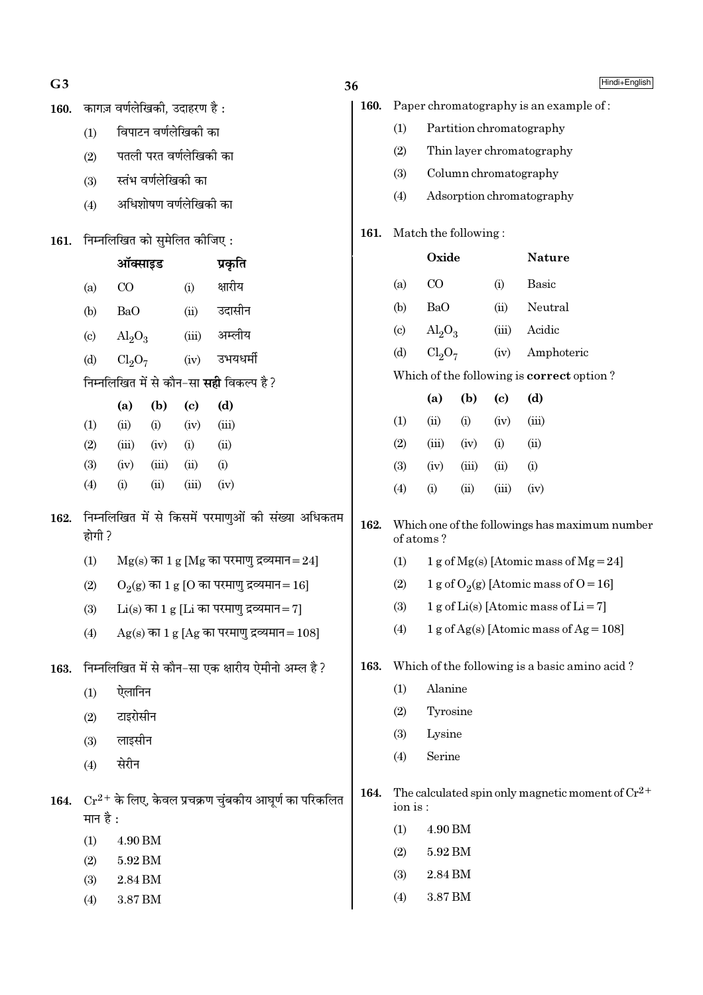| G <sub>3</sub> |                                                                       |                                |                               |                            |                                                    | 36                   |                             |                                           |                           |                            | Hindi+English                                         |  |  |
|----------------|-----------------------------------------------------------------------|--------------------------------|-------------------------------|----------------------------|----------------------------------------------------|----------------------|-----------------------------|-------------------------------------------|---------------------------|----------------------------|-------------------------------------------------------|--|--|
| 160.           |                                                                       |                                | कागज़ वर्णलेखिकी, उदाहरण है : |                            |                                                    | 160.                 |                             | Paper chromatography is an example of:    |                           |                            |                                                       |  |  |
|                | (1)                                                                   |                                | विपाटन वर्णलेखिकी का          |                            |                                                    |                      | (1)                         |                                           |                           |                            | Partition chromatography                              |  |  |
|                | (2)                                                                   | पतली परत वर्णलेखिकी का         |                               |                            |                                                    |                      | (2)                         |                                           | Thin layer chromatography |                            |                                                       |  |  |
|                | (3)                                                                   |                                | स्तंभ वर्णलेखिकी का           |                            |                                                    |                      | (3)                         |                                           |                           |                            | Column chromatography                                 |  |  |
|                | (4)                                                                   |                                | अधिशोषण वर्णलेखिकी का         |                            |                                                    |                      | (4)                         |                                           |                           |                            | Adsorption chromatography                             |  |  |
| 161.           |                                                                       | निम्नलिखित को सुमेलित कीजिए:   |                               | 161.                       |                                                    | Match the following: |                             |                                           |                           |                            |                                                       |  |  |
|                |                                                                       | ऑक्साइड                        |                               |                            | प्रकृति                                            |                      |                             | Oxide                                     |                           |                            | <b>Nature</b>                                         |  |  |
|                | (a)                                                                   | $\rm CO$                       |                               | (i)                        | क्षारीय                                            |                      | (a)                         | $\rm CO$                                  |                           | (i)                        | <b>Basic</b>                                          |  |  |
|                | (b)                                                                   | <b>BaO</b>                     |                               | (ii)                       | उदासीन                                             |                      | (b)                         | <b>BaO</b>                                |                           | (ii)                       | Neutral                                               |  |  |
|                | $\left( \mathrm{c}\right)$                                            | $Al_2O_3$                      |                               | (iii)                      | अम्लीय                                             |                      | $\left( \mathrm{c} \right)$ | $\text{Al}_2\text{O}_3$                   |                           | (iii)                      | Acidic                                                |  |  |
|                | (d)                                                                   | Cl <sub>2</sub> O <sub>7</sub> |                               | (iv)                       | उभयधर्मी                                           |                      | (d)                         | Cl <sub>2</sub> O <sub>7</sub>            |                           | (iv)                       | Amphoteric                                            |  |  |
|                |                                                                       |                                |                               |                            | निम्नलिखित में से कौन-सा <b>सही</b> विकल्प है ?    |                      |                             | Which of the following is correct option? |                           |                            |                                                       |  |  |
|                |                                                                       | (a)                            | (b)                           | $\left( \mathrm{c}\right)$ | (d)                                                |                      |                             | (a)                                       | (b)                       | $\left( \mathrm{c}\right)$ | (d)                                                   |  |  |
|                | (1)                                                                   | (ii)                           | (i)                           | (iv)                       | (iii)                                              |                      | (1)                         | (ii)                                      | (i)                       | (iv)                       | (iii)                                                 |  |  |
|                | (2)                                                                   | (iii)                          | (iv)                          | (i)                        | (ii)                                               |                      | (2)                         | (iii)                                     | (iv)                      | (i)                        | (ii)                                                  |  |  |
|                | (3)                                                                   | (iv)                           | (iii)                         | (ii)                       | (i)                                                |                      | (3)                         | (iv)                                      | (iii)                     | (ii)                       | (i)                                                   |  |  |
|                | (4)                                                                   | (i)                            | (ii)                          | (iii)                      | (iv)                                               |                      | (4)                         | (i)                                       | (ii)                      | (iii)                      | (iv)                                                  |  |  |
| 162.           | होगी ?                                                                |                                |                               |                            | निम्नलिखित में से किसमें परमाणुओं की संख्या अधिकतम | 162.                 |                             | of atoms?                                 |                           |                            | Which one of the followings has maximum number        |  |  |
|                | (1)                                                                   |                                |                               |                            | $Mg(s)$ का 1 $g$ [Mg का परमाणु द्रव्यमान=24]       |                      | (1)                         |                                           |                           |                            | 1 g of Mg(s) [Atomic mass of Mg = 24]                 |  |  |
|                | (2)                                                                   |                                |                               |                            | $O_2(g)$ का 1 g [O का परमाणु द्रव्यमान = 16]       |                      | (2)                         |                                           |                           |                            | 1 g of O <sub>2</sub> (g) [Atomic mass of O = 16]     |  |  |
|                | (3)                                                                   |                                |                               |                            | $Li(s)$ का 1 g [Li का परमाणु द्रव्यमान= 7]         |                      | (3)                         |                                           |                           |                            | 1 g of Li(s) [Atomic mass of Li = 7]                  |  |  |
|                | (4)                                                                   |                                |                               |                            | $Ag(s)$ का 1 g [Ag का परमाणु द्रव्यमान = 108]      |                      | (4)                         |                                           |                           |                            | 1 g of Ag(s) [Atomic mass of Ag = $108$ ]             |  |  |
| 163.           |                                                                       |                                |                               |                            | निम्नलिखित में से कौन-सा एक क्षारीय ऐमीनो अम्ल है? | 163.                 |                             |                                           |                           |                            | Which of the following is a basic amino acid?         |  |  |
|                | (1)                                                                   | ऐलानिन                         |                               |                            |                                                    |                      | (1)                         | Alanine                                   |                           |                            |                                                       |  |  |
|                | (2)                                                                   | टाइरोसीन                       |                               |                            |                                                    |                      | (2)                         | Tyrosine                                  |                           |                            |                                                       |  |  |
|                | (3)                                                                   | लाइसीन                         |                               |                            |                                                    |                      | (3)                         | Lysine                                    |                           |                            |                                                       |  |  |
|                | (4)                                                                   | सेरीन                          |                               |                            |                                                    |                      | (4)                         | Serine                                    |                           |                            |                                                       |  |  |
| 164.           | $Cr^{2+}$ के लिए, केवल प्रचक्रण चुंबकीय आघूर्ण का परिकलित<br>मान है : |                                |                               |                            |                                                    |                      | ion is:                     |                                           |                           |                            | The calculated spin only magnetic moment of $Cr^{2+}$ |  |  |
|                | (1)                                                                   | 4.90 BM                        |                               |                            |                                                    |                      | (1)                         | 4.90 BM                                   |                           |                            |                                                       |  |  |
|                | (2)                                                                   | 5.92 BM                        |                               |                            |                                                    |                      | (2)                         | 5.92 BM                                   |                           |                            |                                                       |  |  |
|                | (3)                                                                   | 2.84 RM                        |                               |                            |                                                    |                      | (3)                         | $2.84\,\mathrm{BM}$                       |                           |                            |                                                       |  |  |

 $(4)$ 

 $3.87\,\mathrm{BM}$ 

- $(3)$  $2.84\,\mathrm{BM}$
- 3.87 BM  $(4)$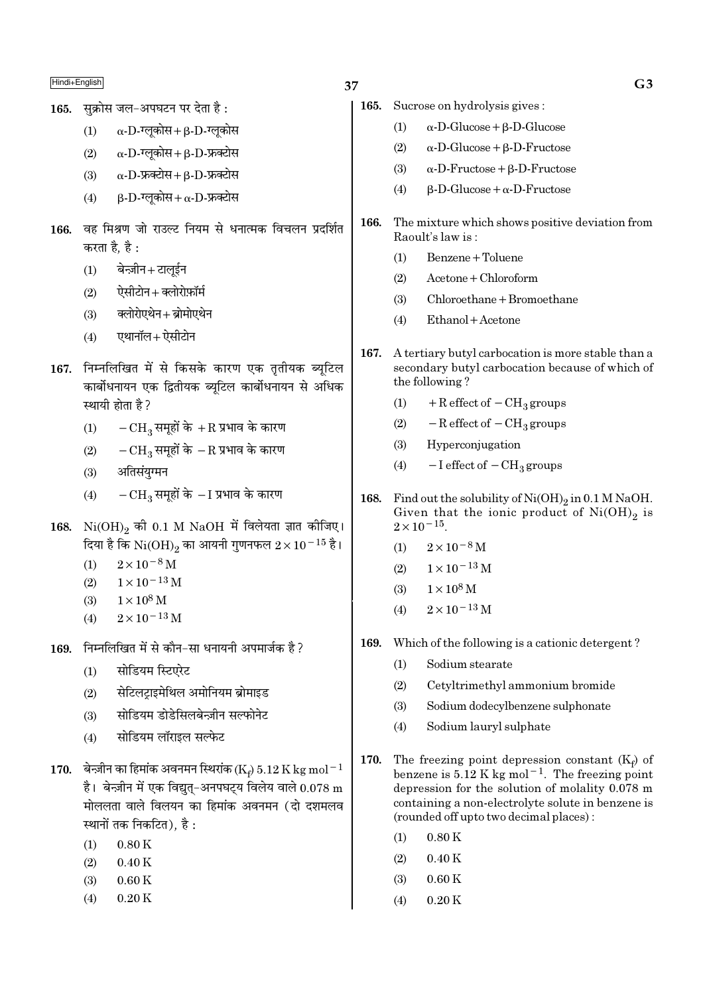सक्रोस जल-अपघटन पर देता है : 165.

> $\alpha$ -D-ग्लूकोस+ $\beta$ -D-ग्लूकोस  $(1)$

- $\alpha$ -D-ग्लूकोस+ $\beta$ -D-फ्रक्टोस  $(2)$
- $\alpha$ -D-फ्रक्टोस + B-D-फ्रक्टोस  $(3)$
- $\beta$ -D-ग्लुकोस+  $\alpha$ -D-फ्रक्टोस  $(4)$
- 166. वह मिश्रण जो राउल्ट नियम से धनात्मक विचलन प्रदर्शित करता है, है :
	- बेन्ज़ीन+टालूईन  $(1)$
	- ऐसीटोन + क्लोरोफ़ॉर्म  $(2)$
	- क्लोरोएथेन+ब्रोमोएथेन  $(3)$
	- एथानॉल+ ऐसीटोन  $(4)$
- 167. निम्नलिखित में से किसके कारण एक तृतीयक ब्युटिल कार्बोधनायन एक द्वितीयक ब्यटिल कार्बोधनायन से अधिक स्थायी होता है ?
	- $-{\rm CH}_2$  समुहों के  $+{\rm R}$  प्रभाव के कारण  $(1)$
	- $-{\rm CH}_3$  समूहों के  $-{\rm R}$  प्रभाव के कारण  $(2)$
	- अतिसंयुग्मन  $(3)$
	- $-CH_3$  समूहों के  $-I$  प्रभाव के कारण  $(4)$
- 168.  $Ni(OH)_{2}$  की 0.1 M NaOH में विलेयता ज्ञात कीजिए। दिया है कि  $\rm Ni(OH)_2$  का आयनी गुणनफल  $2\times 10^{-15}$  है।
	- $2 \times 10^{-8}$  M  $(1)$
	- $1 \times 10^{-13}$  M  $(2)$
	- $(3)$  $1 \times 10^8$  M
	- $2 \times 10^{-13}$  M  $(4)$
- निम्नलिखित में से कौन-सा धनायनी अपमार्जक है ? 169.
	- सोडियम स्टिएरेट  $(1)$
	- सेटिलटाइमेथिल अमोनियम ब्रोमाइड  $(2)$
	- सोडियम डोडेसिलबेन्ज़ीन सल्फोनेट  $(3)$
	- सोडियम लॉराइल सल्फेट  $(4)$
- 170. बेन्ज़ीन का हिमांक अवनमन स्थिरांक (Ke) 5.12 K kg mol<sup>-1</sup> है। बेन्ज़ीन में एक विद्यत-अनपघटय विलेय वाले  $0.078\ \mathrm{m}$ मोललता वाले विलयन का हिमांक अवनमन (दो दशमलव स्थानों तक निकटित), है:
	- $0.80K$  $(1)$
	- $(2)$  $0.40K$
	- $(3)$  $0.60K$
	- $(4)$  $0.20K$
- 37
	- 165. Sucrose on hydrolysis gives:
		- $\alpha$ -D-Glucose +  $\beta$ -D-Glucose  $(1)$
		- $(2)$  $\alpha$ -D-Glucose +  $\beta$ -D-Fructose
		- $\alpha$ -D-Fructose +  $\beta$ -D-Fructose  $(3)$
		- $B-D-Glu\cos e + \alpha-D-Fruct$  $(4)$
	- The mixture which shows positive deviation from 166. Raoult's law is:
		- $(1)$ Benzene + Toluene
		- $A$ cetone + Chloroform  $(2)$
		- $(3)$ Chloroethane + Bromoethane
		- Ethanol + Acetone  $(4)$
	- 167. A tertiary butyl carbocation is more stable than a secondary butyl carbocation because of which of the following?
		- $+$  R effect of  $-$  CH<sub>3</sub> groups  $(1)$
		- $-R$  effect of  $-CH<sub>3</sub>$  groups  $(2)$
		- $(3)$ Hyperconjugation
		- $-I$  effect of  $-CH_3$  groups  $(4)$
	- 168. Find out the solubility of  $Ni(OH)_{2}$  in 0.1 M NaOH. Given that the ionic product of  $Ni(OH)_2$  is  $2\times10^{-15}$ 
		- $2\times10^{-8}\,\rm{M}$  $(1)$
		- $1 \times 10^{-13}$  M  $(2)$
		- $(3)$  $1 \times 10^8$  M
		- $2 \times 10^{-13}$  M  $(4)$
	- 169. Which of the following is a cationic detergent?
		- $(1)$ Sodium stearate
		- $(2)$ Cetyltrimethyl ammonium bromide
		- Sodium dodecylbenzene sulphonate  $(3)$
		- Sodium lauryl sulphate  $(4)$
	- 170. The freezing point depression constant  $(K_f)$  of benzene is  $5.12$  K kg mol<sup>-1</sup>. The freezing point depression for the solution of molality  $0.078$  m containing a non-electrolyte solute in benzene is (rounded off upto two decimal places):
		- $0.80K$  $(1)$
		- $(2)$  $0.40K$
		- $0.60K$  $(3)$
		- $0.20K$  $(4)$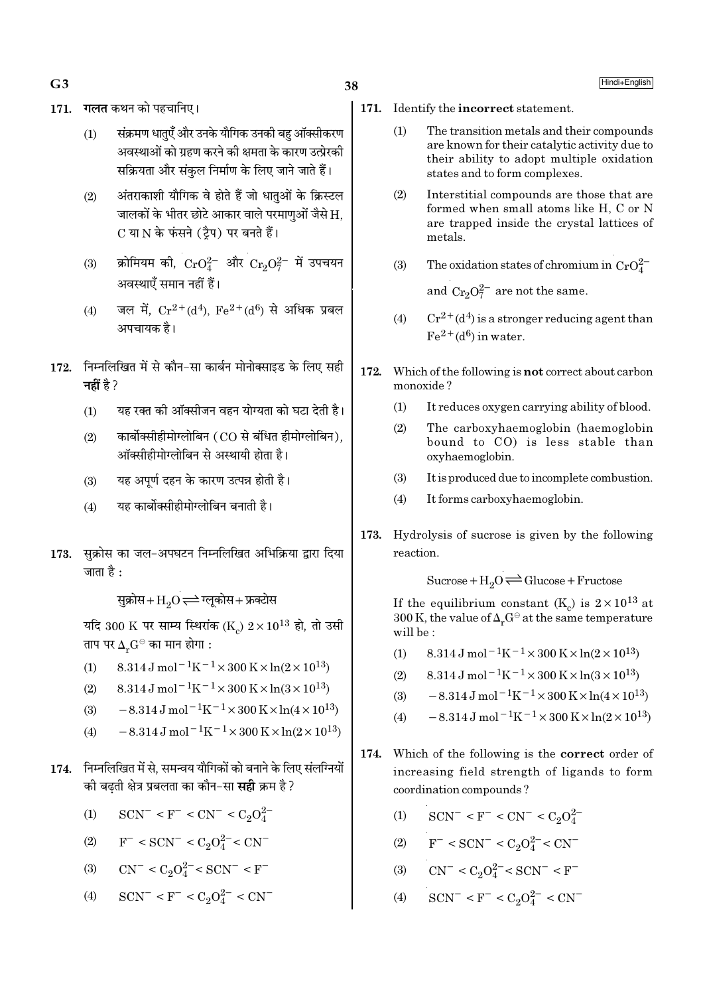- $G<sub>3</sub>$
- 171. गलत कथन को पहचानिए।
	- संक्रमण धातुएँ और उनके यौगिक उनकी बह ऑक्सीकरण  $(1)$ अवस्थाओं को ग्रहण करने की क्षमता के कारण उत्प्रेरकी सक्रियता और संकुल निर्माण के लिए जाने जाते हैं।
	- अंतराकाशी यौगिक वे होते हैं जो धातुओं के क्रिस्टल  $(2)$ जालकों के भीतर छोटे आकार वाले परमाणओं जैसे H. C या N के फंसने (टैप) पर बनते हैं।
	- क्रोमियम की,  $\rm CrO_4^{2-}$  और  $\rm Cr_2O_7^{2-}$  में उपचयन  $(3)$ अवस्थाएँ समान नहीं हैं।
	- जल में,  $Cr^{2+}(d^4)$ ,  $Fe^{2+}(d^6)$  से अधिक प्रबल  $(4)$ अपचायक है।
- 172. निम्नलिखित में से कौन-सा कार्बन मोनोक्साइड के लिए सही नहीं है  $2$ 
	- यह रक्त की ऑक्सीजन वहन योग्यता को घटा देती है।  $(1)$
	- कार्बोक्सीहीमोग्लोबिन (CO से बंधित हीमोग्लोबिन).  $(2)$ ऑक्सीहीमोग्लोबिन से अस्थायी होता है।
	- यह अपूर्ण दहन के कारण उत्पन्न होती है।  $(3)$
	- यह कार्बोक्सीहीमोग्लोबिन बनाती है।  $(4)$
- सुक्रोस का जल-अपघटन निम्नलिखित अभिक्रिया द्वारा दिया 173. जाता है :

सुक्रोस+ $\mathrm{H}_{\mathrm{o}}\mathrm{O}$   $\rightleftharpoons$  ग्लूकोस+ फ्रक्टोस

यदि 300 K पर साम्य स्थिरांक (K)  $2 \times 10^{13}$  हो, तो उसी ताप पर  $\Delta_r G^\ominus$  का मान होगा :

- 8.314 J mol<sup>-1</sup>K<sup>-1</sup> × 300 K × ln(2 × 10<sup>13</sup>)  $(1)$
- $8.314 \text{ J} \text{ mol}^{-1} \text{K}^{-1} \times 300 \text{ K} \times \ln(3 \times 10^{13})$  $(2)$
- $-8.314 \,\mathrm{J}$  mol<sup>-1</sup>K<sup>-1</sup>×300 K×ln(4×10<sup>13</sup>)  $(3)$
- $-8.314 \,\mathrm{J}$  mol<sup>-1</sup>K<sup>-1</sup>×300 K×ln(2×10<sup>13</sup>)  $(4)$
- 174. निम्नलिखित में से. समन्वय यौगिकों को बनाने के लिए संलग्नियों की बढती क्षेत्र प्रबलता का कौन-सा **सही** क्रम है ?
	- $SCN^- < F^- < CN^- < C_2O_4^{2-}$  $(1)$
	- $F^{-}$  < SCN<sup>-</sup> < C<sub>2</sub>O<sup>2</sup><sup>-</sup> < CN<sup>-</sup>  $(2)$
	- $CN^- < C_2O_4^{2-} < SCN^- < F^ (3)$
	- $SCN^{-} < F^{-} < C_2O_4^{2-} < CN^{-}$  $(4)$
- 171. Identify the incorrect statement.
	- $(1)$ The transition metals and their compounds are known for their catalytic activity due to their ability to adopt multiple oxidation states and to form complexes.
	- $(2)$ Interstitial compounds are those that are formed when small atoms like H, C or N are trapped inside the crystal lattices of metals.
	- The oxidation states of chromium in  $CrO_4^{2-}$  $(3)$ and  $Cr_2O_7^{2-}$  are not the same.
	- $Cr^{2+}(d^4)$  is a stronger reducing agent than  $(4)$  $Fe<sup>2+</sup>(d<sup>6</sup>)$  in water.
- 172. Which of the following is **not** correct about carbon monoxide?
	- $(1)$ It reduces oxygen carrying ability of blood.
	- The carboxyhaemoglobin (haemoglobin  $(2)$ bound to CO) is less stable than oxyhaemoglobin.
	- $(3)$ It is produced due to incomplete combustion.
	- $(4)$ It forms carboxyhaemoglobin.
- 173. Hydrolysis of sucrose is given by the following reaction.

Sucrose +  $H_2O \rightleftharpoons Glucose + Fructose$ 

If the equilibrium constant (K<sub>c</sub>) is  $2 \times 10^{13}$  at 300 K, the value of  $\Delta_r G^\ominus$  at the same temperature will be:

- $8.314 \text{ J} \text{ mol}^{-1} \text{K}^{-1} \times 300 \text{ K} \times \ln(2 \times 10^{13})$  $(1)$
- $8.314 \text{ J} \text{ mol}^{-1} \text{K}^{-1} \times 300 \text{ K} \times \ln(3 \times 10^{13})$  $(2)$
- $-8.314 \,\mathrm{J}$  mol<sup>-1</sup>K<sup>-1</sup>×300 K×ln(4×10<sup>13</sup>)  $(3)$
- $-8.314\,\mathrm{J}$  mol $^{-1}\mathrm{K}^{-1} \times 300\,\mathrm{K} \times \ln(2\times10^{13})$  $(4)$
- 174. Which of the following is the correct order of increasing field strength of ligands to form coordination compounds?
	- $SCN^- < F^- < CN^- < C_2O_4^{2-}$  $(1)$
	- (2)  $F^- < SCN^- < C_2O_4^{2-} < CN^-$
	- (3)  $CN^- < C_2O_4^{2-} < SCN^- < F^-$
	- $SCN^{-} < F^{-} < C_2O_4^{2-} < CN^{-}$  $(4)$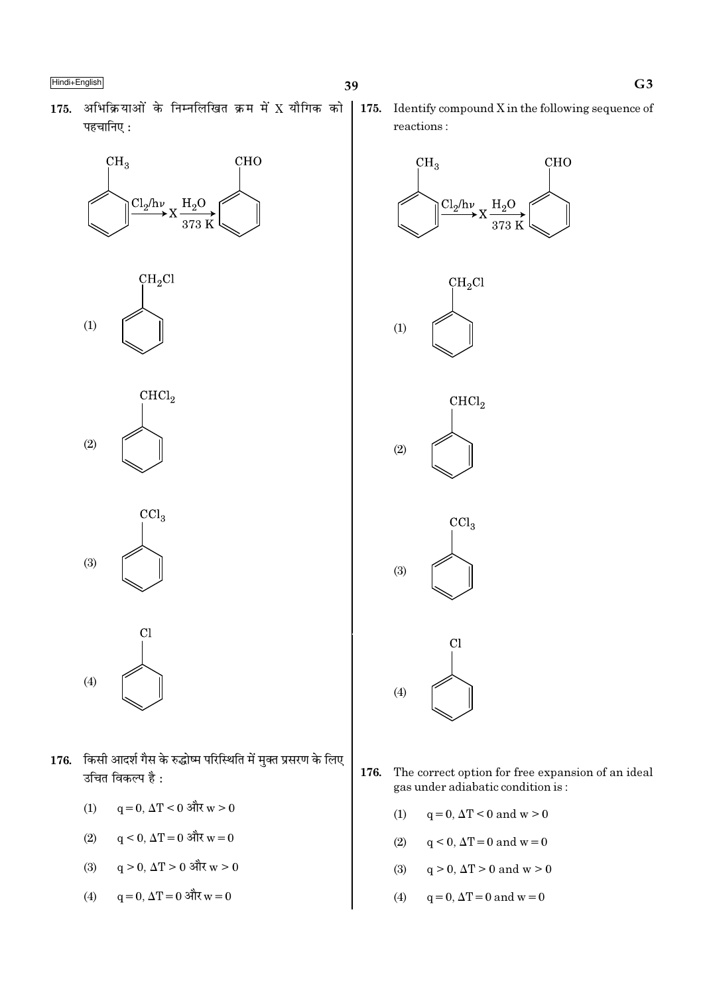175. अभिक्रियाओं के निम्नलिखित क्रम में X यौगिक को पहचानिए:







 $\text{CCl}_3$  $(3)$ 



- 176. किसी आदर्श गैस के रुद्धोष्म परिस्थिति में मुक्त प्रसरण के लिए उचित विकल्प है:
	- $q = 0$ ,  $\Delta T < 0$  और  $w > 0$  $(1)$
	- $q \le 0$ ,  $\Delta T = 0$  और  $w = 0$  $(2)$
	- $q > 0$ ,  $\Delta T > 0$  और  $w > 0$  $(3)$
	- $q = 0$ ,  $\Delta T = 0$  और  $w = 0$  $(4)$

175. Identify compound  $X$  in the following sequence of reactions:



- The correct option for free expansion of an ideal 176. gas under adiabatic condition is:
	- $q = 0$ ,  $\Delta T < 0$  and  $w > 0$  $(1)$
	- $(2)$  $q < 0$ ,  $\Delta T = 0$  and  $w = 0$
	- $(3)$  $q > 0$ ,  $\Delta T > 0$  and  $w > 0$
	- $q=0, \Delta T=0$  and  $w=0$  $(4)$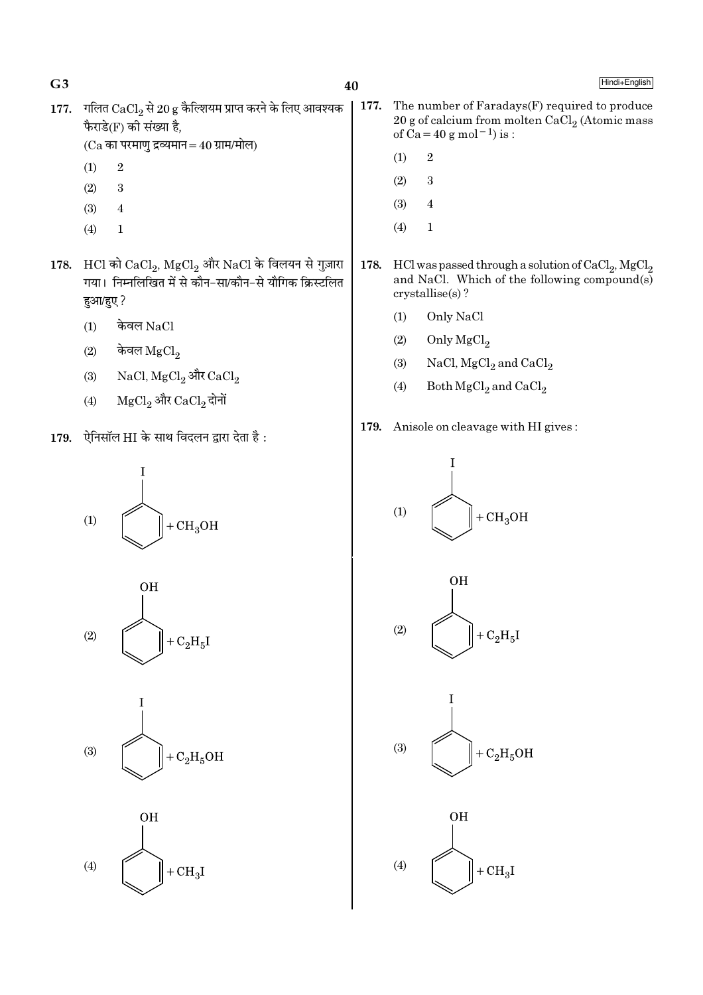- 177. गलित  $CaCl<sub>2</sub>$  से 20 g कैल्शियम प्राप्त करने के लिए आवश्यक फैराडे(F) की संख्या है,
	- $(Ca$  का परमाणु द्रव्यमान $=40$  ग्राम/मोल)
	- $\overline{2}$  $(1)$

 $G<sub>3</sub>$ 

- $(2)$ 3
- $(3)$  $\overline{4}$
- $\mathbf{1}$  $(4)$
- 178. HCl को  $\mathrm{CaCl}_2$ ,  $\mathrm{MgCl}_2$  और  $\mathrm{NaCl}$  के विलयन से गुज़ारा -<br>गया। निम्नलिखित में से कौन–सा/कौन–से यौगिक क्रिस्टलित हुआ/हुए ?
	- केवल NaCl  $(1)$
	- केवल  $MgCl<sub>2</sub>$  $(2)$
	- $NaCl, MgCl<sub>2</sub>$  और  $CaCl<sub>2</sub>$  $(3)$
	- MgCl<sub>2</sub> और CaCl<sub>2</sub> दोनों  $(4)$
- 179. ऐनिसॉल HI के साथ विदलन द्वारा देता है:









- The number of Faradays(F) required to produce 177. 20 g of calcium from molten CaCl<sub>2</sub> (Atomic mass of Ca = 40 g mol<sup>-1</sup>) is :
	- $\overline{2}$  $(1)$
	- $(2)$ 3
	- $(3)$  $\overline{4}$
	- $(4)$  $\mathbf{1}$
- 178. HCl was passed through a solution of  $CaCl<sub>2</sub>$ , MgCl<sub>2</sub> and NaCl. Which of the following compound(s)  $crystallise(s)$ ?
	- $(1)$ Only NaCl
	- $(2)$ Only MgCl<sub>2</sub>
	- NaCl, MgCl<sub>2</sub> and CaCl<sub>2</sub>  $(3)$
	- Both  $MgCl<sub>2</sub>$  and  $CaCl<sub>2</sub>$  $(4)$
- 179. Anisole on cleavage with HI gives:







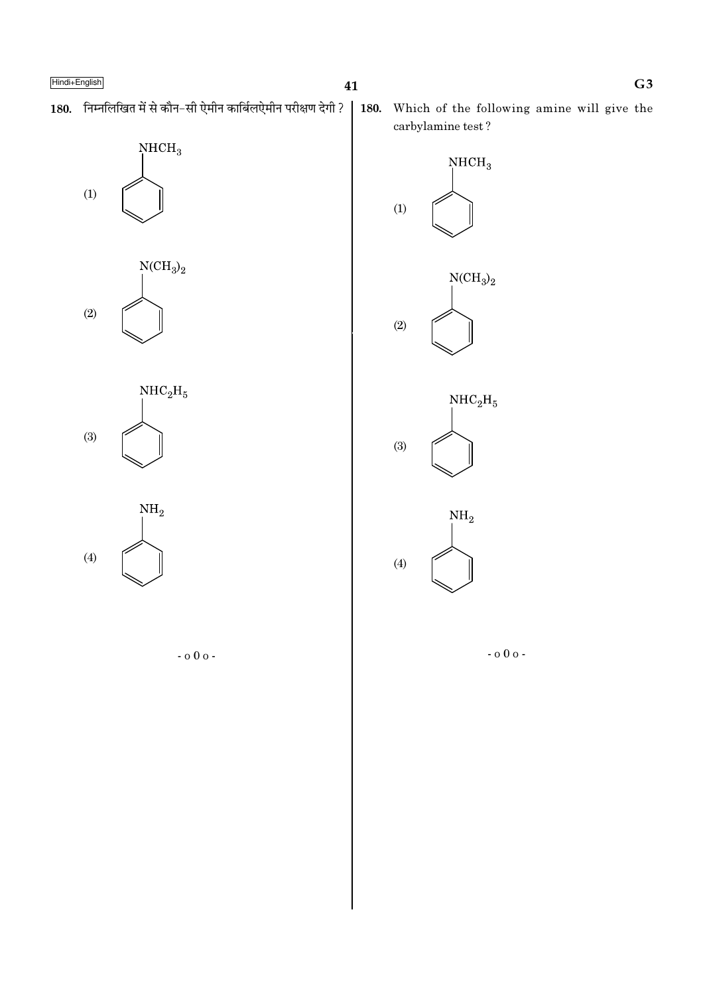180. निम्नलिखित में से कौन-सी ऐमीन कार्बिलऐमीन परीक्षण देगी ?



 $\rm NCH_3)_2$  $(2)$ 







180. Which of the following amine will give the carbylamine test?



 $-000 -$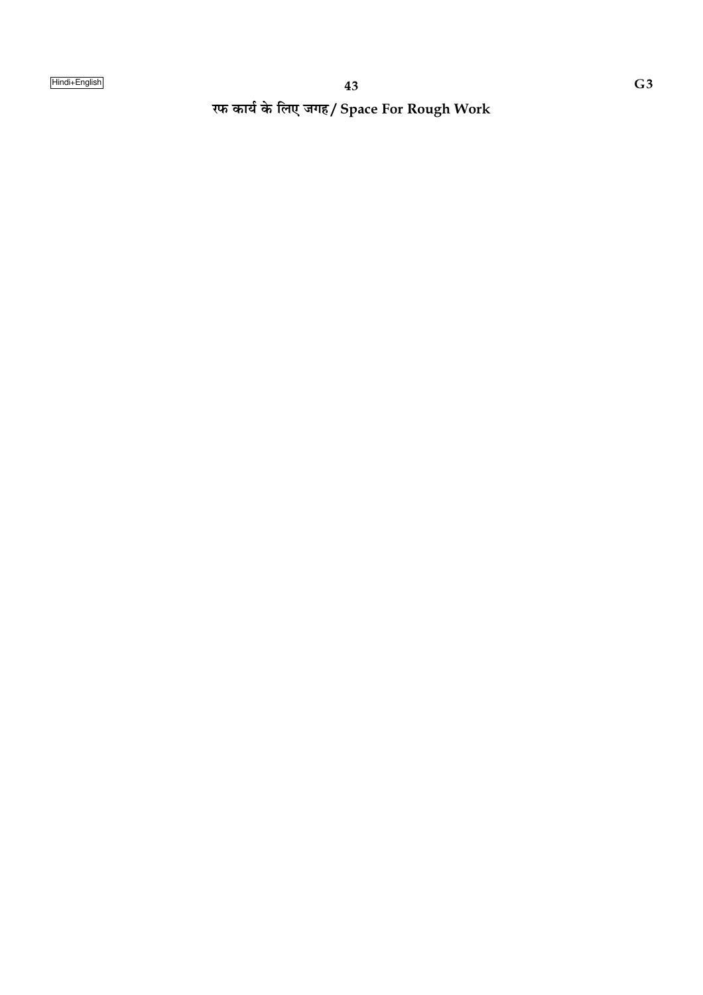रफ कार्य के लिए जगह/ Space For Rough Work